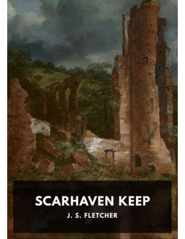# **SCARHAVEN KEEP J. S. FLETCHER**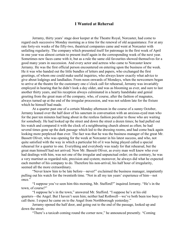#### I Wanted at Rehersal

Jerramy, thirty years' stage door keeper at the Theatre Royal, Norcaster, had come to regard each successive Monday morning as a time for the renewal of old acquaintance. For at any rate forty-six weeks of the fifty-two, theatrical companies came and went at Norcaster with unfailing regularity. The company which presented itself for patronage in the first week of April in one year was almost certain to present itself again in the corresponding week of the next year. Sometimes new faces came with it, but as a rule the same old favourites showed themselves for a good many years in succession. And every actor and actress who came to Norcaster knew Jerramy. He was the first official person encountered on entering upon the business of the week. He it was who handed out the little bundles of letters and papers, who exchanged the first greetings, of whom one could make useful inquiries, who always knew exactly what advice to give about lodgings and landladies. From noon onwards of Mondays, when the newcomers began to arrive at the theatre for the customary one o'clock call for rehearsal, Jerramy was invariably employed in hearing that he didn't look a day older, and was as blooming as ever, and sure to last another thirty years, and his reception always culminated in a hearty handshake and genial greeting from the great man of the company, who, of course, after the fashion of magnates, always turned up at the end of the irregular procession, and was not seldom late for the fixture which he himself had made.

At a quarter past one of a certain Monday afternoon in the course of a sunny October, Jerramy leaned over the half door of his sanctum in conversation with an anxious-eyed man who for the past ten minutes had hung about in the restless fashion peculiar to those who are waiting for somebody. He had looked up the street and down the street a dozen times; he had pulled out his watch and compared it with the clock of a neighbouring church almost as often; he had several times gone up the dark passage which led to the dressing rooms, and had come back again looking more perplexed than ever. The fact was that he was the business manager of the great Mr. Bassett Oliver, who was opening for the week at Norcaster in his latest success, and who, not quite satisfied with the way in which a particular bit of it was being played called a special rehearsal for a quarter to one. Everything and everybody was ready for that rehearsal, but the great man himself had not arrived. Now Mr. Bassett Oliver, as every man well knew who ever had dealings with him, was not one of the irregular and unpunctual order; on the contrary, he was a very martinet as regarded rule, precision and system; moreover, he always did what he expected each member of his company to do. Therefore his non-arrival, his half hour of irregularity, seemed all the more extraordinary.

"Never knew him to be late before—never!" exclaimed the business manager, impatiently pulling out his watch for the twentieth time. "Not in all my ten years' experience of him—not once."

"I suppose you've seen him this morning, Mr. Stafford?" inquired Jerramy. "He's in the town, of course?"

"I suppose he's in the town," answered Mr. Stafford. "I suppose he's at his old quarters—the Angel. But I haven't seen him; neither had Rothwell—we've both been too busy to call there. I expect he came on to the Angel from Northborough yesterday."

Jerramy opened the half door, and going out to the end of the passage, looked up and down the street.

"There's a taxicab coming round the corner now," he announced presently. "Coming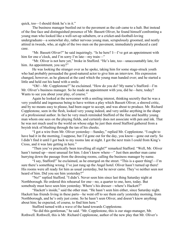quick, too—I should think he's in it."

The business manager bustled out to the pavement as the cab came to a halt. But instead of the fine face and distinguished presence of Mr. Bassett Oliver, he found himself confronting a young man who looked like a well-set-up subaltern, or a cricket-and-football-loving undergraduate—a somewhat shy, rather nervous young man, scrupulously groomed, and neatly attired in tweeds, who, at sight of the two men on the pavement, immediately produced a card case.

"Mr. Bassett Oliver?" he said inquiringly. "Is he here? I—I've got an appointment with him for one o'clock, and I'm sorry I'm late—my train—"

"Mr. Oliver is not here yet," broke in Stafford. "He's late, too—unaccountably late, for him. An appointment, you say?"

He was looking the stranger over as he spoke, taking him for some stage-struck youth who had probably persuaded the good-natured actor to give him an interview. His expression changed, however, as he glanced at the card which the young man handed over; and he started a little and held out his hand with a smile.

"Oh!—Mr. Copplestone?" he exclaimed. "How do you do? My name's Stafford—I'm Mr. Oliver's business manager. So he made an appointment with you, did he—here, today? Wants to see you about your play, of course."

Again he looked at the newcomer with a smiling interest, thinking secretly that he was a very youthful and ingenuous being to have written a play which Bassett Oliver, a shrewd critic, and by no means easy to please, had been eager to accept, and was about to produce. Mr. Richard Copplestone, seen in the flesh, looked very young indeed, and very unlike anything in the shape of a professional author. In fact he very much reminded Stafford of the fine and healthy young man whom one sees on the playing fields, and certainly does not associate with pen and ink. That he was not much used to the world on whose edge he just then stood Stafford gathered from a boyish trick of blushing through the tan of his cheeks.

"I got a wire from Mr. Oliver yesterday—Sunday," replied Mr. Copplestone. "I ought to have had it in the morning, I suppose, but I'd gone out for the day, you know—gone out early. So I didn't find it until I got back to my rooms late at night. I got the next train I could from King's Cross, and it was late getting in here."

"Then you've practically been travelling all night?" remarked Stafford. "Well, Mr. Oliver hasn't turned up—most unusual for him. I don't know where—" Just then another man came hurrying down the passage from the dressing rooms, calling the business manager by name.

"I say, Stafford!" he exclaimed, as he emerged on the street. "This is a queer thing!—I'm sure there's something wrong. I've just rung up the Angel hotel. Oliver hasn't turned up there! His rooms were all ready for him as usual yesterday, but he never came. They've neither seen nor heard of him. Did you see him yesterday?"

"No!" replied Stafford. "I didn't. Never seen him since last thing Saturday night at Northborough. He ordered this rehearsal for one—no, a quarter to one, here, today. But somebody must have seen him yesterday. Where's his dresser—where's Hackett?"

"Hackett's inside," said the other man. "He hasn't seen him either, since Saturday night. Hackett has friends living in these parts—he went off to see them early yesterday morning, from Northborough, and he's only just come. So he hasn't seen Oliver, and doesn't know anything about him; he expected, of course, to find him here."

Stafford turned with a wave of the hand towards Copplestone.

"So did this gentleman," he said. "Mr. Copplestone, this is our stage-manager, Mr. Rothwell. Rothwell, this is Mr. Richard Copplestone, author of the new play that Mr. Oliver's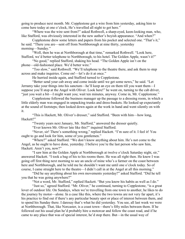going to produce next month. Mr. Copplestone got a wire from him yesterday, asking him to come here today at one o'clock, He's travelled all night to get here."

"Where was the wire sent from?" asked Rothwell, a sharp-eyed, keen-looking man, who, like Stafford, was obviously interested in the new author's boyish appearance. "And when?"

Copplestone drew some letters and papers from his pocket and selected one. "That's it," he said. "There you are—sent off from Northborough at nine thirty, yesterday morning—Sunday."

"Well, then he was at Northborough at that time," remarked Rothwell. "Look here, Stafford, we'd better telephone to Northborough, to his hotel. The Golden Apple, wasn't it?"

"No good," replied Stafford, shaking his head. "The Golden Apple isn't on the phone—old-fashioned place. We'd better wire."

"Too slow," said Rothwell. "We'll telephone to the theatre there, and ask them to step across and make inquiries. Come on!—let's do it at once."

He hurried inside again, and Stafford turned to Copplestone.

"Better send your cab away and come inside until we get some news," he said. "Let Jerramy take your things into his sanctum—he'll keep an eye on them till you want them—I suppose you'll stop at the Angel with Oliver. Look here!" he went on, turning to the cab driver, "just you wait a bit—I might want you; wait ten minutes, anyway. Come in, Mr. Copplestone."

Copplestone followed the business manager up the passage to a dressing room, in which a little elderly man was engaged in unpacking trunks and dress-baskets. He looked up expectantly at the sound of footsteps; then looked down again at the work in hand and went silently on with it.

"This is Hackett, Mr. Oliver's dresser," said Stafford. "Been with him—how long, Hackett?"

"Twenty years next January, Mr. Stafford," answered the dresser quietly.

"Ever known Mr. Oliver late like this?" inquired Stafford.

"Never, sir! There's something wrong," replied Hackett. "I'm sure of it. I feel it! You ought to go and look for him, some of you gentlemen."

"Where?" asked Stafford. "We don't know anything about him. He's not come to the Angel, as he ought to have done, yesterday. I believe you're the last person who saw him, Hackett. Aren't you, now?"

"I saw him at the Golden Apple at Northborough at twelve o'clock Saturday night, sir," answered Hackett. "I took a bag of his to his rooms there. He was all right then. He knew I was going off first thing next morning to see an uncle of mine who's a farmer on the coast between here and Northborough, and he told me he shouldn't want me until one o'clock today. So of course, I came straight here to the theatre—I didn't call in at the Angel at all this morning."

"Did he say anything about his own movements yesterday?" asked Stafford. "Did he tell you that he was going anywhere?"

"Not a word, Mr. Stafford," replied Hackett. "But you know his habits as well as I do."

"Just so," agreed Stafford. "Mr. Oliver," he continued, turning to Copplestone, "is a great lover of outdoor life. On Sundays, when we're travelling from one town to another, he likes to do the journey by motor—alone. In a case like this, where the two towns are not very far apart, it's his practice to find out if there's any particular beauty spot or place of interest between them, and to spend his Sunday there. I daresay that's what he did yesterday. You see, all last week we were at Northborough. That, like Norcaster, is a coast town—there's fifty miles between them. If he followed out his usual plan he'd probably hire a motorcar and follow the coast road, and if he came to any place that was of special interest, he'd stop there. But—in the usual way of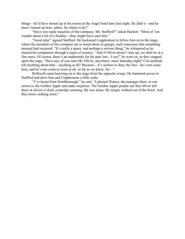things—he'd have turned up at his rooms at the Angel hotel here last night. He didn't—and he hasn't turned up here, either. So where is he?"

"Have you made inquiries of the company, Mr. Stafford?" asked Hackett. "Most of 'em wander about a bit of a Sunday—they might have seen him."

"Good idea!" agreed Stafford. He beckoned Copplestone to follow him on to the stage, where the members of the company sat or stood about in groups, each conscious that something unusual had occurred. "It's really a queer, and perhaps a serious thing," he whispered as he steered his companion through a maze of scenery. "And if Oliver doesn't turn up, we shall be in a fine mess. Of course, there's an understudy for his part, but—I say!" he went on, as they stepped upon the stage, "Have any of you seen Mr. Oliver, anywhere, since Saturday night? Can anybody tell anything about him—anything at all? Because—it's useless to deny the fact—he's not come here, and he's not come to town at all, so far as we know. So-"

Rothwell came hurrying on to the stage from the opposite wings. He hastened across to Stafford and drew him and Copplestone a little aside.

"I've heard from Northborough," he said. "I phoned Waters, the manager there, to run across to the Golden Apple and make inquiries. The Golden Apple people say that Oliver left there at eleven o'clock yesterday morning. He was alone. He simply walked out of the hotel. And they know nothing more."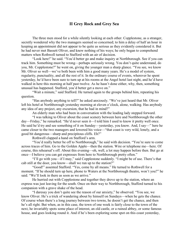## II Grey Rock and Grey Sea

The three men stood for a while silently looking at each other. Copplestone, as a stranger, secretly wondered why the two managers seemed so concerned; to him a delay of half an hour in keeping an appointment did not appear to be quite as serious as they evidently considered it. But he had never met Bassett Oliver, and knew nothing of his ways; he only began to comprehend matters when Rothwell turned to Stafford with an air of decision.

"Look here!" he said. "You'd better go and make inquiry at Northborough. See if you can track him. Something must be wrong—perhaps seriously wrong. You don't quite understand, do you, Mr. Copplestone?" he went on, giving the younger man a sharp glance. "You see, we know Mr. Oliver so well—we've both been with him a good many years. He's a model of system, regularity, punctuality, and all the rest of it. In the ordinary course of events, wherever he spent yesterday, he'd have been sure to turn up at his rooms at the Angel hotel last night, and he'd have walked in here this morning at half past twelve. As he hasn't done either, why, then, something unusual has happened. Stafford, you'd better get a move on."

"Wait a minute," said Stafford. He turned again to the groups behind him, repeating his question.

"Has anybody anything to tell?" he asked anxiously. "We've just heard that Mr. Oliver left his hotel at Northborough yesterday morning at eleven o'clock, alone, walking. Has anybody any idea of any project, any excursion, that he had in mind?"

An elderly man who had been in conversation with the leading lady stepped forward.

"I was talking to Oliver about the coast scenery between here and Northborough the other day—Friday," he remarked. "He'd never seen it—I told him I used to know it pretty well once. He said he'd try and see something of it on Sunday—yesterday, you know. And, I say—" here he came closer to the two managers and lowered his voice—"that coast is very wild, lonely, and a good bit dangerous—sharp and precipitous cliffs. Eh?"

Rothwell clapped a hand on Stafford's arm.

"You'd really better be off to Northborough," he said with decision. "You're sure to come across traces of him. Go to the Golden Apple—then the station. Wire or telephone me—here. Of course, this rehearsal's off. About this evening—oh, well, a lot may happen before then. But go at once—I believe you can get expresses from here to Northborough pretty often."

"I'll go with you—if I may," said Copplestone suddenly. "I might be of use. There's that cab still at the door, you know—shall we run up to the station?"

"Good!" assented Stafford. "Yes, come by all means." He turned to Rothwell for a moment. "If he should turn up here, phone to Waters at the Northborough theatre, won't you?" he said. "We'll look in there as soon as we arrive."

He hurried out with Copplestone and together they drove up to the station, where an express was just leaving for the south. Once on their way to Northborough, Stafford turned to his companion with a grave shake of the head.

"I daresay you don't quite see the reason of our anxiety," he observed. "You see, we know Oliver. He's a trick of wandering about by himself on Sundays—when he gets the chance. Of course when there's a long journey between two towns, he doesn't get the chance, and then he's all right. But when, as in this case, the town of one week is fairly close to the town of the next, he invariably spots some place of interest, an old castle, or a ruined abbey, or some famous house, and goes looking round it. And if he's been exploring some spot on this coast yesterday,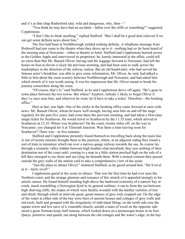and it's as that chap Rutherford said, wild and dangerous, why, then—"

"You think he may have had an accident—fallen over the cliffs or something?" suggested Copplestone.

"I don't like to think anything," replied Stafford. "But I shall be a good deal relieved if we can get some definite news about him."

The first half hour at Northborough yielded nothing definite. A telephone message from Rothwell had just come to the theatre when they drove up to it—nothing had so far been heard of the missing man at Norcaster—either at theatre or hotel. Stafford and Copplestone hurried across to the Golden Apple and interviewed its proprietor; he, keenly interested in the affair, could tell no more than that Mr. Bassett Oliver, having sent his luggage forward to Norcaster, had left the house on foot at eleven o'clock the previous morning, and had been seen to walk across the marketplace in the direction of the railway station. But an old headwaiter, who had served the famous actor's breakfast, was able to give some information; Mr. Oliver, he said, had talked a little to him about the coast scenery between Northborough and Norcaster, and had asked him which stretch of it was worth seeing. It was his impression that Mr. Oliver meant to break his journey somewhere along the coast.

"Of course, that's it," said Stafford, as he and Copplestone drove off again. "He's gone to some place between the two towns. But where? Anyhow, nobody's likely to forget Oliver if they've once seen him, and wherever he went, he'd have to take a ticket. Therefore—the booking office."

Here at last, was light. One of the clerks in the booking office came forward at once with news. Mr. Bassett Oliver, whom he knew well enough, having seen him on and off the stage regularly for the past five years, had come there the previous morning, and had taken a first-class single ticket for Scarhaven. He would travel to Scarhaven by the 11:35 train, which arrived at Scarhaven at 12:10. Where was Scarhaven? On the coast, twenty miles off, on the way to Norcaster; you changed for it at Tilmouth Junction. Was there a train leaving soon for Scarhaven? There was—in five minutes.

Stafford and Copplestone presently found themselves travelling back along the main line. A run of twenty minutes brought them to the junction, where, at an adjacent siding they found a sort of train in miniature which ran over a narrow-gauge railway towards the sea. Its course lay through a romantic valley hidden between high heather-clad moorland; they saw nothing of their destination nor of the coast until, coming to a stop in a little station perched high on the side of a hill they emerged to see shore and sea lying far beneath them. With a mutual consent they passed outside the grey walls of the station yard to take a comprehensive view of the scene.

"Just the place to attract Oliver!" muttered Stafford, as he gazed around him. "He'd revel in it—fairly revel!"

Copplestone gazed at the scene in silence. That was the first time he had ever seen the Northern coast, and the strange glamour and romance of this stretch of it appealed strongly to his artistic senses. He found himself standing high above the landward extremity of a narrow bay or creek, much resembling a Norwegian fjord in its general outlines; it ran in from the sea between high shelving cliffs, the slopes of which were thickly wooded with the hardier varieties of tree and shrub, through which at intervals great, gaunt masses of grey rock cropped out. On the edge of the water at either side of the bay were lines of ancient houses and cottages of grey walls and red roofs, built and grouped with the irregularity of individual liking; on the north side rose the square tower and low nave of a venerable church; amidst a mass of wood on the opposite side stood a great Norman keep, half ruinous, which looked down on a picturesque house at its foot. Quays, primitive and quaint, ran along between the old cottages and the water's edge; in the bay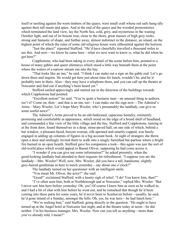itself or nestling against the worn timbers of the quays, were small craft whose red sails hung idly against their tall masts and spars. And at the end of the quays and the wooded promontories which terminated the land view, lay the North Sea, cold, grey, and mysterious in the waning October light, and out of its bosom rose, close to the shore, great masses of high grey rocks, strong and fantastic of shape, and further away, almost indistinct in the distance, an island, on the highest point of which the ruins of some old religious house were silhouetted against the horizon.

"Just the place!" repeated Stafford. "He'd have cheerfully travelled a thousand miles to see this. And now—we know he came here—what we next want to know is, what he did when he got here?"

Copplestone, who had been taking in every detail of the scene before him, pointed to a house of many gables and queer chimneys which stood a little way beneath them at the point where the waters of a narrow stream ran into the bay.

"That looks like an inn," he said. "I think I can make out a sign on the gable end. Let's go down there and inquire. He would get here just about time for lunch, wouldn't he, and he'd probably turn in there. Also—they may have a telephone there, and you can call up the theatre at Norcaster and find out if anything's been heard yet."

Stafford smiled approvingly and started out in the direction of the buildings towards which Copplestone had pointed.

"Excellent notion!" he said. "You're quite a business man—an unusual thing in authors, isn't it? Come on, then—and that is an inn, too—I can make out the sign now—The Admiral's Arms—Mary Wooler. Let's hope Mary Wooler, who's presumably the landlady, can give us some useful news!"

The Admiral's Arms proved to be an old-fashioned, capacious hostelry, eminently promising and comfortable in appearance, which stood on the edge of a broad shelf of headland, and commanded a fine view of the little village and the bay. Stafford and Copplestone, turning in at the front door, found themselves in a deep, stone-paved hall, on one side of which, behind a bar window, a pleasant-faced, buxom woman, silk-aproned and smartly-capped, was busily engaged in adding up columns of figures in a big account book. At sight of strangers she threw open a door and smilingly invited them to walk into a snugly furnished bar-parlour where a bright fire burned in an open hearth. Stafford gave his companion a look—this again was just the sort of old-world place which would appeal to Basset Oliver, supposing he had come across it.

"I wonder if you can give me some information?" he asked presently, when the good-looking landlady had attended to their requests for refreshment. "I suppose you are the landlady—Mrs. Wooler? Well, now, Mrs. Wooler, did you have a tall, handsome, slightly grey-haired gentleman in here to lunch yesterday—say about one o'clock?"

The landlady turned on her questioner with an intelligent smile.

"You mean Mr. Oliver, the actor?" she said.

"Good!" exclaimed Stafford, with a hearty sigh of relief. "I do! You know him, then?"

"I've often seen him, both at Northborough and at Norcaster," replied Mrs. Wooler. "But I never saw him here before yesterday. Oh, yes! Of course I knew him as soon as he walked in, and I had a bit of chat with him before he went out, and he remarked that though he'd been coming into these parts for some years, he'd never been to Scarhaven before—usually, he said, he'd gone inland of a Sunday, amongst the hills. Oh, yes, he was here—he had lunch here."

"We're seeking him," said Stafford, going directly to the question. "He ought to have turned up at the Angel hotel at Norcaster last night, and at the theatre today at noon—he did neither. I'm his business manager, Mrs. Wooler. Now can you tell us anything—more than you've already told, I mean?"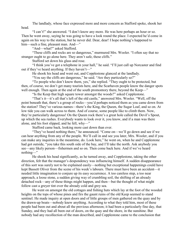The landlady, whose face expressed more and more concern as Stafford spoke, shook her head.

"I can't!" she answered. "I don't know any more. He was here perhaps an hour or so. Then he went away, saying he was going to have a look round the place. I expected he'd come in again on his way to the station, but he never did. Dear, dear! I hope nothing's happened to him—such a fine, pleasant man. And—"

"And—what?" asked Stafford.

"These cliffs and rocks are so dangerous," murmured Mrs. Wooler. "I often say that no stranger ought to go alone here. They aren't safe, these cliffs."

Stafford set down his glass and rose.

"I think you've got a telephone in your hall," he said. "I'll just call up Norcaster and find out if they've heard anything. If they haven't—"

He shook his head and went out, and Copplestone glanced at the landlady.

"You say the cliffs are dangerous," he said. "Are they particularly so?"

"To people who don't know them, yes," she replied. "They ought to be protected, but then, of course, we don't get many tourists here, and the Scarhaven people know the danger spots well enough. Then again at the end of the south promontory there, beyond the Keep—"

"Is the Keep that high square tower amongst the woods?" asked Copplestone.

"That's it—it's all that's left of the old castle," answered Mrs. Wooler. "Well, off the point beneath that, there's a group of rocks—you'd perhaps noticed them as you came down from the station? They've various names—there's the King, the Queen, the Sugar Loaf, and so on. At low tide you can walk across to them. And of course, some people like to climb them. Now, they're particularly dangerous! On the Queen rock there's a great hole called the Devil's Spout, up which the sea rushes. Everybody wants to look over it, you know, and if a man was there alone, and his foot slipped, and he fell, why—"

Stafford came back, looking more cast down than ever.

"They've heard nothing there," he announced. "Come on—we'll go down and see if we can hear anything from any of the people. We'll call in and see you later, Mrs. Wooler, and if you can make any inquiries in the meantime, do. Look here," he went on, when he and Copplestone had got outside, "you take this south side of the bay, and I'll take the north. Ask anybody you see—any likely person—fishermen and so on. Then come back here. And if we've heard nothing—"

He shook his head significantly, as he turned away, and Copplestone, taking the other direction, felt that the manager's despondency was influencing himself. A sudden disappearance of this sort was surely not to be explained easily—nothing but exceptional happenings could have kept Bassett Oliver from the scene of his week's labours. There must have been an accident—it needed little imagination to conjure up its easy occurrence. A too careless step, a too near approach, a loose stone, a sudden giving way of crumbling soil, the shifting of an already detached rock—any of these things might happen, and then—but the thought of what might follow cast a greyer tint over the already cold and grey sea.

He went on amongst the old cottages and fishing huts which lay at the foot of the wooded heights on the tops of whose pines and firs the gaunt ruins of the old Keep seemed to stand sentinel. He made inquiry at open doors and of little groups of men gathered on the quay and by the drawn-up boats—nobody knew anything. According to what they told him, most of these people had been out and about all the previous afternoon; it had been a particularly fine day, that Sunday, and they had all been out of doors, on the quay and the shore, in the sunshine. But nobody had any recollection of the man described, and Copplestone came to the conclusion that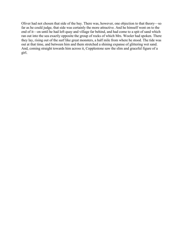Oliver had not chosen that side of the bay. There was, however, one objection to that theory—so far as he could judge, that side was certainly the more attractive. And he himself went on to the end of it—on until he had left quay and village far behind, and had come to a spit of sand which ran out into the sea exactly opposite the group of rocks of which Mrs. Wooler had spoken. There they lay, rising out of the surf like great monsters, a half mile from where he stood. The tide was out at that time, and between him and them stretched a shining expanse of glittering wet sand. And, coming straight towards him across it, Copplestone saw the slim and graceful figure of a girl.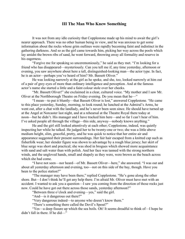#### III The Man Who Knew Something

It was not from any idle curiosity that Copplestone made up his mind to await the girl's nearer approach. There was no other human being in view, and he was anxious to get some information about the rocks whose grim outlines were rapidly becoming faint and indistinct in the gathering darkness. And so as the girl came towards him, picking her way across the pools which lay amidst the brown ribs of sand, he went forward, throwing away all formality and reserve in his eagerness.

"Forgive me for speaking so unceremoniously," he said as they met. "I'm looking for a friend who has disappeared—mysteriously. Can you tell me if, any time yesterday, afternoon or evening, you saw anywhere about here a tall, distinguished-looking man—the actor type. In fact, he is an actor—perhaps you've heard of him? Mr. Bassett Oliver."

He was looking narrowly at the girl as he spoke, and she, too, looked narrowly at him out of a pair of grey eyes of more than ordinary intelligence and perception. And at the famous actor's name she started a little and a faint colour stole over her cheeks.

"Mr. Bassett Oliver!" she exclaimed in a clear, cultured voice. "My mother and I saw Mr. Oliver at the Northborough Theatre on Friday evening. Do you mean that he—"

"I mean—to put it bluntly—that Bassett Oliver is lost," answered Copplestone. "He came to this place yesterday, Sunday, morning, to look round; he lunched at the Admiral's Arms, he went out, after a chat with the landlady, and he's never been seen since. He should have turned up at the Angel at Norcaster last night, and at a rehearsal at the Theatre Royal there today at noon—but he didn't. His manager and I have tracked him here—and so far I can't hear of him. I've asked people all through the village—this side, anyway—nobody knows anything."

He and the girl still looked attentively at each other; Copplestone, indeed, was quietly inspecting her while he talked. He judged her to be twenty-one or two; she was a little above medium height, slim, graceful, pretty, and he was quick to notice that her entire air and appearance suggested their present surroundings. Her fair hair escaped from a knitted cap such as fisherfolk wear; her slender figure was shown to advantage by a rough blue jersey; her skirt of blue serge was short and practical; she was shod in brogues which showed more acquaintance with sand and salt water than with polish. And her face was tanned with the strong northern winds, and the ungloved hands, small and shapely as they were, were brown as the beach across which she had come.

"I have not seen—nor heard—of Mr. Bassett Oliver—here," she answered. "I was out and about all yesterday afternoon and evening, too—not on this side of the bay, though. Have you been to the police station?"

"The manager may have been there," replied Copplestone. "He's gone along the other shore. But—I don't think he'll get any help there. I'm afraid Mr. Oliver must have met with an accident. I wanted to ask you a question—I saw you coming from the direction of those rocks just now. Could he have got out there across those sands, yesterday afternoon?"

"Between three o'clock and evening—yes," said the girl.

"And—is it dangerous out there?"

"Very dangerous indeed—to anyone who doesn't know them."

"There's something there called the Devil's Spout?"

"Yes—a deep fissure up which the sea boils. Oh! It seems dreadful to think of—I hope he didn't fall in there. If he did—"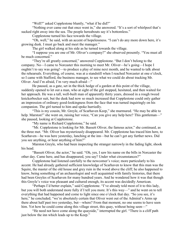"Well?" asked Copplestone bluntly, "what if he did?"

"Nothing ever came out that once went in," she answered. "It's a sort of whirlpool that's sucked right away into the sea. The people hereabouts say it's bottomless."

Copplestone turned his face towards the village.

"Oh, well," he said, with an accent of hopelessness. "I can't do any more down here, it's growing dusk. I must go back and meet the manager."

The girl walked along at his side as he turned towards the village.

"I suppose you are one of Mr. Oliver's company?" she observed presently. "You must all be much concerned."

"They're all greatly concerned," answered Copplestone. "But I don't belong to the company. No—I came to Norcaster this morning to meet Mr. Oliver—he's going—I hope I oughtn't to say was going!—to produce a play of mine next month, and he wanted to talk about the rehearsals. Everything, of course, was at a standstill when I reached Norcaster at one o'clock, so I came with Stafford, the business manager, to see what we could do about tracking Mr. Oliver. And I'm afraid, I'm very much afraid—"

He paused, as a gate, set in the thick hedge of a garden at this point of the village, suddenly opened to let out a man, who at sight of the girl stopped, hesitated, and then waited for her approach. He was a tall, well-built man of apparently thirty years, dressed in a rough tweed knickerbocker suit, but the dusk had now so much increased that Copplestone could only gather an impression of ordinary good-lookingness from the face that was turned inquiringly on his companion. The girl turned to him and spoke hurriedly.

"This is my cousin, Mr. Greyle, of Scarhaven Keep," she murmured. "He may be able to help. Marston!" she went on, raising her voice, "Can you give any help here? This gentleman—" she paused, looking at Copplestone.

"My name is Richard Copplestone," he said.

"Mr. Copplestone is looking for Mr. Bassett Oliver, the famous actor," she continued, as the three met. "Mr. Oliver has mysteriously disappeared. Mr. Copplestone has traced him here, to Scarhaven—he was here yesterday, lunching at the inn—but he can't get any further news. Did you see anything, or hear anything of him?"

Marston Greyle, who had been inspecting the stranger narrowly in the fading light, shook his head.

"Bassett Oliver, the actor," he said. "Oh, yes, I saw his name on the bills in Norcaster the other day. Came here, and has disappeared, you say? Under what circumstances?"

Copplestone had listened carefully to the newcomer's voice; more particularly to his accent. He had already gathered sufficient knowledge of Scarhaven to know that this man was the Squire, the master of the old house and grey ruin in the wood above the cliff; he also happened to know, being something of an archaeologist and well acquainted with family histories, that there had been Greyles of Scarhaven for many hundred years. And he wondered how it was that though this Greyle's voice was pleasant and cultured enough, its accent was decidedly American.

"Perhaps I'd better explain," said Copplestone. "I've already told most of it to this lady, but you will both understand more fully if I tell you more. It's this way—" and he went on to tell everything that had happened and come to light since one o'clock that day. "So you see, it's here," he concluded; "we're absolutely certain that Oliver went out of the Admiral's Arms up there about half past two yesterday, but—where? From that moment, no one seems to have seen him. Yet how he could come along this village street, this quay, without being seen—"

"He need not have come along the quayside," interrupted the girl. "There is a cliff path just below the inn which leads up to the Keep."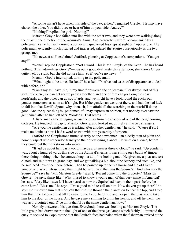"Also, he mayn't have taken this side of the bay, either." remarked Greyle. "He may have chosen the other. You didn't see or hear of him on your side, Audrey?"

"Nothing!" replied the girl. "Nothing!"

Marston Greyle had fallen into line with the other two, and they were now walking along the quay in the direction of the Admiral's Arms. And presently Stafford, accompanied by a policeman, came hurriedly round a corner and quickened his steps at sight of Copplestone. The policeman, evidently much puzzled and interested, saluted the Squire obsequiously as the two groups met.

"No news at all!" exclaimed Stafford, glancing at Copplestone's companions. "You got any?"

"None," replied Copplestone. "Not a word. This is Mr. Greyle, of the Keep—he has heard nothing. This lady—Miss Greyle?—was out a good deal yesterday afternoon; she knows Oliver quite well by sight, but she did not see him. So if you've no news—"

Marston Greyle interrupted, turning to the policeman.

"What ought to be done, Haskett?" he asked. "You've had cases of disappearance to deal with before, eh?"

"Can't say as I have, sir, in my time," answered the policeman. "Leastways, not of this sort. Of course, we can get search parties together, and one of 'em can go along the coast north'ards, and the other can go south'ards, and we might have a look round the rocks out yonder, tomorrow, as soon as it's light. But if the gentleman went out there, and had the bad luck to fall into that Devil's Spout, why, then, sir, I'm afraid all the searching in the world'll do no good. And the queer thing is, gentlemen, if I may express an opinion, that nobody ever saw the gentleman after he had left Mrs. Wooler's! That seems—"

A fisherman came lounging across the quay from the shadow of one of the neighbouring cottages. He touched his cap to Marston Greyle, and looked inquiringly at the two strangers.

"Are you the gentlemen as is asking after another gentleman?" he said. "'Cause if so, I make no doubt as how I had a word or two with him yesterday afternoon."

Stafford and Copplestone turned sharply on the newcomer—an elderly man of plain and homely aspect who responded frankly to their questioning glances. He went on at once, before they could put their questions into words.

"It 'ud be about half past two, or maybe a bit nearer three o'clock," he said. "Up yonder it was, about a hundred yards this side of the Admiral's Arms. I was sitting on a baulk o' timber there, doing nothing, when he comes along—a tall, fine-looking man. He gives me a pleasant sort o' nod, and said it was a grand day, and we got talking a bit, about the scenery and suchlike, and he said he'd never been here before. Then he pointed up to the big house and the old Keep yonder, and asked whose place that might be, and I said that was the Squire's. 'And who may the Squire be?' says he. 'Mr. Marston Greyle,' says I, 'Recent come into the property.' 'Marston Greyle!' he says, sharp-like. 'Why, I used to know a young man of that very name in America!' he says. 'Very like,' says I, 'I have heard as how the Squire had been in them parts before he came here.' 'Bless me!' he says, 'I've a good mind to call on him. How do you get up there?' he says. So I showed him that side path that runs up through the plantation to near the top, and I told him that if he followed that till he came to the Keep, he'd find another path there as would take him to the door of the house. And he gave me a shilling to drink his health, and off he went, the way as I'd pointed out. D'ye think that'll be the same gentleman, now?"

Nobody answered this question. Everybody there was looking at Marston Greyle. The little group had drawn near to the light of one of the three gas lamps which feebly illuminated the quay; it seemed to Copplestone that the Squire's face had paled when the fisherman arrived at the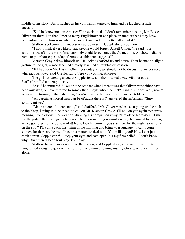middle of his story. But it flushed as his companion turned to him, and he laughed, a little uneasily.

"Said he knew me—in America?" he exclaimed. "I don't remember meeting Mr. Bassett Oliver out there. But then I met so many Englishmen in one place or another that I may have been introduced to him somewhere, at some time, and—forgotten all about it."

Stafford spoke—with unnecessary abruptness, in Copplestone's opinion.

"I don't think it very likely that anyone would forget Bassett Oliver," he said. "He isn't—or wasn't—the sort of man anybody could forget, once they'd met him. Anyhow—did he come to your house yesterday afternoon as this man suggests?"

Marston Greyle drew himself up. He looked Stafford up and down. Then he made a slight gesture to the girl, whose face had already assumed a troubled expression.

"If I had seen Mr. Bassett Oliver yesterday, sir, we should not be discussing his possible whereabouts now," said Greyle, icily. "Are you coming, Audrey?"

The girl hesitated, glanced at Copplestone, and then walked away with her cousin. Stafford sniffed contemptuously.

"Ass!" he muttered. "Couldn't he see that what I meant was that Oliver must either have been mistaken, or have referred to some other Greyle whom he met? Hang his pride! Well, now," he went on, turning to the fisherman, "you're dead certain about what you've told us?"

"As certain as mortal man can be of aught there is!" answered the informant. "Sure certain, mister."

"Make a note of it, constable," said Stafford. "Mr. Oliver was last seen going up the path to the Keep, having said he meant to call on Mr. Marston Greyle. I'll call on you again tomorrow morning. Copplestone!" he went on, drawing his companion away, "I'm off to Norcaster—I shall see the police there and get detectives. There's something seriously wrong here—and by heaven, we've got to get to the bottom of it! Now, look here—will you stay here for the night, so as to be on the spot? I'll come back first thing in the morning and bring your luggage—I can't come sooner, for there are heaps of business matters to deal with. You will—good! Now I can just catch a train. Copplestone!—keep your eyes and ears open. It's my firm belief—I don't know why—that there's been foul play. Foul play!"

Stafford hurried away up hill to the station, and Copplestone, after waiting a minute or two, turned along the quay on the north of the bay—following Audrey Greyle, who was in front, alone.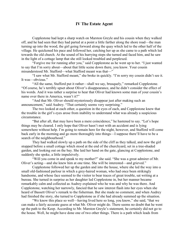#### IV The Estate Agent

Copplestone had kept a sharp watch on Marston Greyle and his cousin when they walked off, and he had seen that they had parted at a point a little farther along the shore road—the man turning up into the wood, the girl going forward along the quay which led to the other half of the village. He quickened his pace and followed her, catching her up as she came to a path which led towards the old church. At the sound of his hurrying steps she turned and faced him, and he saw in the light of a cottage lamp that she still looked troubled and perplexed.

"Forgive me for running after you," said Copplestone as he went up to her. "I just wanted to say that I'm sorry about—about that little scene down there, you know. Your cousin misunderstood Mr. Stafford—what Stafford meant was that—"

"I saw what Mr. Stafford meant," she broke in quickly. "I'm sorry my cousin didn't see it. It was—obvious."

"All the same, Stafford put it rather—shall we say, brusquely," remarked Copplestone. "Of course, he's terribly upset about Oliver's disappearance, and he didn't consider the effect of his words. And it was rather a surprise to hear that Oliver had known some man of your cousin's name over there in America, wasn't it?"

"And that Mr. Oliver should mysteriously disappear just after making such an announcement," said Audrey. "That certainly seems very surprising."

The two looked at each other, a question in the eyes of each, and Copplestone knew that the trouble in the girl's eyes arose from inability to understand what was already a suspicious circumstance.

"But after all, that may have been a mere coincidence," he hastened to say. "Let's hope things may be cleared. I only hope that Oliver hasn't met with an accident and is lying somewhere without help. I'm going to remain here for the night, however, and Stafford will come back early in the morning and go more thoroughly into things—I suppose there'll have to be a search of the neighbourhood."

They had walked slowly up a path on the side of the cliff as they talked, and now the girl stopped before a small cottage which stood at the end of the churchyard, set in a tree-shaded garden, and looking out on the bay. She laid her hand on the gate, glancing at Copplestone, and suddenly she spoke, a little impulsively.

"Will you come in and speak to my mother?" she said. "She was a great admirer of Mr. Oliver's acting—and she knew him at one time. She will be interested—and grieved."

Copplestone followed her up the garden and into the house, where she led the way into a small old-fashioned parlour in which a grey-haired woman, who had once been strikingly handsome, and whose face seemed to the visitor to bear traces of great trouble, sat writing at a bureau. She turned in surprise as her daughter led Copplestone in, but her manner became remarkably calm and collected as Audrey explained who he was and why he was there. And Copplestone, watching her narrowly, fancied that he saw interest flash into her eyes when she heard of Bassett Oliver's remark to the fisherman. But she made no comment, and when Audrey had finished the story, she turned to Copplestone as if she had already summed up the situation.

"We know this place so well—having lived here so long, you know," she said, "that we can make a fairly accurate guess at what Mr. Oliver might do. There seems no doubt that he went up the path to the Keep. According to Mr. Marston Greyle's statement, he certainly did not go to the house. Well, he might have done one of two other things. There is a path which leads from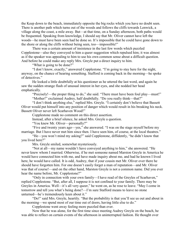the Keep down to the beach, immediately opposite the big rocks which you have no doubt seen. There is another path which turns out of the woods and follows the cliffs towards Lenwick, a village along the coast, a mile away. But—at that time, on a Sunday afternoon, both paths would be frequented. Speaking from knowledge, I should say that Mr. Oliver cannot have left the woods—he must have been seen had he done so. It's impossible that he could have gone down to the shore or along the cliffs without being seen, too—impossible!"

There was a certain amount of insistence in the last few words which puzzled Copplestone—also they conveyed to him a queer suggestion which repulsed him; it was almost as if the speaker was appealing to him to use his own common sense about a difficult question. And before he could make any reply Mrs. Greyle put a direct inquiry to him.

"What is going to be done?"

"I don't know, exactly," answered Copplestone. "I'm going to stay here for the night, anyway, on the chance of hearing something. Stafford is coming back in the morning—he spoke of detectives."

He looked a little doubtfully at his questioner as he uttered the last word, and again he saw the sudden strange flash of unusual interest in her eyes, and she nodded her head emphatically.

"Precisely!—the proper thing to do," she said. "There must have been foul play—must!" "Mother!" exclaimed Audrey, half doubtfully. "Do you really think—that?"

"I don't think anything else," replied Mrs. Greyle. "I certainly don't believe that Bassett Oliver would put himself into any position of danger which would result in his breaking his neck. Bassett Oliver never left Scarhaven Wood!"

Copplestone made no comment on this direct assertion.

Instead, after a brief silence, he asked Mrs. Greyle a question.

"You knew Mr. Oliver—personally?"

"Five and twenty years ago—yes," she answered. "I was on the stage myself before my marriage. But I have never met him since then. I have seen him, of course, at the local theatres."

"He—you won't mind my asking?" said Copplestone, diffidently, "he didn't know that you lived here?"

Mrs. Greyle smiled, somewhat mysteriously.

"Not at all—my name wouldn't have conveyed anything to him," she answered. "He never knew whom I married. Otherwise, if he met someone named Marston Greyle in America he would have connected him with me, and have made inquiry about me, and had he known I lived here, he would have called. It is odd, Audrey, that if your cousin met Mr. Oliver over there he should have forgotten him. For one doesn't easily forget a man of reputation—and Mr. Oliver was that of course!—and on the other hand, Marston Greyle is not a common name. Did you ever hear the name before, Mr. Copplestone?"

"Only in connection with your own family—I have read of the Greyles of Scarhaven," replied Copplestone. "But, after all, I suppose it is not confined to your family. There may be Greyles in America. Well—it's all very queer," he went on, as he rose to leave. "May I come in tomorrow and tell you what's being done?—I'm sure Stafford means to leave no stone unturned—he's tremendously keen about it."

"Do!" said Mrs. Greyle, heartily. "But the probability is that you'll see us out and about in the morning—we spend most of our time out of doors, having little else to do."

Copplestone went away feeling more puzzled than ever.

Now that he was alone, for the first time since meeting Audrey Greyle on the beach, he was able to reflect on certain events of the afternoon in uninterrupted fashion. He thought over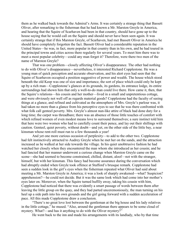them as he walked back towards the Admiral's Arms. It was certainly a strange thing that Bassett Oliver, after remarking to the fisherman that he had known a Mr. Marston Greyle in America, and hearing that the Squire of Scarhaven had been in that country, should have gone up to the house saying that he would call on the Squire and should never have been seen again. It was certainly strange that if this Marston Greyle, of Scarhaven, had met Bassett Oliver in America he should have completely forgotten the fact. Bassett Oliver had a considerable reputation in the United States—he was, in fact, more popular in that country than in his own, and he had toured in the principal towns and cities across there regularly for several years. To meet him there was to meet a most popular celebrity—could any man forget it? Therefore, were there two men of the name of Marston Greyle?

That was one problem—closely affecting Oliver's disappearance. The other had nothing to do with Oliver's disappearance—nevertheless, it interested Richard Copplestone. He was a young man of quick perception and accurate observation, and his alert eyes had seen that the Squire of Scarhaven occupied a position suggestive of power and wealth. The house which stood beneath the old Keep was one of size and importance, the sort of place which could only be kept up by a rich man—Copplestone's glances at its grounds, its gardens, its entrance lodge, its entire surroundings had shown him that only a well-to-do man could live there. How came it, then, that the Squire's relations—his cousin and her mother—lived in a small and unpretentious cottage, and were obviously not well off as regards material goods? Copplestone had the faculty of seeing things at a glance, and refined and cultivated as the atmosphere of Mrs. Greyle's parlour was, it had taken no more than a glance from his perceptive eyes to see that he was there confronted with what folk call genteel poverty. Mrs. Greyle's almost nun-like attire of black had done duty for a long time; the carpet was threadbare; there was an absence of those little touches of comfort with which refined women of even modest means love to surround themselves; a sure instinct told him that here were two women who had to carefully count their pence, and lay out their shillings with caution. Genteel, quiet poverty, without doubt—and yet, on the other side of the little bay, a near kinsman whose rent-roll must run to a few thousands a year!

And yet one more curious occasion of perplexity—to add to the other two. Copplestone had felt instinctively attracted to Audrey Greyle when he met her on the sands, and the attraction increased as he walked at her side towards the village. In his quiet unobtrusive fashion he had watched her closely when they encountered the man whom she introduced as her cousin; and he had fancied that her manner underwent a curious change when Marston Greyle came on the scene—she had seemed to become constrained, chilled, distant, aloof—not with the stranger, himself, but with her kinsman. This fancy had become assurance during the conversation which had abruptly ended when Greyle took offence at Stafford's brusque remark. Copplestone had seen a sudden look in the girl's eyes when the fisherman repeated what Oliver had said about meeting a Mr. Marston Greyle in America; it was a look of sharply awakened—what? Suspicion? apprehension?—he could not decide. But it was the same look which had come into her mother's eyes later on. Moreover, when the Squire turned huffily away, taking his cousin with him, Copplestone had noticed that there was evidently a smart passage of words between them after leaving the little group on the quay, and they had parted unceremoniously, the man turning on his heel up a side path into his own grounds and the girl going forward with a sudden acceleration of pace. All this made Copplestone draw a conclusion.

"There's no great love lost between the gentleman at the big house and his lady relatives in the little cottage," he mused. "Also, around the gentleman there appears to be some cloud of mystery. What?—and has it anything to do with the Oliver mystery?"

He went back to the inn and made his arrangements with its landlady, who by that time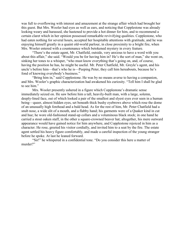was full to overflowing with interest and amazement at the strange affair which had brought her this guest. But Mrs. Wooler had eyes as well as ears, and noticing that Copplestone was already looking weary and harassed, she hastened to provide a hot dinner for him, and to recommend a certain claret which in her opinion possessed remarkable revivifying qualities. Copplestone, who had eaten nothing for several hours, accepted her hospitable attentions with gratitude, and he was enjoying himself greatly in a quaint old-world parlour, in close proximity to a bright fire, when Mrs. Wooler entered with a countenance which betokened mystery in every feature.

"There's the estate agent, Mr. Chatfield, outside, very anxious to have a word with you about this affair," she said. "Would you be for having him in? He's the sort of man," she went on, sinking her tones to a whisper, "who must know everything that's going on, and, of course, having the position he has, he might be useful. Mr. Peter Chatfield, Mr. Greyle's agent, and his uncle's before him—that's who he is—Peeping Peter, they call him hereabouts, because he's fond of knowing everybody's business."

"Bring him in," said Copplestone. He was by no means averse to having a companion, and Mrs. Wooler's graphic characterization had awakened his curiosity. "Tell him I shall be glad to see him."

Mrs. Wooler presently ushered in a figure which Copplestone's dramatic sense immediately seized on. He saw before him a tall, heavily-built man, with a large, solemn, deeply-lined face, out of which looked a pair of the smallest and slyest eyes ever seen in a human being—queer, almost hidden eyes, set beneath thick bushy eyebrows above which rose the dome of an unusually high forehead and a bald head. As for the rest of him, Mr. Peter Chatfield had a snub nose, a wide slit of a mouth, and a flabby hand; his garments were of a Quaker kind in cut and hue; he wore old-fashioned stand-up collars and a voluminous black stock; in one hand he carried a stout oaken staff, in the other a square-crowned beaver hat; altogether, his mere outward appearance would have gained notice for him anywhere, and Copplestone rejoiced in him as a character. He rose, greeted his visitor cordially, and invited him to a seat by the fire. The estate agent settled his heavy figure comfortably, and made a careful inspection of the young stranger before he spoke. At last he leaned forward.

"Sir!" he whispered in a confidential tone. "Do you consider this here a matter of murder?"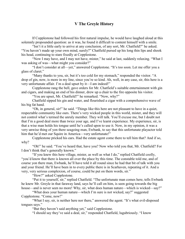## V The Greyle History

If Copplestone had followed his first natural impulse, he would have laughed aloud at this solemnly propounded question: as it was, he found it difficult to content himself with a smile.

"Isn't it a little early to arrive at any conclusion, of any sort, Mr. Chatfield?" he asked. "You haven't made up your own mind, surely?" Chatfield pursed up his long thin lips and shook his head, continuing to stare fixedly at Copplestone.

"Now I may have, and I may not have, mister," he said at last, suddenly relaxing. "What I was asking of was—what might you consider?"

"I don't consider at all—yet," answered Copplestone. "It's too soon. Let me offer you a glass of claret."

"Many thanks to you, sir, but it's too cold for my stomach," responded the visitor. "A drop of gin, now, is more in my line, since you're so kind. Ah, well, in any case, sir, this here is a very unfortunate affair. I'm a deal upset by it—I am indeed!"

Copplestone rang the bell, gave orders for Mr. Chatfield's suitable entertainment with gin and cigars, and making an end of his dinner, drew up a chair to the fire opposite his visitor.

"You are upset, Mr. Chatfield?" he remarked. "Now, why?"

Chatfield sipped his gin and water, and flourished a cigar with a comprehensive wave of his big fat hand.

"Oh, in general, sir!" he said. "Things like this here are not pleasant to have in a quiet, respectable community like ours. There's very wicked people in this world, mister, and they will not control what's termed the unruly member. They will talk. You'll excuse me, but I doubt not that I'm a good deal more than twice your age, and I've learnt experience. My experience, sir, is that a wise man holds his tongue until he's called upon to use it. Now, in my opinion, it was a very unwise thing of yon there seagoing man, Ewbank, to say that this unfortunate playactor told him that he'd met our Squire in America—very unfortunate!"

Copplestone pricked his ears. Had the estate agent come there to tell him that? And if so, why?

"Oh!" he said. "You've heard that, have you? Now who told you that, Mr. Chatfield? For I don't think that's generally known."

"If you knew this here village, mister, as well as what I do," replied Chatfield coolly, "you'd know that there is known all over the place by this time. The constable told me, and of course yon there man, Ewbank, he'll have told it all round since he had that bit of talk with you and your friend. He'll have been in to every public there is in Scarhaven, repeating of it. And a very, very serious complexion, of course, could be put on them words, sir."

"How?" asked Copplestone.

"Put it to yourself, sir," replied Chatfield. "The unfortunate man comes here, tells Ewbank he knew Mr. Greyle in that faraway land, says he'll call on him, is seen going towards the big house—and is never seen no more! Why, sir, what does human nature—which is wicked—say?"

"What does your human nature—which I'm sure is not wicked, say?" suggested Copplestone. "Come, now!"

"What I say, sir, is neither here nor there," answered the agent. "It's what evil-disposed tongues says."

"But they haven't said anything yet," said Copplestone.

"I should say they've said a deal, sir," responded Chatfield, lugubriously. "I know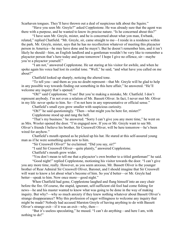Scarhaven tongues. They'll have thrown out a deal of suspicious talk about the Squire."

"Have you seen Mr. Greyle?" asked Copplestone. He was already sure that the agent was there with a purpose, and he wanted to know its precise nature. "Is he concerned about this?"

"I have seen Mr. Greyle, mister, and he is concerned about what yon man, Ewbank, related," replied Chatfield. "Mr. Greyle, sir, came straight to me—I reside in a residence within the park. Mr. Greyle, mister, says that he has no recollection whatever of meeting this playactor person in America—he may have done and he mayn't. But he doesn't remember him, and it isn't likely he should—him, an English landlord and a gentleman wouldn't be very like to remember a playactor person that's here today and gone tomorrow! I hope I give no offence, sir—maybe you're a playactor yourself."

"I am not," answered Copplestone. He sat staring at his visitor for awhile, and when he spoke again his voice had lost its cordial tone. "Well," he said, "and what have you called on me about?"

Chatfield looked up sharply, noticing the altered tone.

"To tell you—and them as you no doubt represent—that Mr. Greyle will be glad to help in any possible way towards finding out something in this here affair," he answered. "He'll welcome any inquiry that's opened."

"Oh!" said Copplestone. "I see! But you're making a mistake, Mr. Chatfield. I don't represent anybody. I'm not even a relation of Mr. Bassett Oliver. In fact, I never met Mr. Oliver in my life: never spoke to him. So—I'm not here in any representative or official sense."

Chatfield's small eyes grew smaller with suspicious curiosity.

"Oh?" he said questioningly. "Then—what might you be here for, mister?"

Copplestone stood up and rang the bell.

"That's my business." he answered. "Sorry I can't give you any more time," he went on as Mrs. Wooler opened the door. "I'm engaged now. If you or Mr. Greyle want to see Mr. Oliver's friends I believe his brother, Sir Cresswell Oliver, will be here tomorrow—he's been wired for anyhow."

Chatfield's mouth opened as he picked up his hat. He stared at this self-assured young man as if he were something quite new to him.

"Sir Cresswell Oliver!" he exclaimed. "Did you say, sir?"

"I said Sir Cresswell Oliver—quite plainly," answered Copplestone.

Chatfield's mouth grew wider.

"You don't mean to tell me that a playactor's own brother to a titled gentleman!" he said.

"Good night!" replied Copplestone, motioning his visitor towards the door. "I can't give you any more time, really. However, as you seem anxious, Mr. Bassett Oliver is the younger brother of Rear Admiral Sir Cresswell Oliver, Baronet, and I should imagine that Sir Cresswell will want to know a lot about what's become of him. So you'd better—or Mr. Greyle had better—speak to him. Now once more—good night."

When Chatfield had gone, Copplestone laughed and flung himself into an easy chair before the fire. Of course, the stupid, ignorant, self-sufficient old fool had come fishing for news—he and his master wanted to know what was going to be done in the way of making inquiry. But why?—why so much anxiety if they knew nothing whatever about Bassett Oliver's strange disappearance? Why this profession of eager willingness to welcome any inquiry that might be made? Nobody had accused Marston Greyle of having anything to do with Bassett Oliver's strange exit—if it was an exit—why, then—

"But it's useless speculating," he mused. "I can't do anything—and here I am, with nothing to do!"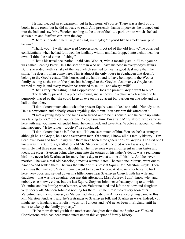He had pleaded an engagement, but he had none, of course. There was a shelf of old books in the room, but he did not care to read. And presently, hands in pockets, he lounged out into the hall and saw Mrs. Wooler standing at the door of the little parlour into which she had shown him and Stafford earlier in the day.

"There's nobody in here, sir," she said, invitingly; "if you'd like to smoke your pipe here—"

"Thank you—I will," answered Copplestone. "I got rid of that old fellow," he observed confidentially when he had followed the landlady within, and had dropped into a chair near her own. "I think he had come—fishing."

"That's his usual occupation," said Mrs. Wooler, with a meaning smile. "I told you he was called Peeping Peter. He's the sort of man who will have his nose in everybody's affairs. But," she added, with a shake of the head which seemed to mean a good deal more than the smile, "he doesn't often come here. This is almost the only house in Scarhaven that doesn't belong to the Greyle estate. This house, and the land round it, have belonged to the Wooler family as long as the rest of the place has belonged to the Greyles. And many a Greyle has wanted to buy it, and every Wooler has refused to sell it—and always will!"

"That's very interesting," said Copplestone. "Does the present Greyle want to buy?"

The landlady picked up a piece of sewing and sat down in a chair which seemed to be purposely placed so that she could keep an eye on the adjacent bar-parlour on one side and the hall on the other.

"I don't know much about what the present Squire would like," she said. "Nobody does. He's a newcomer, and nobody knows anything about him. You saw him this afternoon?"

"I met a young lady on the sands who turned out to be his cousin, and he came up while I was talking to her," replied Copplestone. "Yes, I saw him. I'm afraid Mr. Stafford, who came in here with me, you know, offended him," he continued, and gave Mrs. Wooler an account of what had happened. "Is he rather—touchy?" he concluded.

"I don't know that he is," she said. "No one sees much of him. You see he's a stranger: although he's a Greyle, he's not a Scarhaven man. Of course, I know all his family history—I'm Scarhaven born and bred. In my time there have been three generations of Greyles. The first one I knew was this Squire's grandfather, old Mr. Stephen Greyle: he died when I was a girl in my teens. He had three sons and no daughters. The three sons were all different in their tastes and ideas; the eldest, Stephen John, who came into the estates on his father's death, was a real home bird—he never left Scarhaven for more than a day or two at a time all his life. And he never married—he was a real old bachelor, almost a woman-hater. The next one, Marcus, went out to America and settled there—he was the father of this present Squire, Mr. Marston Greyle. Then there was the third son, Valentine—he went to live in London. And years after he came back here, very poor, and settled down in a little house near Scarhaven Church with his wife and daughter—that was the daughter you met this afternoon, Miss Audrey. I don't know why, and nobody else knows, either, but the last Squire, Stephen John, never had anything to do with Valentine and his family; what's more, when Valentine died and left the widow and daughter very poorly off, Stephen John did nothing for them. But he himself died very soon after Valentine, and then of course, as Marcus had already died in America, everything came to this Mr. Marston. And, as I said, he's a stranger to Scarhaven folk and Scarhaven ways. Indeed, you might say to England and English ways, for I understand he'd never been in England until he came to take up the family property."

"Is he more friendly with the mother and daughter than the last Squire was?" asked Copplestone, who had been much interested in this chapter of family history.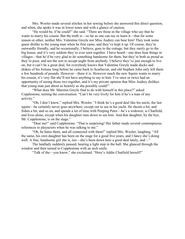Mrs. Wooler made several stitches in her sewing before she answered this direct question, and when, she spoke it was in lower tones and with a glance of caution.

"He would be, if he could!" she said. "There are those in the village who say that he wants to marry his cousin. But the truth is—so far as one can see or learn it—that for some reason or other, neither Mrs. Valentine Greyle nor Miss Audrey can bear him! They took some queer dislike to the young man when he first came, and they've kept it up. Of course, they're outwardly friendly, and he occasionally, I believe, goes to the cottage, but they rarely go to the big house, and it's very seldom they're ever seen together. I have heard—one does hear things in villages—that he'd be very glad to do something handsome for them, but they're both as proud as they're poor, and not the sort to accept aught from anybody. I believe they've just enough to live on, but it can't be a great deal, for everybody knows that Valentine Greyle made ducks and drakes of his fortune long before he came back to Scarhaven, and old Stephen John only left them a few hundreds of pounds. However—there it is. However much the new Squire wants to marry his cousin, it's very flat she'll not have anything to say to him. I've once or twice had an opportunity of seeing those two together, and it's my private opinion that Miss Audrey dislikes that young man just about as heartily as she possibly could!"

"What does Mr. Marston Greyle find to do with himself in this place?" asked Copplestone, turning the conversation. "Can't be very lively for him if he's a man of any activity."

"Oh, I don't know," replied Mrs. Wooler. "I think he's a good deal like his uncle, the last squire—he certainly never goes anywhere, except out to sea in his yacht. He shoots a bit, and fishes a bit, and so on, and spends a lot of time with Peeping Peter—he's a widower, is Chatfield, and lives alone, except when his daughter runs down to see him. And that daughter, by the bye, Mr. Copplestone, is on the stage."

"Dear me!" said Copplestone. "That is surprising! Her father made several contemptuous references to playactors when he was talking to me."

"Oh, he hates them, and all connected with them!" replied Mrs. Wooler, laughing. "All the same, his own daughter has been on the stage for a good five years, and I fancy she's doing well. A fine, handsome girl she is, too—she's been down here a good deal lately, and—"

The landlady suddenly paused, hearing a light step in the hall. She glanced through the window and then turned to Copplestone with an arch smile.

"Talk of the—you know," she exclaimed. "Here's Addie Chatfield herself!"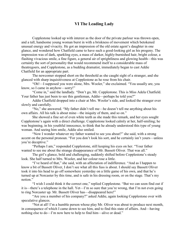## VI The Leading Lady

Copplestone looked up with interest as the door of the private parlour was thrown open, and a tall, handsome young woman burst in with a briskness of movement which betokened unusual energy and vivacity. He got an impression of the old estate agent's daughter in one glance, and wondered how Chatfield came to have such a good-looking girl as his progeny. The impression was of dark, sparkling eyes, a mass of darker, highly-burnished hair, bright colour, a flashing vivacious smile, a fine figure, a general air of sprightliness and glowing health—this was certainly the sort of personality that would recommend itself to a considerable mass of theatregoers, and Copplestone, as a budding dramatist, immediately began to cast Addie Chatfield for an appropriate part.

The newcomer stopped short on the threshold as she caught sight of a stranger, and she glanced with sharp inquisitiveness at Copplestone as he rose from his chair.

"Oh!—I supposed you were alone, Mrs. Wooler," she exclaimed. "You usually are, you know, so I came in anyhow—sorry!"

"Come in," said the landlady. "Don't go, Mr. Copplestone. This is Miss Adela Chatfield. Your father has just been to see this gentleman, Addie—perhaps he told you?"

Addie Chatfield dropped into a chair at Mrs. Wooler's side, and looked the stranger over slowly and carefully.

"No," she answered. "My father didn't tell me—he doesn't tell me anything about his own affairs. All his talk is about mine—the iniquity of them, and so on."

She showed a fine set of even white teeth as she made this remark, and her eyes sought Copplestone's again with a direct challenge. Copplestone looked calmly at her, half-smiling; he was beginning, in his youthful innocence, to think that he already understood this type of young woman. And seeing him smile, Addie also smiled.

"Now I wonder whatever my father wanted to see you about?" she said, with a strong accent on the personal pronoun. "For you don't look his sort, and he certainly isn't yours—unless you're deceptive."

"Perhaps I am," responded Copplestone, still keeping his eyes on her. "Your father wanted to see me about the strange disappearance of Mr. Bassett Oliver. That was all."

The girl's glance, bold and challenging, suddenly shifted before Copplestone's steady look. She half turned to Mrs. Wooler, and her colour rose a little.

"I've heard of that," she said, with an affectation of indifference. "And as I happen to know a bit of Bassett Oliver, I don't see what all this fuss is about. I should say Bassett Oliver took it into his head to go off somewhere yesterday on a little game of his own, and that he's turned up at Norcaster by this time, and is safe in his dressing room, or on the stage. That's my notion."

"I wish I could think it the correct one," replied Copplestone. "But we can soon find out if it is—there's a telephone in the hall. Yet—I'm so sure that you're wrong, that I'm not even going to ring Norcaster up. Mr. Bassett Oliver has—disappeared here!"

"Are you a member of his company?" asked Addie, again looking Copplestone over with speculative glances.

"Not at all! I'm a humble person whose play Mr. Oliver was about to produce next month, in consequence of which I came down to see him, and to find this state of affairs. And—having nothing else to do—I'm now here to help to find him—alive or dead."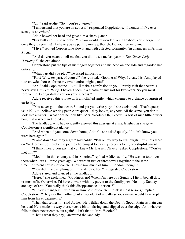"Oh!" said Addie. "So—you're a writer?"

"I understand that you are an actress?" responded Copplestone. "I wonder if I've ever seen you anywhere?"

Addie bowed her head and gave him a sharp glance.

"Evidently not!" she retorted. "Or you wouldn't wonder! As if anybody could forget me, once they'd seen me! I believe you're pulling my leg, though. Do you live in town?"

"I live," replied Copplestone slowly and with affected solemnity, "in chambers in Jermyn Street."

"And do you mean to tell me that you didn't see me last year in *The Clever Lady Hartletop*?" she exclaimed.

Copplestone put the tips of his fingers together and his head on one side and regarded her critically.

"What part did you play?" he asked innocently.

"Part? Why, *the* part, of course!" she retorted. "Goodness! Why, I created it! And played it to crowded houses for nearly two hundred nights, too!"

"Ah!" said Copplestone. "But I'll make a confession to you. I rarely visit the theatre. I never saw *Lady Hartletop*. I haven't been in a theatre of any sort for two years. So you must forgive me. I congratulate you on your success."

Addie received this tribute with a mollified smile, which changed to a glance of surprised curiosity.

"You never go to the theatre?—and yet you write plays!" she exclaimed. "That's queer, isn't it? But I believe writing people are queer—they look it, anyhow. All the same, you don't look like a writer—what does he look like, Mrs. Wooler? Oh, I know—a sort of nice little officer boy, just washed and tidied up!"

The landlady, who had evidently enjoyed this passage at arms, laughed as she gave Copplestone a significant glance.

"And when did you come down home, Addie?" she asked quietly. "I didn't know you were here again."

"Came down Saturday night," said Addie. "I'm on my way to Edinburgh—business there on Wednesday. So I broke the journey here—just to pay my respects to my worshipful parent."

"I think I heard you say that you knew Mr. Bassett Oliver?" asked Copplestone. "You've met him?"

"Met him in this country and in America," replied Addie, calmly. "He was on tour over there when I was—three years ago. We were in two or three towns together at the same time—different houses, of course. I never saw much of him in London, though."

"You didn't see anything of him yesterday, here?" suggested Copplestone.

Addie stared and glanced at the landlady.

"Here?" she exclaimed. "Goodness, no! When I'm here of a Sunday, I lie in bed all day, or most of it. Otherwise, I'd have to walk with my parent to the family pew. No—my Sundays are days of rest! You really think this disappearance is serious?"

"Oliver's managers—who know him best, of course—think it most serious," replied Copplestone. "They say that nothing but an accident of a really serious nature would have kept him from his engagements."

"Then that settles it!" said Addie. "He's fallen down the Devil's Spout. Plain as plain can be, that! He's made his way there, been a bit too daring, and slipped over the edge. And whoever falls in there never comes out again!—isn't that it, Mrs. Wooler?"

"That's what they say," answered the landlady.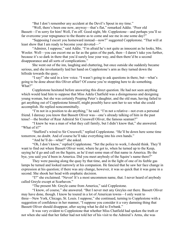"But I don't remember any accident at the Devil's Spout in my time."

"Well, there's been one now, anyway—that's flat," remarked Addie. "Poor old

Bassett—I'm sorry for him! Well, I'm off. Good night, Mr. Copplestone—and perhaps you'll so far overcome your repugnance to the theatre as to come and see me in one some day?"

"Supposing I escort you homeward instead—now?" suggested Copplestone. "That will at least show that I am ready to become your devoted—"

"Admirer, I suppose," said Addie. "I'm afraid he's not quite as innocent as he looks, Mrs. Wooler. Well—you can escort me as far as the gates of the park, then—I daren't take you further, because it's so dark in there that you'd surely lose your way, and then there'd be a second disappearance and all sorts of complications."

She went out of the inn, laughing and chattering, but once outside she suddenly became serious, and she involuntarily laid her hand on Copplestone's arm as they turned down the hillside towards the quay.

"I say!" she said in a low voice. "I wasn't going to ask questions in there, but—what's going to be done about this Oliver affair? Of course you're stopping here to do something. What?"

Copplestone hesitated before answering this direct question. He had not seen anything which would lead him to suppose that Miss Adela Chatfield was a disingenuous and designing young woman, but she was certainly Peeping Peter's daughter, and the old man, having failed to get anything out of Copplestone himself, might possibly have sent her to see what she could accomplish. He replied noncommittally.

"I'm not in a position to do anything," he said. "I'm not a relative—not even a personal friend. I daresay you know that Bassett Oliver was—one's already talking of him in the past tense!—the brother of Rear Admiral Sir Cresswell Oliver, the famous seaman?"

"I knew he was a man of what they call family, but I didn't know that," she answered. "What of it?"

"Stafford's wired to Sir Cresswell," replied Copplestone. "He'll be down here some time tomorrow, no doubt. And of course he'll take everything into his own hands."

"And he'll do—what?" she asked.

"Oh, I don't know," replied Copplestone. "Set the police to work, I should think. They'll want to find out where Bassett Oliver went, where he got to, when he turned up to the Keep, saying he'd go and call on the Squire, as he'd met some man of that name in America. By the bye, you said you'd been in America. Did you meet anybody of the Squire's name there?"

They were passing along the quay by that time, and in the light of one of its feeble gas lamps he turned and looked narrowly at his companion. He fancied that he saw her face change in expression at his question; if there was any change, however, it was so quick that it was gone in a second. She shook her head with emphatic decision.

"I?" she exclaimed. "Never! It's a most uncommon name, that. I never heard of anybody called Greyle except at Scarhaven."

"The present Mr. Greyle came from America," said Copplestone.

"I know, of course," she answered. "But I never met any Greyles out there. Bassett Oliver may have done, though. I know he toured in a lot of American towns—I only went to three—New York, Chicago, St. Louis. I suppose," she continued, turning to Copplestone with a suggestion of confidence in her manner, "I suppose you consider it a very damning thing that Bassett Oliver should disappear, after saying what he did to Ewbank."

It was very evident to Copplestone that whether Miss Chatfield had spoken the truth or not when she said that her father had not told her of his visit to the Admiral's Arms, she was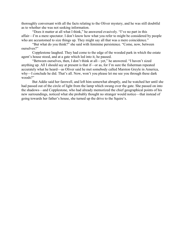thoroughly conversant with all the facts relating to the Oliver mystery, and he was still doubtful as to whether she was not seeking information.

"Does it matter at all what I think," he answered evasively. "I've no part in this affair—I'm a mere spectator. I don't know how what you refer to might be considered by people who are accustomed to size things up. They might say all that was a mere coincidence."

"But what do you think?" she said with feminine persistence. "Come, now, between ourselves?"

Copplestone laughed. They had come to the edge of the wooded park in which the estate agent's house stood, and at a gate which led into it, he paused.

"Between ourselves, then, I don't think at all—yet," he answered. "I haven't sized anything up. All I should say at present is that if—or as, for I'm sure the fisherman repeated accurately what he heard—as Oliver said he met somebody called Marston Greyle in America, why—I conclude he did. That's all. Now, won't you please let me see you through these dark woods?"

But Addie said her farewell, and left him somewhat abruptly, and he watched her until she had passed out of the circle of light from the lamp which swung over the gate. She passed on into the shadows—and Copplestone, who had already memorized the chief geographical points of his new surroundings, noticed what she probably thought no stranger would notice—that instead of going towards her father's house, she turned up the drive to the Squire's.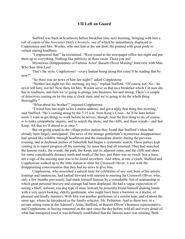### VII Left on Guard

Stafford was back at Scarhaven before breakfast time next morning, bringing with him a roll of copies of the *Norcaster Daily Chronicle*, one of which he immediately displayed to Copplestone and Mrs. Wooler, who met him at the inn door. He pointed with great pride to certain staring headlines.

"I engineered that!" he exclaimed. "Went round to the newspaper office last night and put them up to everything. Nothing like publicity in these cases. There you are!

Mysterious Disappearance of Famous Actor! Bassett Oliver Missing! Interview with Man Who Saw Him Last!

That's the style, Copplestone!—every human being along this coast'll be reading that by now!"

"So there was no news of him last night?" asked Copplestone.

"Neither last night nor this morning, my boy," replied Stafford. "Of course not! No—he never left here, not he! Now then, let Mrs. Wooler serve us that nice breakfast which I'm sure she has in readiness, and then we're going to plunge into business, hot and strong. There's a couple of detectives coming on by the nine o'clock train, and we're going to do the whole thing thoroughly."

"What about his brother?" inquired Copplestone.

"I wired him last night to his London address, and got a reply first thing this morning," said Stafford. "He's coming along by the 5:15 a.m. from King's Cross—he'll be here before noon. I want to get things to work before he arrives, though. And the first thing to do, of course, is to make sympathetic inquiry, and to search the shore, and the cliffs, and these woods—and that Keep. All that we'll attend to at once."

But on going round to the village police station they found that Stafford's ideas had already been largely anticipated. The news of the strange gentleman's mysterious disappearance had spread like wildfire through Scarhaven and the immediate district during the previous evening, and at daybreak parties of fisherfolk had begun a systematic search. These parties kept coming in to report progress all the morning: by noon they had all returned. They had searched the famous rocks, the woods, the park, the Keep, and its adjacent ruins, and the cliffs and shore for some considerable distance north and south of the bay, and there was no result. Not a trace, not a sign of the missing man was to be found anywhere. And when, at one o'clock, Stafford and Copplestone walked up to the little station to meet Sir Cresswell Oliver, it was with the disappointing consciousness that they had no news to give him.

Copplestone, who nourished a natural taste for celebrities of any sort, born of his artistic leanings and tendencies, had looked forward with interest to meeting Sir Cresswell Oliver, who, only a few months previously, had made himself famous by a remarkable feat of seamanship in which great personal bravery and courage had been displayed. He had a vague expectation of seeing a bluff, stalwart, sea dog type of man; instead, he presently found himself shaking hands with a very quiet-looking, elderly gentleman, who might have been a barrister or a doctor, of pleasant and kindly manners. With him was another gentleman of a similar type, and of about the same age, whom he introduced as the family solicitor, Mr. Petherton. And to these two, in a private sitting room at the Admiral's Arms, Stafford, as Bassett Oliver's business representative, and Copplestone, as having remained on the spot since the day before, told all and every detail of what had transpired since it was definitely established that the famous actor was missing. Both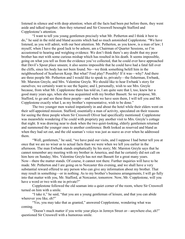listened in silence and with deep attention; when all the facts had been put before them, they went aside and talked together; then they returned and Sir Cresswell besought Stafford and Copplestone's attention.

"I want to tell you young gentlemen precisely what Mr. Petherton and I think it best to do," he said in the mild and bland accents which had so much astonished Copplestone. "We have listened, as you will admit, with our best attention. Mr. Petherton, as you know, is a man of law; I myself, when I have the good luck to be ashore, am a Chairman of Quarter Sessions, so I'm accustomed to hearing and weighing evidence. We don't think there's any doubt that my poor brother has met with some curious mishap which has resulted in his death. It seems impossible, going on what you tell us from the evidence you've collected, that he could ever have approached that Devil's Spout place unseen; it also seems impossible that he could have had a fatal fall over the cliffs, since his body has not been found. No—we think something befell him in the neighbourhood of Scarhaven Keep. But what? Foul play? Possibly! If it was—why? And there are three people Mr. Petherton and I would like to speak to, privately—the fisherman, Ewbank, Mr. Marston Greyle, and Mrs. Valentine Greyle. We should like to hear Ewbank's story for ourselves; we certainly want to see the Squire; and I, personally, wish to see Mrs. Greyle because, from what Mr. Copplestone there has told us, I am quite sure that I, too, knew her a good many years ago, when she was acquainted with my brother Bassett. So we propose, Mr. Stafford, to go and see these three people—and when we have seen them, I will tell you and Mr. Copplestone exactly what I, as my brother's representative, wish to be done."

The two younger men waited impatiently in and about the hotel while their elders went on their self-appointed mission. Stafford, essentially a man of activity, speculated on their reasons for seeing the three people whom Sir Cresswell Oliver had specifically mentioned: Copplestone was meanwhile wondering if he could with propriety pay another visit to Mrs. Greyle's cottage that night. It was drawing near to dusk when the two quiet-looking, elderly gentlemen returned and summoned the younger ones to another conference. Both looked as reserved and bland as when they had set out, and the old seaman's voice was just as suave as ever when he addressed them.

"Well, gentlemen," he said, "we have paid our visits, and I suppose I had better tell you at once that we are no wiser as to actual facts than we were when we left you earlier in the afternoon. The man Ewbank stands emphatically by his story; Mr. Marston Greyle says that he cannot remember any meeting with my brother in America, and that he certainly did not call on him here on Sunday; Mrs. Valentine Greyle has not met Bassett for a great many years. Now—there the matter stands. Of course, it cannot rest there. Further inquiries will have to be made. Mr. Petherton and I are going on to Norcaster this evening, and we shall have a very substantial reward offered to any person who can give any information about my brother. That may result in something—or in nothing. As to my brother's business arrangements, I will go fully into that matter with you, Mr. Stafford, at Norcaster, tomorrow. Now, Mr. Copplestone, will you have a word or two with me in private?"

Copplestone followed the old seaman into a quiet corner of the room, where Sir Cresswell turned on him with a smile.

"I take it," he said, "that you are a young gentleman of leisure, and that you can abide wherever you like, eh?"

"Yes, you may take that as granted," answered Copplestone, wondering what was coming.

"Doesn't much matter if you write your plays in Jermyn Street or—anywhere else, eh?" questioned Sir Cresswell with a humorous smile.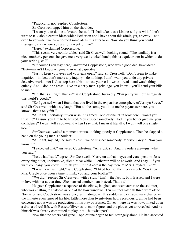"Practically, no," replied Copplestone.

Sir Cresswell tapped him on the shoulder.

"I want you to do me a favour," he said. "I shall take it as a kindness if you will. I don't want to talk about certain ideas which Petherton and I have about this affair, yet, anyway—not even to you—but we *have* formed some ideas this afternoon. Now, do you think you could manage to stay where you are for a week or two?"

"Here?" exclaimed Copplestone.

"This seems very comfortable," said Sir Cresswell, looking round. "The landlady is a nice, motherly person; she gave me a very well-cooked lunch; this is a quiet room in which to do your writing, eh?"

"Of course I can stay here," answered Copplestone, who was a good deal bewildered. "But—mayn't I know why—and in what capacity?"

"Just to keep your eyes and your ears open," said Sir Cresswell. "Don't seem to make inquiries—in fact, don't make any inquiry—do nothing. I don't want you to do any private detective work—not I! Just stop here a bit—amuse yourself—write—read—and watch things quietly. And—don't be cross—I've an elderly man's privilege, you know—you'll send your bills to me."

"Oh, that's all right, thanks!" said Copplestone, hurriedly. "I'm pretty well off as regards this world's goods."

"So I guessed when I found that you lived in the expensive atmosphere of Jermyn Street," said Sir Cresswell, with a sly laugh. "But all the same, you'll let me be paymaster here, you know—that's only fair."

"All right—certainly, if you wish it," agreed Copplestone. "But look here—won't you trust me? I assure you I'm to be trusted. You suspect somebody! Hadn't you better give me your confidence? I won't tell a soul—and when I say that, I mean it literally. I won't tell one single soul!"

Sir Cresswell waited a moment or two, looking quietly at Copplestone. Then he clapped a hand on the young man's shoulder.

"All right, my lad," he said. "Yes!—we do suspect somebody. Marston Greyle! Now you know it."

"I expected that," answered Copplestone. "All right, sir. And my orders are—just what you said."

"Just what I said," agreed Sir Cresswell. "Carry on at that—eyes and ears open; no fuss; everything quiet, unobtrusive, silent. Meanwhile—Petherton will be at work. And I say—if you want company, you know—I think you'll find it across the bay there at Mrs. Greyle's—eh?"

"I was there last night," said Copplestone. "I liked both of them very much. You knew Mrs. Greyle once upon a time, I think; you and your brother?"

"We did!" replied Sir Cresswell, with a sigh. "Um!—the fact is, both Bassett and I were in love with her at that time. She married another man instead. That's all!"

He gave Copplestone a squeeze of the elbow, laughed, and went across to the solicitor, who was chatting to Stafford in one of the bow windows. Ten minutes later all three were off to Norcaster, and Copplestone was alone, ruminating over this sudden and extraordinary change in the hitherto even tenor of his life. Little more than twenty-four hours previously, all he had been concerned about was the production of his play by Bassett Oliver—here he was now, mixed up in a drama of real life, with Bassett Oliver as its main figure, and the plot as yet unrevealed. And he himself was already committed to play in it—but what part?

Now that the others had gone, Copplestone began to feel strangely alone. He had accepted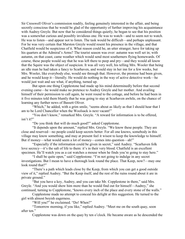Sir Cresswell Oliver's commission readily, feeling genuinely interested in the affair, and being secretly conscious that he would be glad of the opportunity of further improving his acquaintance with Audrey Greyle. But now that he considered things quietly, he began to see that his position was a somewhat curious and possibly invidious one. He was to watch—and to seem not to watch. He was to listen—and appear not to listen. The task would be difficult—and perhaps unpleasant. For he was very certain that Marston Greyle would resent his presence in the village, and that Chatfield would be suspicious of it. What reason could he, an utter stranger, have for taking up his quarters at the Admiral's Arms? The tourist season was over: autumn was well set in; with autumn, on that coast, came weather which would send most southerners flying homewards. Of course, these people would say that he was left there to peep and pry—and they would all know that the Squire was the object of suspicion. It was all very well, his telling Mrs. Wooler that being an idle man he had taken a fancy to Scarhaven, and would stay in her inn for a few weeks, but Mrs. Wooler, like everybody else, would see through that. However, the promise had been given, and he would keep it—literally. He would do nothing in the way of active detective work—he would just wait and see what, if anything, turned up.

But upon one thing Copplestone had made up his mind determinedly before that second evening came—he would make no pretence to Audrey Greyle and her mother. And availing himself of their permission to call again, he went round to the cottage, and before he had been in it five minutes told them bluntly that he was going to stay at Scarhaven awhile, on the chance of learning any further news of Bassett Oliver.

"Which," he added, with a grim smile, "seems about as likely as that I should hear that I am to be Lord Chancellor when the Woolsack is next vacant!"

"You don't know," remarked Mrs. Greyle. "A reward for information is to be offered, isn't it?"

"Do you think that will do much good?" asked Copplestone.

"It depends upon the amount," replied Mrs. Greyle. "We know these people. They are close and reserved—no people could keep secrets better. For all one knows, somebody in this village may know something, and may at present feel it wisest to keep the knowledge to himself. But if money—what would seem a lot of money—comes into question—ah!"

"Especially if the information could be given in secret," said Audrey. "Scarhaven folk love secrecy—it's the salt of life to them: it's in their very blood. Chatfield is an excellent specimen. He'll watch you as a cat watches a mouse when he finds you're going to stay here."

"I shall be quite open," said Copplestone. "I'm not going to indulge in any secret investigations. But I mean to have a thorough look round the place. That Keep, now?—may one look round that?"

"There's a path which leads close by the Keep, from which you can get a good outside view of it," replied Audrey. "But the Keep itself, and the rest of the ruins round about it are in private ground."

"But you have a key, Audrey, and you can take Mr. Copplestone in there," said Mrs. Greyle. "And you would show him more than he would find out for himself—Audrey," she continued, turning to Copplestone, "knows every inch of the place and every stone of the walls."

Copplestone made no attempt to conceal his delight at this suggestion. He turned to the girl with almost boyish eagerness.

"Will you?" he exclaimed. "Do! When?"

"Tomorrow morning, if you like," replied Audrey. "Meet me on the south quay, soon after ten."

Copplestone was down on the quay by ten o'clock. He became aware as he descended the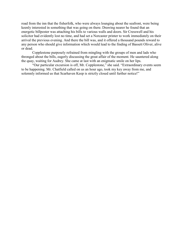road from the inn that the fisherfolk, who were always lounging about the seafront, were being keenly interested in something that was going on there. Drawing nearer he found that an energetic billposter was attaching his bills to various walls and doors. Sir Cresswell and his solicitor had evidently lost no time, and had set a Norcaster printer to work immediately on their arrival the previous evening. And there the bill was, and it offered a thousand pounds reward to any person who should give information which would lead to the finding of Bassett Oliver, alive or dead.

Copplestone purposely refrained from mingling with the groups of men and lads who thronged about the bills, eagerly discussing the great affair of the moment. He sauntered along the quay, waiting for Audrey. She came at last with an enigmatic smile on her lips.

"Our particular excursion is off, Mr. Copplestone," she said. "Extraordinary events seem to be happening. Mr. Chatfield called on us an hour ago, took my key away from me, and solemnly informed us that Scarhaven Keep is strictly closed until further notice!"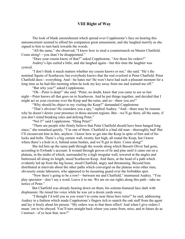## VIII Right of Way

The look of blank astonishment which spread over Copplestone's face on hearing this announcement seemed to afford his companion great amusement, and she laughed merrily as she signed to him to turn back towards the woods.

"All the same," she observed, "I know how to steal a countermarch on Master Chatfield. Come along!—you shan't be disappointed."

"Does your cousin know of that?" asked Copplestone. "Are those his orders?"

Audrey's lips curled a little, and she laughed again—but this time the laughter was cynical.

"I don't think it much matters whether my cousin knows or not," she said. "He's the nominal Squire of Scarhaven, but everybody knows that the real overlord is Peter Chatfield. Peter Chatfield does—everything. And—he hates me! He won't have had such a pleasant moment for a long time as he had this morning when he took my key away from me and warned me off."

"But why you?" asked Copplestone.

"Oh—Peter is deep!" she said. "Peter, no doubt, knew that you came to see us last night—Peter knows all that goes on in Scarhaven. And he put things together, and decided that I might act as your cicerone over the Keep and the ruins, and so—there you are!"

"Why should he object to my visiting the Keep?" demanded Copplestone.

"That's obvious! He considers you a spy," replied Audrey. "And—there may be reasons why he doesn't desire your presence in those ancient regions. But—we'll go there, all the same, if you don't mind breaking rules and defying Peter."

"Not I!" said Copplestone. "Hang Peter!"

"There are people who firmly believe that Peter Chatfield should have been hanged long since," she remarked quietly. "I'm one of them. Chatfield is a bad old man—thoroughly bad! But I'll circumvent him in this, anyhow. I know how to get into the Keep in spite of him and of his locks and bolts. There's a big curtain wall, twenty feet high, all round the Keep, but I know where there's a hole in it, behind some bushes, and we'll get in there. Come along!"

She led him up the same path through the woods along which Bassett Oliver had gone, according to Ewbank's account. It wound through groves of fir and pine until it came out on a plateau, in the midst of which, surrounded by a high irregular wall, towered at the angles and buttressed all along its length, stood Scarhaven Keep. And there, at the head of a path which evidently led up from the big house, stood Chatfield, angry and threatening. Beyond him, distributed at intervals about the other paths which converged on the plateau were other men, obviously estate labourers, who appeared to be mounting guard over the forbidden spot.

"Now there's going to be a row!—between me and Chatfield," murmured Audrey. "You play spectator—don't say a word. Leave it to me. We are on our rights along this path—take no notice of Peter."

But Chatfield was already bearing down on them, his solemn-featured face dark with displeasure. He raised his voice while he was yet a dozen yards away.

"I thought I'd told you as you wasn't to come near these here ruins!" he said, addressing Audrey in a fashion which made Copplestone's fingers itch to snatch the oak staff from the agent and lay it freely about his person. "My orders was to that there effect! And when I give orders I mean 'em to be obeyed. You'll turn straight back where you came from, miss, and in future do as I instruct—d'ye hear that, now?"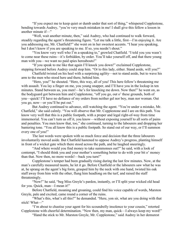"If you expect me to keep quiet or dumb under that sort of thing," whispered Copplestone, bending towards Audrey, "you're very much mistaken in me! I shall give this fellow a lesson in another minute if—"

"Well, wait another minute, then," said Audrey, who had continued to walk forward, steadily regarding the agent's threatening figure. "Let me talk a little, first—I'm enjoying it. Are you addressing me, Mr. Chatfield?" she went on in her sweetest accents. "I hear you speaking, but I don't know if you are speaking to me. If so, you needn't shout."

"You know very well who I'm a-speaking to," growled Chatfield. "I told you you wasn't to come near these ruins—it's forbidden, by order. You'll take yourself off, and that there young man with you—we want no paid spies hereabouts!"

"If you speak to me like that again I'll knock you down!" exclaimed Copplestone, stepping forward before Audrey could stop him. "Or to this lady, either. Stand aside, will you?"

Chatfield twisted on his heel with a surprising agility—not to stand aside, but to wave his arm to the men who stood here and there, behind him.

"Here, you!" he shouted. "Here, this way, all of you! This here fellow's threatening me with assault. You lay a finger on me, you young snapper, and I'll have you in the lockup in ten minutes. Stand between us, you men!—he's for knocking me down. Now then!" he went on, as the bodyguard got between him and Copplestone, "off you go, out o' these grounds, both of you—quick! I'll have no defiance of my orders from neither gel nor boy, man nor woman. Out you go, now—or you'll be put out."

But Audrey continued to advance, still watching the agent. "You're under a mistake, Mr. Chatfield," she said calmly. "You will observe that Mr. Copplestone and I are on this path. You know very well that this is a public footpath, with a proper and legal right-of-way from time immemorial. You can't turn us off it, you know—without exposing yourself to all sorts of pains and penalties. You men know that, too," she continued, turning to the labourers and dropping her bantering tone. "You all know this is a public footpath. So stand out of our way, or I'll summon every one of you!"

The last words were spoken with so much force and decision that the three labourers involuntarily moved aside. But Chatfield hastened to oppose Audrey's progress, planting himself in front of a wicket gate which there stood across the path, and he laughed sneeringly.

"And where would you find money to take summonses out?" he said, with a look of contempt, "I should think you and your mother's something better to do with your bit o' money than that. Now then, no more words!—back you turn!"

Copplestone's temper had been gradually rising during the last few minutes. Now, at the man's carefully measured taunts, he let it go. Before Chatfield or the labourers saw what he was at, he sprang on the agent's big form, grasped him by the neck with one hand, twisted his oak staff away from him with the other, flung him headlong on the turf, and raised the staff threateningly.

"Now!" he said, "beg Miss Greyle's pardon, instantly, or I'll split your wicked old head for you. Quick, man—I mean it!"

Before Chatfield, moaning and groaning, could find his voice capable of words, Marston Greyle, pale and excited, came round a corner of the ruins.

"What's this, what's all this?" he demanded. "Here, yon sir, what are you doing with that stick! What—"

"I'm about to chastise your agent for his scoundrelly insolence to your cousin," retorted Copplestone with cheerful determination. "Now then, my man, quick—I always keep my word!"

"Hand the stick to Mr. Marston Greyle, Mr. Copplestone," said Audrey in her demurest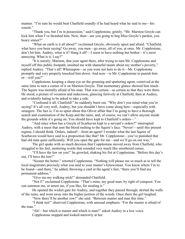manner. "I'm sure he would beat Chatfield soundly if he had heard what he said to me—his cousin."

"Thank you, but I'm in possession," said Copplestone, grimly. "Mr. Marston Greyle can kick him when I've thrashed him. Now, then—are you going to beg Miss Greyle's pardon, you hoary sinner?"

"What on earth is it all about?" exclaimed Greyle, obviously upset and afraid. "Chatfield, what have you been saying? Go away, you men—go away, all of you, at once. Mr. Copplestone, don't hit him. Audrey, what is it? Hang it all!—I seem to have nothing but bother—it's most annoying. What is it, I say?"

"It is merely, Marston, that your agent there, after trying to turn Mr. Copplestone and myself off this public footpath, insulted me with shameful taunts about my mother's poverty," replied Audrey. "That's all! Whereupon—as you were not here to do it—Mr. Copplestone promptly and very properly knocked him down. And now—is Mr. Copplestone to punish him or—will you?"

Copplestone, keeping a sharp eye on the groaning and sputtering agent, contrived at the same time to turn a corner of it on Marston Greyle. That momentary glance showed him much. The Squire was mortally afraid of his man. That was certain—as certain as that they were there. He stood, a picture of vexation and indecision, glancing furtively at Chatfield, then at Audrey, and evidently hating to be asked to take a side.

"Confound it all, Chatfield!" he suddenly burst out. "Why don't you mind what you're saying? It's all very well, Audrey, but you shouldn't have come along here—especially with strangers. The fact is, I'm so upset about this Oliver affair that I'm going to have a thorough search and examination of the Keep and the ruins, and, of course, we can't allow anyone inside the grounds while it's going on. You should have kept to Chatfield's orders—"

"And since when has a Greyle of Scarhaven kept to a servant's orders?" interrupted Audrey, with a sneer that sent the blood rushing to the Squire's face. "Never!—until this present regime, I should think. Orders, indeed!—from an agent! I wonder what the last Squire of Scarhaven would have said to a proposition like that? Mr. Copplestone—you've punished that bad old man quite sufficiently. Will you open the gate for me—and we'll go on our way."

The girl spoke with so much decision that Copplestone moved away from Chatfield, who struggled to his feet, muttering words that sounded very much like smothered curses.

"I'll have the law on you!" he growled, shaking his fist at Copplestone. "Before this day's out, I'll have the law!"

"Sooner the better," retorted Copplestone. "Nothing will please me so much as to tell the local magistrates precisely what you said to your master's kinswoman. You know where I'm to be found—and there," he added, throwing a card at the agent's feet, "there you'll find my permanent address."

"Give me my walking stick!" demanded Chatfield.

"Not I!" exclaimed Copplestone. "That's mine, my good man, by right of conquest. You can summon me, or arrest me, if you like, for stealing it."

He opened the wicket gate for Audrey, and together they passed through, skirted the walls of the ruins, and went away into the higher portion of the woods. Once there the girl laughed.

"Now there'll be another row!" she said. "Between master and man this time."

"I think not!" observed Copplestone, with unusual emphasis. "For the master is afraid of the man."

"Ah!—but which is master and which is man?" asked Audrey in a low voice. Copplestone stopped and looked narrowly at her.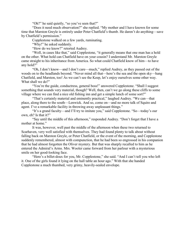"Oh?" he said quietly, "so you've seen that?"

"Does it need much observation?" she replied. "My mother and I have known for some time that Marston Greyle is entirely under Peter Chatfield's thumb. He daren't do anything—save by Chatfield's permission."

Copplestone walked on a few yards, ruminating.

"Why!" he asked suddenly.

"How do we know?" retorted Audrey.

"Well, in cases like that," said Copplestone, "it generally means that one man has a hold on the other. What hold can Chatfield have on your cousin? I understand Mr. Marston Greyle came straight to his inheritance from America. So what could Chatfield know of him—to have any hold?"

"Oh, I don't know—and I don't care—much," replied Audrey, as they passed out of the woods on to the headlands beyond. "Never mind all that—here's the sea and the open sky—hang Chatfield, and Marston, too! As we can't see the Keep, let's enjoy ourselves some other way. What shall we do?"

"You're the guide, conductress, general boss!" answered Copplestone. "Shall I suggest something that sounds very material, though? Well, then, can't we go along these cliffs to some village where we can find a nice old fishing inn and get a simple lunch of some sort?"

"That's certainly material and eminently practical," laughed Audrey. "We can—that place, along there to the south—Lenwick. And so, come on—and no more talk of Squire and agent. I've a remarkable facility in throwing away unpleasant things."

"It's a grand faculty—and I'll try to imitate you," said Copplestone. "So—today's our own, eh? Is that it?"

"Say until the middle of this afternoon," responded Audrey. "Don't forget that I have a mother at home."

It was, however, well past the middle of the afternoon when these two returned to Scarhaven, very well satisfied with themselves. They had found plenty to talk about without falling back on Marston Greyle, or Peter Chatfield, or the event of the morning, and Copplestone suddenly remembered, almost with compunction, that he had been so engrossed in his companion that he had almost forgotten the Oliver mystery. But that was sharply recalled to him as he entered the Admiral's Arms. Mrs. Wooler came forward from her parlour with a mysterious smile on her good-looking face.

"Here's a billet-doux for you, Mr. Copplestone," she said. "And I can't tell you who left it. One of the girls found it lying on the hall table an hour ago." With that she handed Copplestone a much thumbed, very grimy, heavily-sealed envelope.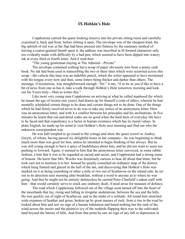#### IX Hobkin's Hole

Copplestone carried the queer-looking missive into his private sitting room and carefully examined it, back and front, before slitting it open. The envelope was of the cheapest kind, the big splotch of red wax at the flap had been pressed into flatness by the summary method of forcing a coarse-grained thumb upon it; the address was inscribed in ill-formed characters only too evidently made with difficulty by a bad pen, which seemed to have been dipped into watery ink at every third or fourth letter. And it read thus:

"The young gentleman staying at The Admiral—Private"

The envelope contained nothing but a scrap of paper obviously torn from a penny cash book. No ink had been used in transcribing the two or three lines which were scrawled across this scrap—the vehicle this time was an indelible pencil, which the writer appeared to have moistened with his tongue every now and then, some letters being thicker and darker than others. The message, if mysterious, was straightforward enough. "Sir," it ran, "if so be as you'd like to have a bit of news from one as has it, take a walk through Hobkin's Hole tomorrow morning and look out for Yours truly—Him as writes this."

Like most very young men Copplestone on arriving at what he called manhood (by which he meant the age of twenty-one years), had drawn up for himself a code of ethics, wherein he had mentally scheduled certain things to be done and certain things not to be done. One of the things which he had firmly resolved never to do was to take any notice of an anonymous letter. Here was an anonymous letter, and with it a conflict between his principles and his inclinations. In five minutes he learnt that cut-and-dried codes are no good when the hard facts of everyday life have to be faced and that expediency is a factor in human existence which has its moral values. In plain English, he made up his mind to visit Hobkin's Hole next morning and find out who the unknown correspondent was.

He was half tempted to go round to the cottage and show the queer scrawl to Audrey Greyle, of whom, having passed six delightful hours in her company—he was beginning to think much more than was good for him, unless he intended to begin thinking of her always. But he was still young enough to have a spice of bashfulness about him, and he did not want to seem too pushing or forward. Again, it seemed to him that the anonymous letter conveyed, in some subtle fashion, a hint that it was to be regarded as sacred and secret, and Copplestone had a strong sense of honour. He knew that Mrs. Wooler was femininely curious to hear all about that letter, but he took care not to mention it to her. Instead he quietly consulted an ordnance map of the district which hung framed and glazed in the hall of the inn, and discovering that Hobkin's Hole was marked on it as being something or other a mile or two out of Scarhaven on the inland side, he set out in its direction next morning after breakfast, without a word to anyone as to where he was going. And that he might not be entirely defenceless he carried Peter Chatfield's oaken staff with him—that would certainly serve to crack any ordinary skull, if need arose for measure of defence.

The road which Copplestone followed out of the village soon turned off into the heart of the moorlands that lay, rising and falling in irregular undulations, between the sea and the hills. He was quickly out of sight of Scarhaven, and in the midst of a solitude. All round him stretched wide expanses of heather and gorse, broken up by great masses of rock: from a rise in the road he looked about him and saw no sign of a human habitation and heard nothing but the rush of the wind across the moors and the plaintive cry of the seabirds flapping their way to the cultivated land beyond the barrier of hills. And from that point he saw no sign of any fall or depression in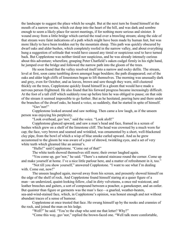the landscape to suggest the place which he sought. But at the next turn he found himself at the mouth of a narrow ravine, which cut deep into the heart of the hill, and was dark and sombre enough to seem a likely place for secret meetings, if for nothing more serious and sinister. It wound away from a little bridge which carried the road over a brawling stream; along the side of that stream were faint indications of a path which might have been made by human feet, but was more likely to have been trodden out by the mountain sheep. This path was quickly obscured by dwarf oaks and alder bushes, which completely roofed in the narrow valley, and about everything hung a suggestion of solitude that would have caused any timid or suspicious soul to have turned back. But Copplestone was neither timid nor suspicious, and he was already intensely curious about this adventure; wherefore, grasping Peter Chatfield's oaken cudgel firmly in his right hand, he jumped over the bridge and followed the narrow path into the gloom of the trees.

He soon found that the valley resolved itself into a narrow and rocky defile. The stream, level at first, soon came tumbling down amongst huge boulders; the path disappeared; out of the oaks and alder high cliffs of limestones began to lift themselves. The morning was unusually dark and grey, even for October, and as leaves, brown and sere though they were, still clustered thickly on the trees, Copplestone quickly found himself in a gloom that would have made a nervous person frightened. He also found that his forward progress became increasingly difficult. At the foot of a tall cliff which suddenly rose up before him he was obliged to pause; on that side of the stream it seemed impossible to go further. But as he hesitated, peering here and there under the branches of the dwarf oaks, he heard a voice, so suddenly, that he started in spite of himself.

"Guv'nor!"

Copplestone looked around and saw nothing. Then came a low laugh, as if the unseen person was enjoying his perplexity.

"Look overhead, guv'nor," said the voice. "Look aloft!"

Copplestone glanced upward, and saw a man's head and face, framed in a screen of bushes which grew on a shelf of the limestone cliff. The head was crowned by a much worn fur cap; the face, very brown and seamed and wrinkled, was ornamented by a short, well-blackened clay pipe, from the bowl of which a wisp of blue smoke curled upward. And as he grew accustomed to the gloom he was aware of a pair of shrewd, twinkling eyes, and a set of very white teeth which gleamed like an animal's.

"Hullo!" said Copplestone. "Come out of that!"

The white teeth showed themselves still more; their owner laughed again.

"You come up, guv'nor," he said. "There's a natural staircase round the corner. Come up and make yourself at home. I've a nice little parlour here, and a matter of refreshment in it, too."

"Not till you show yourself," answered Copplestone. "I want to see what I'm dealing with. Come out, now!"

The unseen laughed again, moved away from his screen, and presently showed himself on the edge of the shelf of rock. And Copplestone found himself staring at a queer figure of a man—an undersized, quaint-looking fellow, clad in dirty velveteens, a once red waistcoat, and leather breeches and gaiters, a sort of compound between a poacher, a gamekeeper, and an ostler. But quainter than figure or garments was the man's face—a gnarled, weather-beaten, sea-and-wind-stained face, which, in Copplestone's opinion, was honest enough and not without abundant traces of a sense of humour.

Copplestone at once trusted that face. He swung himself up by the nooks and crannies of the rock, and joined the man on his ledge.

"Well?" he said. "You're the chap who sent me that letter? Why?"

"Come this way, guv'nor," replied the brown-faced one. "Well talk more comfortable,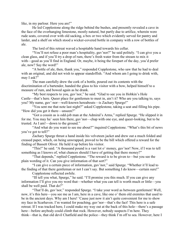like, in my parlour. Here you are!"

He led Copplestone along the ridge behind the bushes, and presently revealed a cave in the face of the overhanging limestone, mostly natural, but partly due to artifice, wherein were rude seats, covered over with old sacking, a box or two which evidently served for pantry and larder, and a shelf on which stood a wicker-covered bottle in company with a row of bottles of ale.

The lord of this retreat waved a hospitable hand towards his cellar.

"You'll not refuse a poor man's hospitality, guv'nor?" he said politely. "I can give you a clean glass, and if you'll try a drop of rum, there's fresh water from the stream to mix it with—good as you'll find in England. Or, maybe, it being the forepart of the day, you'd prefer ale, now? Say the word!"

"A bottle of ale, then, thank you," responded Copplestone, who saw that he had to deal with an original, and did not wish to appear standoffish. "And whom am I going to drink with, may I ask?"

The man carefully drew the cork of a bottle, poured out its contents with the discrimination of a bartender, handed the glass to his visitor with a bow, helped himself to a measure of rum, and bowed again as he drank.

"My best respects to you, guv'nor," he said. "Glad to see you in Hobkin's Hole Castle—that's here. Queer place for gentlemen to meet in, ain't it? Who are you talking to, says you? My name, guv'-nor—well-known hereabouts—is Zachary Spurge!"

"You sent me that note last night?" asked Copplestone, taking a seat and filling his pipe. "How did you get it there—unseen?"

"Got a cousin as is odd-job man at the Admiral's Arms," replied Spurge. "He slipped it in for me. You may ha' seen him there, guv'nor—chap with one eye, and queer-looking, but to be trusted. As I am!—down to the ground."

"And what do you want to see me about?" inquired Copplestone. "What's this bit of news you've got to tell?"

Zachary Spurge thrust a hand inside his velveteen jacket and drew out a much folded and creased paper, which, on being unwrapped, proved to be the bill which offered a reward for the finding of Bassett Oliver. He held it up before his visitor.

"This!" he said. "A thousand pound is a vast lot o' money, guv'nor! Now, if I was to tell something as I knows of, what chances should I have of getting that there money?"

"That depends," replied Copplestone. "The reward is to be given to—but you see the plain wording of it. Can you give information of that sort?"

"I can give a certain piece of information, guv'nor," said Spurge. "Whether it'll lead to the finding of that there gentleman or not I can't say. But something I do know—certain sure!"

Copplestone reflected awhile.

"Ill tell you what, Spurge," he said. "I'll promise you this much. If you can give any information I'll give you my word that—whether what you can tell is worth much or little—you shall be well paid. That do?"

"That'll do, guv'nor," responded Spurge. "I take your word as between gentlemen! Well, now, it's this here—you see me as I am, here in a cave, like one o' them old eremites that used to be in the ancient days. Why am I here! 'Cause just now it ain't quite convenient for me to show my face in Scarhaven. I'm wanted for poaching, guv'nor—that's the fact! This here is a safe retreat. If I was tracked here, I could make my way out at the back of this hole—there's a passage here—before anybody could climb that rock. However, nobody suspects I'm here. They think—that is, that old devil Chatfield and the police—they think I'm off to sea. However, here I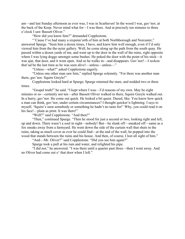am—and last Sunday afternoon as ever was, I was in Scarhaven! In the wood I was, guv'nor, at the back of the Keep. Never mind what for—I was there. And at precisely ten minutes to three o'clock I saw Bassett Oliver."

"How did you know him?" demanded Copplestone.

"'Cause I've had many a sixpenn'orth of him at both Northborough and Norcaster," answered Spurge. "Seen him a dozen times, I have, and knew him well enough, even if I'd only viewed him from the the-ayter gallery. Well, he come along up the path from the south quay. He passed within a dozen yards of me, and went up to the door in the wall of the ruins, right opposite where I was lying doggo amongst some bushes. He poked the door with the point of his stick—it was ajar, that door, and it went open. And so he walks in—and disappears. Guv'nor!—I reckon that'ud be the last time as he was seen alive!—unless—unless—"

"Unless—what?" asked Copplestone eagerly.

"Unless one other man saw him," replied Spurge solemnly. "For there was another man there, guv'nor. Squire Greyle!"

Copplestone looked hard at Spurge; Spurge returned the stare, and nodded two or three times.

"Gospel truth!" he said. "I kept where I was—I'd reasons of my own. May be eight minutes or so—certainly not ten—after Bassett Oliver walked in there, Squire Greyle walked out. In a hurry, guv'nor. He come out quick. He looked a bit queer. Dazed, like. You know how quick a man can think, guv'nor, under certain circumstances? I thought quicker'n lightning. I says to myself, 'Squire's seen somebody or something he hadn't no taste for!' Why, you could read it on his face!—plain as print. It was there!"

"Well?" said Copplestone. "And then?"

"Then," continued Spurge. "Then he stood for just a second or two, looking right and left, up and down. There wasn't a soul in sight—nobody! But—he slunk off—sneaked off—same as a fox sneaks away from a farmyard. He went down the side of the curtain wall that shuts in the ruins, taking as much cover as ever he could find—at the end of the wall, he popped into the wood that stands between the ruins and his house. And then, of course, I lost all sight of him."

"And—Mr. Oliver?" said Copplestone. "Did you see him again?"

Spurge took a pull at his rum and water, and relighted his pipe.

"I did not," he answered. "I was there until a quarter past three—then I went away. And no Oliver had come out o' that door when I left."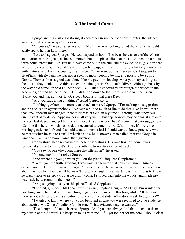## X The Invalid Curate

Spurge and his visitor sat staring at each other in silence for a few minutes; the silence was eventually broken by Copplestone.

"Of course," he said reflectively, "if Mr. Oliver was looking round those ruins he could easily spend half an hour there."

"Just so," agreed Spurge. "He could spend an hour. If so be as he was one of these here antiquarian-minded gents, as loves to potter about old places like that, he could spend two hours, three hours, profitable-like. But he'd have come out in the end, and the evidence is, guv'nor, that he never did come out! Even if I am just now lying up, as it were, I'm fully what they term oh fay with matters, and, by all accounts, after Bassett Oliver went up that there path, subsequent to his bit of talk with Ewbank, he was never seen no more 'cepting by me, and possibly by Squire Greyle. Them as lives a good deal alone, like me guv'nor, develops what you may call logical faculties—they thinks—and thinks deep. I've thought. B. O.—that's Oliver—didn't go back by the way he'd come, or he'd ha' been seen. B. O. didn't go forward or through the woods to the headlands, or he'd ha' been seen, B. O. didn't go down to the shore, or he'd ha' been seen. 'Twixt you and me, guv'nor, B. O.'s dead body is in that there Keep!"

"Are you suggesting anything?" asked Copplestone.

"Nothing, guv'nor—no more than that," answered Spurge. "I'm making no suggestion and no accusation against nobody. I've seen a bit too much of life to do that. I've known more than one innocent man hanged there at Norcaster Gaol in my time all through what they call circumstantial evidence. Appearances is all very well—but appearances may be against a man to the very last degree, and yet him be as innocent as a new born baby! No—I make no suggestions. 'Cepting this here—which has no doubt occurred to you, or to B. O.'s brother. If I were the missing gentleman's friends I should want to know a lot! I should want to know precisely what he meant when he said to Dan'l Ewbank as how he'd known a man called Marston Greyle in America. 'Taint a common name, that, guv'nor."

Copplestone made no answer to these observations. His own train of thought was somewhat similar to his host's. And presently he turned to a different track.

"You saw no one else about there that afternoon?" he asked.

"No one, guv'nor," replied Spurge.

"And where did you go when you left the place?" inquired Copplestone.

"To tell you the truth, guv'nor, I was waiting there for that cousin o' mine—him as carried you the letter," answered Spurge. "It was a fixture between us—he was to meet me there about three o'clock that day. If he wasn't there, or in sight, by a quarter past three I was to know he wasn't able to get away. So as he didn't come, I slipped back into the woods, and made my way back here, round by the moors."

"Are you going to stay in this place?" asked Copplestone.

"For a bit, guv'nor—till I see how things are," replied Spurge. "As I say, I'm wanted for poaching, and Chatfield's been watching to get his knife into me this long while. All the same, if more serious things drew his attention off, he might let it slide. What do you ask for, guv'nor?"

"I wanted to know where you could be found in case you were required to give evidence about seeing Mr. Oliver," replied Copplestone. "That evidence may be wanted."

"I've thought of that," observed Spurge. "And you can always find that much out from my cousin at the Admiral. He keeps in touch with me—if it got too hot for me here, I should clear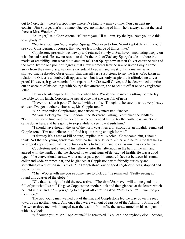out to Norcaster—there's a spot there where I've laid low many a time. You can trust my cousin—Jim Spurge, that's his name. One eye, no mistaking of him—he's always about the yard there at Mrs. Wooler's."

"All right," said Copplestone. "If I want you, I'll tell him. By the bye, have you told this to anybody?"

"Not to a soul, guv'nor," replied Spurge. "Not even to Jim. No—I kept it dark till I could see you. Considering, of course, that you are left in charge of things, like."

Copplestone presently went away and returned slowly to Scarhaven, meditating deeply on what he had heard. He saw no reason to doubt the truth of Zachary Spurge's tale—it bore the marks of credibility. But what did it amount to? That Spurge saw Bassett Oliver enter the ruins of the Keep, by the one point of ingress; that a few moments later he saw Marston Greyle come away from the same place, evidently considerably upset, and sneak off in a manner which showed that he dreaded observation. That was all very suspicious, to say the least of it, taken in relation to Oliver's undoubted disappearance—but it was only suspicion; it afforded no direct proof. However, it gave material for a report to Sir Cresswell Oliver, and he determined to write out an account of his dealings with Spurge that afternoon, and to send it off at once by registered letter.

He was busily engaged in this task when Mrs. Wooler came into his sitting room to lay the table for his lunch. Copplestone saw at once that she was full of news.

"Never rains but it pours!" she said with a smile. "Though, to be sure, it isn't a very heavy shower. I've got another visitor now, Mr. Copplestone."

"Oh?" responded Copplestone, not particularly interested. "Indeed!"

"A young clergyman from London—the Reverend Gilling," continued the landlady. "Been ill for some time, and his doctor has recommended him to try the north coast air. So he came down here, and he's going to stop awhile to see how it suits him."

"I should have thought the air of the north coast was a bit strong for an invalid," remarked Copplestone. "I'm not delicate, but I find it quite strong enough for me."

"I daresay it's a case of kill or cure," replied Mrs. Wooler. "Chest complaint, I should think. Not that the young gentleman looks particularly delicate, either, and he tells me that he's a very good appetite and that his doctor says he's to live well and to eat as much as ever he can."

Copplestone got a view of his fellow-visitor that afternoon in the hall of the inn, and agreed with the landlady that he showed no evident signs of delicacy of health. He was a good type of the conventional curate, with a rather pale, good-humoured face set between his round collar and wide brimmed hat, and he glanced at Copplestone with friendly curiosity and something of a question in his eyes. And Copplestone, out of good neighbourliness, stopped and spoke to him.

"Mrs. Wooler tells me you're come here to pick up," he remarked. "Pretty strong air round this quarter of the globe!"

"Oh, that's all right!" said the new arrival. "The air of Scarhaven will do me good—it's full of just what I want." He gave Copplestone another look and then glanced at the letters which he held in his hand. "Are you going to the post office?" he asked. "May I come?—I want to go there, too."

The two young men walked out of the inn, and Copplestone led the way down the road towards the northern quay. And once they were well out of earshot of the Admiral's Arms, and the two or three men who lounged near the wall in front of it, the curate turned to his companion with a sly look.

"Of course you're Mr. Copplestone?" he remarked. "You can't be anybody else—besides,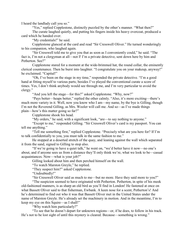I heard the landlady call you so."

"Yes," replied Copplestone, distinctly puzzled by the other's manner. "What then?" The curate laughed quietly, and putting his fingers inside his heavy overcoat, produced a card which he handed over.

"My credentials!" he said.

Copplestone glanced at the card and read "Sir Cresswell Oliver." He turned wonderingly to his companion, who laughed again.

"Sir Cresswell told me to give you that as soon as I conveniently could," he said. "The fact is, I'm not a clergyman at all—not I! I'm a private detective, sent down here by him and Petherton. See?"

Copplestone stared for a moment at the wide-brimmed hat, the round collar, the eminently clerical countenance. Then he burst into laughter. "I congratulate you on your makeup, anyway!" he exclaimed. "Capital!"

"Oh, I've been on the stage in my time," responded the private detective. "I'm a good hand at fitting myself to various parts; besides I've played the conventional curate a score of times. Yes, I don't think anybody would see through me, and I'm very particular to avoid the clergy."

"And you left the stage—for this?" asked Copplestone. "Why, now?"

"Pays better—heaps better," replied the other calmly. "Also, it's more exciting—there's much more variety in it. Well, now you know who I am—my name, by the bye is Gilling, though I'm not the Reverend Gilling, as Mrs. Wooler will call me. And so—as I've made things plain—how's this matter going so far?"

Copplestone shook his head.

"My orders," he said, with a significant look, "are—to say nothing to anyone."

"Except to me," responded Gilling. "Sir Cresswell Oliver's card is my passport. You can tell me anything."

"Tell me something first," replied Copplestone. "Precisely what are you here for? If I'm to talk confidentially to you, you must talk in the same fashion to me."

He stopped at a deserted stretch of the quay, and leaning against the wall which separated it from the sand, signed to Gilling to stop also.

"If we're going to have a quiet talk," he went on, "we'd better have it now—no one's about, and if anyone sees us from a distance they'll only think we're, what we look to be—casual acquaintances. Now—what is your job?"

Gilling looked about him and then perched himself on the wall.

"To watch Marston Greyle," he replied.

"They suspect him?" asked Copplestone.

"Undoubtedly!"

"Sir Cresswell Oliver said as much to me—but no more. Have they said more to you?"

"The suspicion seemed to have originated with Petherton. Petherton, in spite of his meek old-fashioned manners, is as sharp an old bird as you'll find in London! He fastened at once on what Bassett Oliver said to that fisherman, Ewbank. A keen nose for a scent, Petherton's! And he's determined to find out who it was that Bassett Oliver met in the United States under the name of Marston Greyle. He's already set the machinery in motion. And in the meantime, I'm to keep my eye on this Squire—as I shall!"

"Why watch him particularly?"

"To see that he doesn't depart for unknown regions—or, if he does, to follow in his track. He's not to be lost sight of until this mystery is cleared. Because—something is wrong."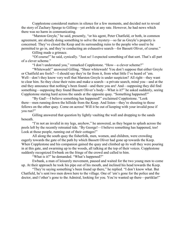Copplestone considered matters in silence for a few moments, and decided not to reveal the story of Zachary Spurge to Gilling—yet awhile at any rate. However, he had news which there was no harm in communicating.

"Marston Greyle," he said, presently, "or his agent, Peter Chatfield, or both, in common agreement, are already doing something to solve the mystery—so far as Greyle's property is concerned. They've closed the Keep and its surrounding ruins to the people who used to be permitted to go in, and they're conducting an exhaustive search—for Bassett Oliver, of course."

Gilling made a grimace.

"Of course!" he said, cynically. "Just so! I expected something of that sort. That's all part of a clever scheme."

"I don't understand you," remarked Copplestone. "How—a clever scheme?"

"Whitewash!" answered Gilling. "Sheer whitewash! You don't suppose that either Greyle or Chatfield are fools?—I should say they're far from it, from what little I've heard of 'em. Well—don't they know very well that Marston Greyle is under suspicion? All right—they want to clear him. So they close their ruins and make a search—a private search, mind you—and at the end they announce that nothing's been found—and there you are! And—supposing they did find something—supposing they found Bassett Oliver's body—What is it?" he asked suddenly, seeing Copplestone staring hard across the sands at the opposite quay. "Something happened?"

"By Gad!—I believe something has happened!" exclaimed Copplestone. "Look there—men running down the hillside from the Keep. And listen—they're shouting to those fellows on the other quay. Come on across! Will it be out of keeping with your invalid pose if you run?"

Gilling answered that question by lightly vaulting the wall and dropping to the sands beneath.

"I'm not an invalid in my legs, anyhow," he answered, as they began to splash across the pools left by the recently retreated tide. "By George!—I believe something has happened, too! Look at those people, running out of their cottages!"

All along the south quay the fisherfolk, men, women, and children, were crowding eagerly towards the gate of the path by which Bassett Oliver had gone up towards the Keep. When Copplestone and his companion gained the quay and climbed up its wall they were pouring in at this gate, and swarming up to the woods, all talking at the top of their voices. Copplestone suddenly recognized Ewbank on the fringe of the crowd and called to him.

"What is it?" he demanded. "What's happened?"

Ewbank, a man of leisurely movement, paused and waited for the two young men to come up. At their approach he took his pipe out of his mouth, and inclined his head towards the Keep.

"They're saying something's been found up there," he replied. "I don't know what. But Chatfield, he's sent two men down here to the village. One of 'em's gone for the police and the doctor, and t'other's gone to the Admiral, looking for you. You're wanted up there—partiklar!"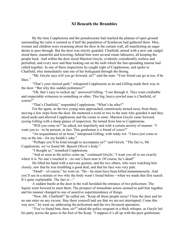## XI Beneath the Brambles

By the time Copplestone and the pseudocurate had reached the plateau of open ground surrounding the ruins it seemed as if half the population of Scarhaven had gathered there. Men, women and children were swarming about the door in the curtain wall, all manifesting an eager desire to pass through. But the door was strictly guarded. Chatfield, armed with a new oak cudgel stood there, masterful and lowering; behind him were several estate labourers, all keeping the people back. And within the door stood Marston Greyle, evidently considerably restless and perturbed, and every now and then looking out on the mob which the fast-spreading rumour had called together. In one of these inspections he caught sight of Copplestone, and spoke to Chatfield, who immediately sent one of his bodyguard through the throng.

"Mr. Greyle says will you go forward, sir?" said the man. "Your friend can go in too, if he likes."

"That's your clerical garb," whispered Copplestone as he and Gilling made their way to the door. "But why this sudden politeness?"

"Oh, that's easy to reckon up," answered Gilling. "I see through it. They want creditable and respectable witnesses to something or other. This big, heavy-jowled man is Chatfield, of course?"

"That's Chatfield," responded Copplestone. "What's he after?"

For the agent, as the two young men approached, ostentiously turned away from them, moving a few steps from the door. He muttered a word or two to the men who guarded it and they stood aside and allowed Copplestone and the curate to enter. Marston Greyle came forward, eyeing Gilling with a sharp glance of inspection. He turned from him to Copplestone.

"Will you come in?" he asked, not impolitely and with a certain anxiety of manner. "I want you to—to be present, in fact. This gentleman is a friend of yours?"

"An acquaintance of an hour," interposed Gilling, with ready wit. "I have just come to stay at the inn—for my health's sake."

"Perhaps you'll be kind enough to accompany us?" said Greyle. "The fact is, Mr. Copplestone, we've found Mr. Bassett Oliver's body."

"I thought so," remarked Copplestone.

"And as soon as the police come up," continued Greyle, "I want you all to see exactly where it is. No one's touched it—no one's been near it. Of course, he's dead!"

He lifted his hand with a nervous gesture, and the two others, who were watching him closely, saw that he was trembling a good deal, and that his face was very pale.

"Dead!—of course," he went on. "He—he must have been killed instantaneously. And you'll see in a minute or two why the body wasn't found before—when we made that first search. It's quite explainable. The fact is—"

A sudden bustle at the door in the wall heralded the entrance of two policemen. The Squire went forward to meet them. The prospect of immediate action seemed to pull him together and his manner changed to one of assertive superintendence of things.

"Now, Mr. Chatfield!" he called out. "Keep all these people away! Close the door and let no one enter on any excuse. Stay there yourself and see that we are not interrupted. Come this way now," he went on, addressing the policemen and the two favoured spectators.

"You've found him, then, sir?" asked the police sergeant in a thick whisper, as Greyle led his party across the grass to the foot of the Keep. "I suppose it's all up with the poor gentleman;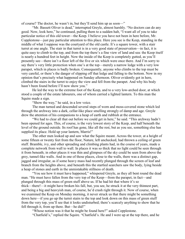of course? The doctor, he wasn't in, but they'll send him up as soon—"

"Mr. Bassett Oliver is dead," interrupted Greyle, almost harshly. "No doctors can do any good. Now, look here," he continued, pulling them to a sudden halt, "I want all of you to take particular notice of this old tower—the Keep. I believe you have not been in here before, Mr. Copplestone—just pay particular attention to this place. Here you see is the Keep, standing in the middle of what I suppose was the courtyard of the old castle. It's a square tower, with a stair turret at one angle. The stair in that turret is in a very good state of preservation—in fact, it is quite easy to climb to the top, and from the top there's a fine view of land and sea: the Keep itself is nearly a hundred feet in height. Now the inside of the Keep is completely gutted, as you'll presently see—there isn't a floor left of the five or six which were once there. And I'm sorry to say there's very little protection when one's at the top—merely a narrow ledge with a very low parapet, which in places is badly broken. Consequently, anyone who climbs to the top must be very careful, or there's the danger of slipping off that ledge and falling to the bottom. Now in my opinion that's precisely what happened on Sunday afternoon. Oliver evidently got in here, climbed the stairs in the turret to enjoy the view and fell from the parapet. And why his body hasn't been found before I'll now show you."

He led the way to the extreme foot of the Keep, and to a very low-arched door, at which stood a couple of the estate labourers, one of whom carried a lighted lantern. To this man the Squire made a sign.

"Show the way," he said, in a low voice.

The man turned and descended several steps of worn and moss-covered stone which led through the archway into a dark, cellar-like place smelling strongly of damp and age. Greyle drew the attention of his companions to a heap of earth and rubbish at the entrance.

"We had to clear all that out before we could get in here," he said. "This archway hadn't been opened for ages. This, of course, is the very lowest story of the Keep, and half beneath the level of the ground outside. Its roof has gone, like all the rest, but as you see, something else has supplied its place. Hold up your lantern, Marris!"

The other men looked up and saw what the Squire meant. Across the tower, at a height of some fifteen or twenty feet from the floor, Nature, left unchecked, had thrown a ceiling of green stuff. Bramble, ivy, and other spreading and climbing plants had, in the course of years, made a complete network from wall to wall. In places it was so thick that no light could be seen through it from beneath; in other places it was thin and glimpses of the sky could be seen from above the grey, tunnel-like walls. And in one of those places, close to the walls, there was a distinct gap, jagged and irregular, as if some heavy mass had recently plunged through the screen of leaf and branch from the heights above, and beneath this the startled searchers saw the body, lying beside a heap of stones and earth in the unmistakable stillness of death.

"You see how it must have happened," whispered Greyle, as they all bent round the dead man. "He must have fallen from the very top of the Keep—from the parapet, in fact—and plunged through this mass of green stuff above us. If he had hit that where it's so thick—there!—it might have broken his fall, but, you see, he struck it at the very thinnest part, and being a big and heavyish man, of course, he'd crash right through it. Now of course, when we examined the Keep on Monday morning, it never struck us that there might be something down here—if you go up the turret stairs to the top and look down on this mass of green stuff from the very top, you'll see that it looks undisturbed; there's scarcely anything to show that he fell through it, from up there. But—he did!"

"Whose notion was it that he might be found here?" asked Copplestone.

"Chatfield's," replied the Squire. "Chatfield's. He and I were up at the top there, and he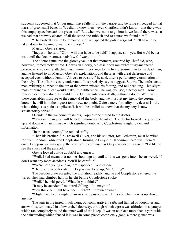suddenly suggested that Oliver might have fallen from the parapet and be lying embedded in that mass of green stuff beneath. We didn't know then—even Chatfield didn't know—that there was this empty space beneath the green stuff. But when we came to go into it, we found there was, so we had that archway cleared of all the stone and rubbish and of course we found him."

"The body'll have to be removed, sir," whispered the police sergeant. "It'll have to be taken down to the inn, to wait the inquest."

Marston Greyle started.

"Inquest!" he said. "Oh!—will that have to be held? I suppose so—yes. But we'd better wait until the doctor comes, hadn't we? I want him—"

The doctor came into the gloomy vault at that moment, escorted by Chatfield, who, however, immediately retired. He was an elderly, old-fashioned somewhat fussy-mannered person, who evidently attached much more importance to the living Squire than to the dead man, and he listened to all Marston Greyle's explanations and theories with great deference and accepted each without demur. "Ah yes, to be sure!" he said, after a perfunctory examination of the body. "The affair is easily understood. It is precisely as you suggest, Squire. The unfortunate man evidently climbed to the top of the tower, missed his footing, and fell headlong. That slight mass of branch and leaf would make little difference—he was, you see, a heavy man—some fourteen or fifteen stone, I should think. Oh, instantaneous death, without a doubt! Well, well, these constables must see to the removal of the body, and we must let my friend the coroner know—he will hold the inquest tomorrow, no doubt. Quite a mere formality, my dear sir!—the whole thing is as plain as a pikestaff. It will be a relief to know that the mystery is now satisfactorily solved."

Outside in the welcome freshness, Copplestone turned to the doctor.

"You say the inquest will be held tomorrow?" he asked. The doctor looked his questioner up and down with an inquiry which signified doubt as to Copplestone's right to demand information.

"In the usual course," he replied stiffly.

"Then his brother, Sir Cresswell Oliver, and his solicitor, Mr. Petherton, must be wired for from London," observed Copplestone, turning to Greyle. "I'll communicate with them at once. I suppose we may go up the tower?" he continued as Greyle nodded his assent. "I'd like to see the stairs and the parapet."

Greyle looked a little doubtful and uneasy.

"Well, I had meant that no one should go up until all this was gone into," he answered. "I don't want any more accidents. You'll be careful?"

"We're both young and agile," responded Copplestone.

"There's no need for alarm. Do you care to go up, Mr. Gilling?"

The pseudocurate accepted the invitation readily, and he and Copplestone entered the turret. They had climbed half its height before Copplestone spoke.

"Well?" he whispered. "What do you think?"

"It may be accident," muttered Gilling. "It—mayn't."

"You think he might have been—what?—thrown down?"

"Might have been caught unawares, and pushed over. Let's see what there is up above, anyway."

The stair in the turret, much worn, but comparatively safe, and lighted by loopholes and arrow-slits, terminated in a low arched doorway, through which egress was afforded to a parapet which ran completely round the inner wall of the Keep. It was in no place more than a yard wide; the balustrading which fenced it in was in some places completely gone, a mere glance was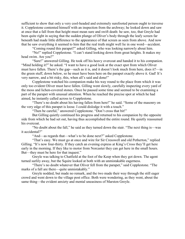sufficient to show that only a very cool-headed and extremely surefooted person ought to traverse it. Copplestone contented himself with an inspection from the archway; he looked down and saw at once that a fall from that height must mean sure and swift death: he saw, too, that Greyle had been quite right in saying that the sudden plunge of Oliver's body through the leafy screen far beneath had made little difference to the appearance of that screen as seen from above. And now that he saw everything it seemed to him that the real truth might well lie in one word—accident.

"Coming round this parapet?" asked Gilling, who was looking narrowly about him.

"No!" replied Copplestone. "I can't stand looking down from great heights. It makes my head swim. Are you?"

"Sure!" answered Gilling. He took off his heavy overcoat and handed it to his companion. "Mind holding it?" he asked. "I want to have a good look at the exact spot from which Oliver must have fallen. There's the gap—such as it is, and it doesn't look much from here, does it?—in the green stuff, down below, so he must have been here on the parapet exactly above it. Gad! It's very narrow, and a bit risky, this, when all's said and done!"

Copplestone watched his companion make his way round to the place from which it was only too evident Oliver must have fallen. Gilling went slowly, carefully inspecting every yard of the moss and lichen-covered stones. Once he paused some time and seemed to be examining a part of the parapet with unusual attention. When he reached the precise spot at which he had aimed, he instantly called across to Copplestone.

"There's no doubt about his having fallen from here!" he said. "Some of the masonry on the very edge of this parapet is loose. I could dislodge it with a touch."

"Then be careful," answered Copplestone. "Don't cross that bit!"

But Gilling quietly continued his progress and returned to his companion by the opposite side from which he had set out, having thus accomplished the entire round. He quietly reassumed his overcoat.

"No doubt about the fall," he said as they turned down the stair. "The next thing is—was it accidental?"

"And—as regards that—what's to be done next?" asked Copplestone.

"That's easy. We must go at once and wire for Sir Cresswell and old Petherton," replied Gilling. "It's now four-thirty. If they catch an evening express at King's Cross they'll get here early in the morning. If they like to motor from Norcaster they can get here in the small hours. But—they must be here for that inquest."

Greyle was talking to Chatfield at the foot of the Keep when they got down. The agent turned surlily away, but the Squire looked at both with an unmistakable eagerness.

"There's no doubt whatever that Oliver fell from the parapet," said Copplestone. "The marks of a fall are there—quite unmistakably."

Greyle nodded, but made no remark, and the two made their way through the still eager crowd and went down to the village post office. Both were wondering, as they went, about the same thing—the evident anxiety and mental uneasiness of Marston Greyle.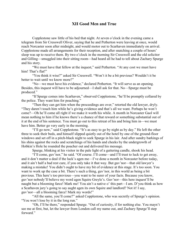## XII Good Men and True

Copplestone saw little of his bed that night. At seven o'clock in the evening came a telegram from Sir Cresswell Oliver, saying that he and Petherton were leaving at once, would reach Norcaster soon after midnight, and would motor out to Scarhaven immediately on arrival. Copplestone made all arrangements for their reception, and after snatching a couple of hours' sleep was up to receive them. By two o'clock in the morning Sir Cresswell and the old solicitor and Gilling—smuggled into their sitting room—had heard all he had to tell about Zachary Spurge and his story.

"We must have that fellow at the inquest," said Petherton. "At any cost we must have him! That's flat!"

"You think it wise?" asked Sir Cresswell. "Won't it be a bit previous? Wouldn't it be better to wait until we know more?"

"No—we must have his evidence," declared Petherton. "It will serve as an opening. Besides, this inquest will have to be adjourned—I shall ask for that. No—Spurge must be produced."

"If Spurge comes into Scarhaven," observed Copplestone, "he'll be promptly collared by the police. They want him for poaching."

"Then they can get him when the proceedings are over," retorted the old lawyer, dryly. "They daren't touch him while he's giving evidence and that's all we want. Perhaps he won't come?—Oh he'll come all right if we make it worth his while. A month in Norcaster Gaol will mean nothing to him if he knows there's a chance of that reward or something substantial out of it at the end of his sentence. You must go out to this retreat of his and bring him in—we must have him. Better go very early in the morning.

"I'll go now," said Copplestone. "It's as easy to go by night as by day." He left the other three to seek their beds, and himself slipped quietly out of the hotel by one of the ground-floor windows and set off in a pitch-black night to seek Spurge in his lair. And after sundry barkings of his shins against the rocks and scratchings of his hands and cheeks by the undergrowth of Hobkin's Hole he rounded the poacher out and delivered his message.

Spurge, blinking at his visitor in the pale light of a guttering candle, shook his head.

"I'll come, guv'nor," he said. "Of course. I'll come—and I'll trust to luck to get away, and it don't matter a deal if the luck's agen me—I've done a month in Norcaster before today, and it ain't half a bad rest cure, if you only take it that way. But guv'nor—that old lawyer's making a mistake! You didn't ought to have my bit of evidence at this stage. It's too soon. You want to work up the case a bit. There's such a thing, guv'nor, in this world as being a bit previous. This here's too previous—you want to be surer of your facts. Because you know, guv'nor nobody'll believe my word agen Squire Greyle's. Guv'nor—this here inquest'll be naught but a blooming farce! Mark me! You ain't a native o' this part—I am. D'you think as how a Scarhaven jury's going to say aught agen its own Squire and landlord? Not it! I say, guv'nor—all a blooming farce! Mark my words!"

"All the same, you'll come?" asked Copplestone, who was secretly of Spurge's opinion. "You won't lose by it in the long run."

"Oh, I'll be there," responded Spurge. "Out of curiosity, if for nothing else. You mayn't see me at first, but, let the lawyer from London call my name out, and Zachary Spurge'll step forward"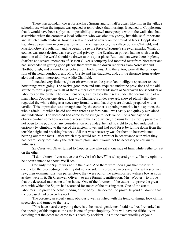There was abundant cover for Zachary Spurge and for half a dozen like him in the village schoolhouse when the inquest was opened at ten o'clock that morning. It seemed to Copplestone that it would have been a physical impossibility to crowd more people within the walls than had assembled when the coroner, a local solicitor, who was obviously testy, irritable, self-important and afflicted with deafness, took his seat and looked sourly on the crowd of faces. Copplestone had already seen him in conversation with the village doctor, the village police, Chatfield, and Marston Greyle's solicitor, and he began to see the force of Spurge's shrewd remarks. What, of course, was most desired was secrecy and privacy—the Scarhaven powers had no wish that the attention of all the world should be drawn to this quiet place. But outsiders were there in plenty. Stafford and several members of Bassett Oliver's company had motored over from Norcaster and had succeeded in getting good places: there were half a dozen reporters from Norcaster and Northborough, and plain-clothes police from both towns. And there, too, were all the principal folk of the neighbourhood, and Mrs. Greyle and her daughter, and, a little distance from Audrey, alert and keenly interested, was Addie Chatfield.

It needed very little insight or observation on the part of an intelligent spectator to see how things were going. The twelve good men and true, required under the provisions of the old statute to form a jury, were all of them either Scarhaven tradesmen or Scarhaven householders or labourers on the estate. Their countenances, as they took their seats under the foremanship of a man whom Copplestone already knew as Chatfield's under steward, showed plainly that they regarded the whole thing as a necessary formality and that they were already prepared with a verdict. This impression was strengthened by the coroner's opening remarks. In his opinion, the whole affair—to which he did not even refer as unfortunate—was easily and quickly explained and understood. The deceased had come to the village to look round—on a Sunday be it observed—had somehow obtained access to the Keep, where, the ruins being strictly private and not open to the public on any consideration on Sunday, he had no right to be; had indulged his curiosity by climbing to the top of the ancient tower and had paid for it by falling down from that terrible height and breaking his neck. All that was necessary was for them to hear evidence bearing out these facts—after which they would return a verdict in accordance with what they had heard. Very fortunately the facts were plain, and it would not be necessary to call many witnesses.

Sir Cresswell Oliver turned to Copplestone who sat at one side of him, while Petherton sat on the other.

"I don't know if you notice that Greyle isn't here?" he whispered grimly. "In my opinion, he doesn't intend to show! We'll see!"

Certainly the Squire was not in the place. And there were soon signs that those who conducted the proceedings evidently did not consider his presence necessary. The witnesses were few; their examinations was perfunctory; they were out of the extemporised witness box as soon as they were in it. Sir Cresswell Oliver—to give formal identification. Mrs. Wooler—to prove that the deceased man came to her house. One of the foremen of the estate—to prove the great care with which the Squire had searched for traces of the missing man. One of the estate labourers—to prove the actual finding of the body. The doctor—to prove, beyond all doubt, that the deceased had broken his neck.

The coroner, an elderly man, obviously well satisfied with the trend of things, took off his spectacles and turned to the jury.

"You have heard everything there is to be heard, gentlemen," said he. "As I remarked at the opening of this inquest, the case is one of great simplicity. You will have no difficulty in deciding that the deceased came to his death by accident—as to the exact wording of your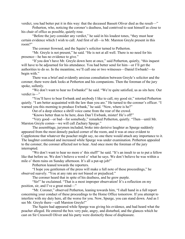verdict, you had better put it in this way: that the deceased Bassett Oliver died as the result—"

Petherton, who, noticing the coroner's deafness, had contrived to seat himself as close to his chair of office as possible, quietly rose.

"Before the jury consider any verdict," he said in his loudest tones, "they must hear certain evidence which I wish to call. And first of all—is Mr. Marston Greyle present in this room?"

The coroner frowned, and the Squire's solicitor turned to Petherton.

"Mr. Greyle is not present," he said. "He is not at all well. There is no need for his presence—he has no evidence to give."

"If you don't have Mr. Greyle down here at once," said Petherton, quietly, "this inquest will have to be adjourned for his attendance. You had better send for him—or I'll get the authorities to do so. In the meantime, we'll call one or two witnesses—Daniel Ewbank!—to begin with."

There was a brief and evidently anxious consultation between Greyle's solicitor and the coroner; there were dark looks at Petherton and his companions. Then the foreman of the jury spoke, sullenly.

"We don't want to hear no Ewbanks!" he said. "We're quite satisfied, us as sits here. Our verdict is—"

"You'll have to bear Ewbank and anybody I like to call, my good sir," retorted Petherton quietly. "I am better acquainted with the law than you are." He turned to the coroner's officer. "I warned you this morning to produce Ewbank," he said. "Now, where is he?"

Out of a deep silence a shrill voice came from the rear of the crowd.

"Knows better than to be here, does Dan'l Ewbank, mister! He's off!"

"Very good—or bad—for somebody," remarked Petherton, quietly. "Then—until Mr. Marston Greyle comes—we will call Zachary Spurge."

The assemblage, jurymen included, broke into derisive laughter as Spurge suddenly appeared from the most densely packed corner of the room, and it was at once evident to Copplestone that whatever the poacher might say, no one there would attach any importance to it. The laughter continued and increased while Spurge was under examination. Petherton appealed to the coroner; the coroner affected not to hear. And once more the foreman of the jury interrupted.

"We don't want to hear no more o' this stuff!" he said. "It's an insult to us to put a fellow like that before us. We don't believe a word o' what he says. We don't believe he was within a mile o' them ruins on Sunday afternoon. It's all a put-up job!"

Petherton leaned towards the reporters.

"I hope you gentlemen of the press will make a full note of these proceedings," he observed suavely. "You at any rate are not biased or prejudiced."

The coroner heard that in spite of his deafness, and he grew purple.

"Sir!" he exclaimed. "That is a most improper observation! It's a reflection on my position, sir, and I've a great mind—"

"Mr. Coroner," observed Petherton, leaning towards him, "I shall hand in a full report concerning your conduct of these proceedings to the Home Office tomorrow. If you attempt to interfere with my duty here, all the worse for you. Now, Spurge, you can stand down. And as I see Mr. Greyle there—call Marston Greyle!"

The Squire had appeared while Spurge was giving his evidence, and had heard what the poacher alleged. He entered the box very pale, angry, and disturbed, and the glances which he cast on Sir Cresswell Oliver and his party were distinctly those of displeasure.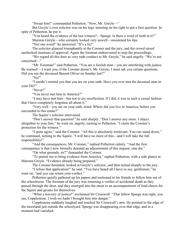"Swear him!" commanded Petherton. "Now, Mr. Greyle—"

But Greyle's own solicitor was on his legs, insisting on his right to put a first question. In spite of Petherton, he put it.

"You heard the evidence of the last witness?—Spurge. Is there a word of truth in it?" Marston Greyle—who certainly looked very unwell—moistened his lips.

"Not one word!" he answered. "It's a lie!"

The solicitor glanced triumphantly at the Coroner and the jury, and the crowd raised unchecked murmurs of approval. Again the foreman endeavoured to stop the proceedings.

"We regard all this here as very rude conduct to Mr. Greyle," he said angrily. "We're not concerned—"

"Mr. Foreman!" said Petherton. "You are a foolish man—you are interfering with justice. Be warned!—I warn you, if the Coroner doesn't. Mr. Greyle, I must ask you certain questions. Did you see the deceased Bassett Oliver on Sunday last?"

"No!"

"I needn't remind you that you are on your oath. Have you ever met the deceased man in your life?"

"Never!"

"You never met him in America?"

"I may have met him—but not to my recollection. If I did, it was in such a casual fashion that I have completely forgotten all about it."

"Very well—you are on your oath, mind. Where did you live in America, before you succeeded to this estate?"

The Squire's solicitor intervened.

"Don't answer that question!" he said sharply. "Don't answer any more. I object altogether to your line," he went on, angrily, turning to Petherton. "I claim the Coroner's protection for the witness."

"I quite agree," said the Coroner. "All this is absolutely irrelevant. You can stand down," he continued, turning to the Squire. "I will have no more of this—and I will take the full responsibility!"

"And the consequences, Mr. Coroner," replied Petherton calmly. "And the first consequence is that I now formally demand an adjournment of this inquest, sine die."

"On what grounds, sir?" demanded the Coroner.

"To permit me to bring evidence from America," replied Petherton, with a side glance at Marston Greyle. "Evidence already being prepared."

The Coroner hesitated, looked at Greyle's solicitor, and then turned sharply to the jury.

"I refuse that application!" he said. "You have heard all I have to say, gentlemen," he went on, "and you can return your verdict."

Petherton quietly gathered up his papers and motioned to his friends to follow him out of the schoolroom. The foreman of the jury was returning a verdict of accidental death as they passed through the door, and they emerged into the street to an accompaniment of loud cheers for the Squire and groans for themselves.

"What a travesty of justice!" exclaimed Sir Cresswell. "That fellow Spurge was right, you see, Copplestone. I wish we hadn't brought him into danger."

Copplestone suddenly laughed and touched Sir Cresswell's arm. He pointed to the edge of the moorland just outside the schoolyard. Spurge was disappearing over that edge, and in a moment had vanished.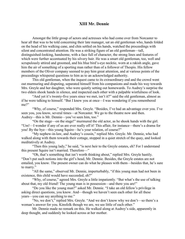#### XIII Mr. Dennie

Amongst the little group of actors and actresses who had come over from Norcaster to hear all that was to be told concerning their late manager, sat an old gentleman who, hands folded on the head of his walking cane, and chin settled on his hands, watched the proceedings with silent and concentrated attention. He was a striking figure of an old gentleman—tall, distinguished-looking, handsome, with a face full of character, the strong lines and features of which were further accentuated by his silvery hair. He was a smart old gentleman, too, well and scrupulously attired and groomed, and his blue bird's-eye necktie, worn at a rakish angle, gave him the air of something of a sporting man rather than of a follower of Thespis. His fellow members of the Oliver company seemed to pay him great attention, and at various points of the proceedings whispered questions to him as to an acknowledged authority.

This old gentleman, when the inquest came to its extraordinary end and the crowd went out murmuring and disputing, separated himself from his companions and made his way towards Mrs. Greyle and her daughter, who were quietly setting out homewards. To Audrey's surprise the two elders shook hands in silence, and inspected each other with a palpable wistfulness of look.

"And yet it's twenty-five years since we met, isn't it?" said the old gentleman, almost as if he were talking to himself. "But I knew you at once—I was wondering if you remembered me?"

"Why, of course," responded Mrs. Greyle. "Besides, I've had an advantage over you. I've seen you, you know, several times—at Norcaster. We go to the theatre now and then. Audrey—this is Mr. Dennie—you've seen him, too."

"On the stage—on the stage!" murmured the old actor, as he shook hands with the girl. "Um!—I wonder if any of us are ever really off it! This affair, for instance—there's a drama for you! By the bye—this young Squire—he's your relation, of course?"

"My nephew-in-law, and Audrey's cousin," replied Mrs. Greyle. Mr. Dennie, who had walked along with them towards their cottage, stopped in a quiet stretch of the quay, and looked meditatively at Audrey.

"Then this young lady," he said, "is next heir to the Greyle estates, eh? For I understand this present Squire isn't married. Therefore—"

"Oh, that's something that isn't worth thinking about," replied Mrs. Greyle hastily. "Don't put such notions into the girl's head, Mr. Dennie. Besides, the Greyle estates are not entailed, you know. The present owner can do what he pleases with them—besides that, he's sure to marry."

"All the same," observed Mr. Dennie, imperturbably, "if this young man had not been in existence, this child would have succeeded, eh?"

"Why, of course," agreed Mrs. Greyle a little impatiently. "But what's the use of talking about that, my old friend! The young man is in possession—and there you are!"

"Do you like the young man?" asked Mr. Dennie. "I take an old fellow's privilege in asking direct questions, you know. And—though we haven't seen each other for all these years—you can say anything to me."

"No, we don't," replied Mrs. Greyle. "And we don't know why we don't—so there's a woman's answer for you. Kinsfolk though we are, we see little of each other."

Mr. Dennie made no remark on this. He walked along at Audrey's side, apparently in deep thought, and suddenly he looked across at her mother.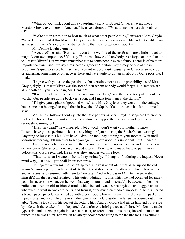"What do you think about this extraordinary story of Bassett Oliver's having met a Marston Greyle over there in America?" he asked abruptly. "What do people here think about it?"

"We're not in a position to hear much of what other people think," answered Mrs. Greyle. "What I think is that if this Marston Greyle ever did meet such a very notable and noticeable man as Bassett Oliver it's a very, very strange thing that he's forgotten all about it!"

Mr. Dennie laughed quietly.

"Aye, aye!" he said. "But—don't you think we folk of the profession are a little bit apt to magnify our own importance? You say 'Bless me, how could anybody ever forget an introduction to Bassett Oliver!' But we must remember that to some people even a famous actor is of no more importance than—shall we say a respectable grocer? Marston Greyle may be one of those people—it's quite possible he may have been introduced, quite casually, to Oliver at some club, or gathering, something or other, over there and have quite forgotten all about it. Quite possible, I think."

"I agree with you as to the possibility, but certainly not as to the probability," said Mrs. Greyle, dryly. "Bassett Oliver was the sort of man whom nobody would forget. But here we are at our cottage—you'll come in, Mr. Dennie?"

"It will only have to be for a little time, my dear lady," said the old actor, pulling out his watch. "Our people are going back very soon, and I must join them at the station."

"I'll give you a glass of good old wine," said Mrs. Greyle as they went into the cottage. "I have some that belonged to my father-in-law, the old Squire. You must taste it—for old times' sake"

Mr. Dennie followed Audrey into the little parlour as Mrs. Greyle disappeared to another part of the house. And the instant they were alone, he tapped the girl's arm and gave her a curiously warning look.

"Hush, my dear!" he whispered. "Not a word—don't want your mother to know! Listen—have you a specimen—letter—anything—of your cousin, the Squire's handwriting? Anything so long as it's his. You have? Give it to me—say nothing to your mother. Wait until tomorrow morning. I'll run over to see you again—about noon. It's important—but silence!"

Audrey, scarcely understanding the old man's meaning, opened a desk and drew out one or two letters. She selected one and handed it to Mr. Dennie, who made haste to put it away before Mrs. Greyle returned. He gave Audrey another warning look.

"That was what I wanted!" he said mysteriously. "I thought of it during the inquest. Never mind why, just now—you shall know tomorrow."

He lingered a few minutes, chatting to his hostess about old times as he sipped the old Squire's famous port; then he went off to the little station, joined Stafford and his fellow actors and actresses, and returned with them to Norcaster. And at Norcaster Mr. Dennie separated himself from the rest and repaired to his quiet lodgings—rooms which he had occupied for many years in succession whenever he went that way on tour—and once safely bestowed in them he pulled out a certain old-fashioned trunk, which he had owned since boyhood and lugged about wherever he went in two continents, and from it, after much methodical unpacking, he disinterred a brown paper parcel, neatly tied up with green ribbon. From this parcel he drew a thin packet of typed matter and a couple of letters—the type script he laid aside, the letters he opened out on his table. Then he took from his pocket the letter which Audrey Greyle had given him and put it side by side with those taken from the parcel. And after one brief glance at all three Mr. Dennie made typescript and letters up again into a neat packet, restored them to his trunk, locked them up, and turned to the two hours' rest which he always took before going to the theatre for his evening's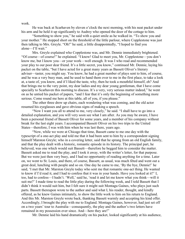work.

He was back at Scarhaven by eleven o'clock the next morning, with his neat packet under his arm and he held it up significantly to Audrey who opened the door of the cottage to him.

"Something to show you," he said with a quiet smile as he walked in. "To show you and your mother." He stopped short on the threshold of the little parlour, where Copplestone was just then talking to Mrs. Greyle. "Oh!" he said, a little disappointedly, "I hoped to find you alone—I'll wait."

Mrs. Greyle explained who Copplestone was, and Mr. Dennie immediately brightened. "Of course—of course!" he explained. "I know! Glad to meet you, Mr. Copplestone—you don't know me, but I know you—or your work—well enough. It was I who read and recommended your play to our poor dear friend. It's a little secret, you know," continued Mr. Dennie, laying his packet on the table, "but I have acted for a great many years as Bassett Oliver's literary adviser—taster, you might say. You know, he had a great number of plays sent to him, of course, and he was a very busy man, and he used to hand them over to me in the first place, to take a look at, a taste of, you know, and if I liked the taste, why, then he took a mouthful himself, eh? And that brings me to the very point, my dear ladies and my dear young gentleman, that I have come specially to Scarhaven this morning to discuss. It's a very, very serious matter indeed," he went on as he untied his packet of papers, "and I fear that it's only the beginning of something more serious. Come round me here at this table, all of you, if you please."

The other three drew up chairs, each wondering what was coming, and the old actor resumed his eyeglasses and gave obvious signs of making a speech.

"Now I want you all to attend to me, very closely," he said. "I shall have to go into a detailed explanation, and you will very soon see what I am after. As you may be aware, I have been a personal friend of Bassett Oliver for some years, and a member of his company without break for the last eight years. I accompanied Bassett Oliver on his two trips to the United States—therefore, I was with him when he was last there, years ago.

"Now, while we were at Chicago that time, Bassett came to me one day with the typescript of a one-act play and told me that it had been sent to him by a correspondent signing himself Marston Greyle; who in a covering letter, said that he sprang from an old English family, and that the play dealt with a historic, romantic episode in its history. The principal part, he believed, was one which would suit Bassett—therefore he begged him to consider the matter. Bassett asked me to read the play, and I took it away, with the writer's letter, for that purpose. But we were just then very busy, and I had no opportunity of reading anything for a time. Later on, we went to St. Louis, and there, of course, Bassett, as usual, was much fêted and went out a great deal, lunching with people and so on. One day he came to me, 'By the bye, Dennie!' he said, 'I met that Mr. Marston Greyle today who sent me that romantic one-act thing. He wanted to know if I'd read it, and I had to confess that it was in your hands. Have you looked at it?' I, too, had to confess—I hadn't. 'Well,' said he, 'read it and let me know what you think—will it suit me?' I made time to read the little play during the following week, and I told Bassett that I didn't think it would suit him, but I felt sure it might suit Montagu Gaines, who plays just such parts. Bassett thereupon wrote to the author and said what I, his reader, thought, and kindly offered, as he knew Gaines intimately, to show the little work to him on his return to England. And this Mr. Marston Greyle wrote back, thanking Bassett warmly and accepting his kind offer. Accordingly, I brought the play with me to England. Montagu Gaines, however, had just set off on a two years' tour to Australia—consequently, the play and the author's two letters have remained in my possession ever since. And—here they are!"

Mr. Dennie laid his hand dramatically on his packet, looked significantly at his audience,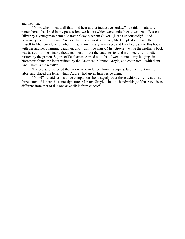and went on.

"Now, when I heard all that I did hear at that inquest yesterday," he said, "I naturally remembered that I had in my possession two letters which were undoubtedly written to Bassett Oliver by a young man named Marston Greyle, whom Oliver—just as undoubtedly!—had personally met in St. Louis. And so when the inquest was over, Mr. Copplestone, I recalled myself to Mrs. Greyle here, whom I had known many years ago, and I walked back to this house with her and her charming daughter, and—don't be angry, Mrs. Greyle—while the mother's back was turned—on hospitable thoughts intent—I got the daughter to lend me—secretly—a letter written by the present Squire of Scarhaven. Armed with that, I went home to my lodgings in Norcaster, found the letter written by the American Marston Greyle, and compared it with them. And—here is the result!"

The old actor selected the two American letters from his papers, laid them out on the table, and placed the letter which Audrey had given him beside them.

"Now!" he said, as his three companions bent eagerly over these exhibits, "Look at those three letters. All bear the same signature, Marston Greyle—but the handwriting of those two is as different from that of this one as chalk is from cheese!"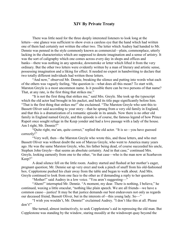# XIV By Private Treaty

There was little need for the three deeply interested listeners to look long at the letters—one glance was sufficient to show even a careless eye that the hand which had written one of them had certainly not written the other two. The letter which Audrey had handed to Mr. Dennie was penned in the style commonly known as commercial—plain, commonplace, utterly lacking in the characteristics which are supposed to denote imagination and a sense of artistry. It was the sort of caligraphy which one comes across every day in shops and offices and banks—there was nothing in any upstroke, downstroke or letter which lifted it from the very ordinary. But the other two letters were evidently written by a man of literary and artistic sense, possessing imagination and a liking for effect. It needed no expert in handwriting to declare that two totally different individuals had written those letters.

"And now," observed Mr. Dennie, breaking the silence and putting into words what each of the others was vaguely feeling, "the question is—what does all this mean? To start with, Marston Greyle is a most uncommon name. Is it possible there can be two persons of that name? That, at any rate, is the first thing that strikes me."

"It is not the first thing that strikes me," said Mrs. Greyle. She took up the typescript which the old actor had brought in his packet, and held its title page significantly before him. "That is the first thing that strikes me!" she exclaimed. "The Marston Greyle who sent this to Bassett Oliver said according to your story—that he sprang from a very old family in England, and that this is a dramatization of a romantic episode in its annals. Now there is no other old family in England named Greyle, and this episode is of course, the famous legend of how Prince Rupert once sought refuge in the Keep yonder and had a love passage with a lady of the house. Am I right, Mr. Dennie?"

"Quite right, ma'am, quite correct," replied the old actor. "It is so—you have guessed correctly!"

"Very well, then—the Marston Greyle who wrote this, and those letters, and who met Bassett Oliver was without doubt the son of Marcus Greyle, who went to America many years ago. He was the same Marston Greyle, who, his father being dead, of course succeeded his uncle, Stephen John Greyle—that seems an absolute certainty. And in that case," continued Mrs. Greyle, looking earnestly from one to the other, "in that case—who is the man now at Scarhaven Keep?"

A dead silence fell on the little room. Audrey started and flushed at her mother's eager, pregnant question; Mr. Dennie sat up very erect and took a pinch of snuff from his old-fashioned box. Copplestone pushed his chair away from the table and began to walk about. And Mrs. Greyle continued to look from one face to the other as if demanding a reply to her question.

"Mother!" said Audrey in a low voice. "You aren't suggesting—"

"Ahem!" interrupted Mr. Dennie. "A moment, my dear. There is nothing, I believe," he continued, waxing a little oracular, "nothing like plain speech. We are all friends—we have a common cause—justice! It may be that justice demands our best endeavours not only as regards our deceased friend, Bassett Oliver, but in the interests of—this young lady. So—"

"I wish you wouldn't, Mr. Dennie!" exclaimed Audrey. "I don't like this at all. Please don't!"

She turned, almost instinctively, to seek Copplestone's aid in repressing the old man. But Copplestone was standing by the window, staring moodily at the windswept quay beyond the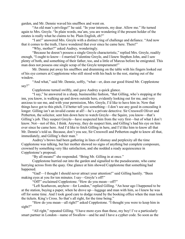garden, and Mr. Dennie waved his snuffbox and went on.

"An old man's privilege!" he said. "In your interests, my dear. Allow me." He turned again to Mrs. Greyle. "In plain words, ma'am, you are wondering if the present holder of the estates is really what he claims to be. Plain English, eh?"

"I am!" answered Mrs. Greyle with a distinct ring of challenge and defiance. "And now that it comes to the truth, I have wondered that ever since he came here. There!"

"Why, mother?" asked Audrey, wonderingly.

"Because he doesn't possess a single Greyle characteristic," replied Mrs. Greyle, readily enough, "I ought to know—I married Valentine Greyle, and I knew Stephen John, and I saw plenty of both, and something of their father, too, and a little of Marcus before he emigrated. This man does not possess one single scrap of the Greyle temperament!"

Mr. Dennie put away his snuffbox and drumming on the table with his fingers looked out of his eye corners at Copplestone who still stood with his back to the rest, staring out of the window.

"And what," said Mr. Dennie, softly, "what—er, does our good friend Mr. Copplestone say?"

Copplestone turned swiftly, and gave Audrey a quick glance.

"I say," he answered in a sharp, businesslike fashion, "that Gilling, who's stopping at the inn, you know, is walking up and down outside here, evidently looking out for me, and very anxious to see me, and with your permission, Mrs. Greyle, I'd like to have him in. Now that things have got to this pitch, I'd better tell you something—I don't see any good in concealing it longer. Gilling isn't an invalid curate at all!—he's a private detective. Sir Cresswell Oliver and Petherton, the solicitor, sent him down here to watch Greyle—the Squire, you know—that's Gilling's job. They suspect Greyle—have suspected him from the very first—but of what I don't know. Not—not of this, I think. Anyway, they do suspect him, and Gilling's had his eye on him ever since he came here. And I'd like to fetch Gilling in here, and I'd like him to know all that Mr. Dennie's told us. Because, don't you see, Sir Cresswell and Petherton ought to know all that, immediately, and Gilling's their man."

Audrey's brows had been gathering in lines of dismay and perplexity all the time Copplestone was talking, but her mother showed no signs of anything but complete composure, crowned by something very like satisfaction, and she nodded a ready acquiescence in Copplestone's proposal.

"By all means!" she responded. "Bring Mr. Gilling in at once."

Copplestone hurried out into the garden and signalled to the pseudocurate, who came hurrying across from the quay. One glance at him showed Copplestone that something had happened.

"Gad!—I thought I should never attract your attention!" said Gilling hastily. "Been making eyes at you for ten minutes. I say—Greyle's off!"

"Off!" exclaimed Copplestone. "How do you mean—off?"

"Left Scarhaven, anyhow—for London," replied Gilling. "An hour ago I happened to be at the station, buying a paper, when he drove up—luggage and man with him, so I knew he was off for some time. And I took good care to dodge round by the booking office when the man took the tickets. King's Cross. So that's all right, for the time being."

"How do you mean—all right?" asked Copplestone. "I thought you were to keep him in sight?"

"All right," repeated Gilling. "I have more eyes than these, my boy! I've a particularly smart partner in London—name of Swallow—and he and I have a cypher code. So soon as the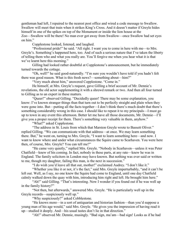gentleman had left, I repaired to the nearest post office and wired a code message to Swallow. Swallow will meet that train when it strikes King's Cross. And it doesn't matter if Greyle hides himself in one of the spikes on top of the Monument or inside the lion house at the Zoo—Swallow will be there! No man ever got away from Swallow—once Swallow had set eyes on him."

Copplestone looked, listened, and laughed.

"Professional pride!" he said. "All right. I want you to come in here with me—to Mrs. Greyle's. Something's happened here, too. And of such a serious nature that I've taken the liberty of telling them who and what you really are. You'll forgive me when you hear what it is that we've learnt here this morning."

Gilling had looked rather doubtful at Copplestone's announcement, but he immediately turned towards the cottage.

"Oh, well!" he said good-naturedly. "I'm sure you wouldn't have told if you hadn't felt there was good reason. What is this fresh news?—something about—him?"

"Very much about him," answered Copplestone. "Come in."

He himself, at Mrs. Greyle's request, gave Gilling a brief account of Mr. Dennie's revelations, the old actor supplementing it with a shrewd remark or two. And then all four turned to Gilling as to an expert in these matters.

"Queer!" observed Gilling. "Decidedly queer! There may be some explanation, you know: I've known stranger things than that turn out to be perfectly straight and plain when they were gone into. But—putting all the facts together—I don't think there's much doubt that there's something considerably wrong in this case. I should like to repeat it to my principals—I must go up to town in any event this afternoon. Better let me have all those documents, Mr. Dennie—I'll give you a proper receipt for them. There's something very valuable in them, anyhow."

"What?" asked Copplestone.

"The address in St. Louis from which that Marston Greyle wrote to Bassett Oliver." replied Gilling. "We can communicate with that address—at once. We may learn something there. But," he went on, turning to Mrs. Greyle, "I want to learn something here—and now. I want to know where and under what circumstances the Squire came to Scarhaven. You were here then, of course, Mrs. Greyle? You can tell me?"

"He came very quietly," replied Mrs. Greyle. "Nobody in Scarhaven—unless it was Peter Chatfield—knew of his coming. In fact, nobody in these parts, at any rate—knew he was in England. The family solicitors in London may have known. But nothing was ever said or written to me, though my daughter, failing this man, is the next in succession."

"I do wish you'd leave all that out, mother!" exclaimed Audrey. "I don't like it."

"Whether you like it or not, it's the fact," said Mrs. Greyle imperturbably, "and it can't be left out. Well, as I say, no one knew the Squire had come to England, until one day Chatfield calmly walked down the quay with him, introducing him right and left. He brought him here."

"Ah!" said Gilling. "That's interesting. Now I wonder if you found out if he was well up in the family history?"

"Not then, but afterwards," answered Mrs. Greyle. "He is particularly well up in the Greyle records—suspiciously well up."

"Why suspiciously?" asked Cobblestone.

"He knows more—in a sort of antiquarian and historian fashion—than you'd suppose a young man of his age would," said Mrs. Greyle. "He gives you the impression of having read it up—studied it deeply. And—his usual tastes don't lie in that direction."

"Ah!" observed Mr. Dennie, musingly. "Bad sign, ma'am—bad sign! Looks as if he had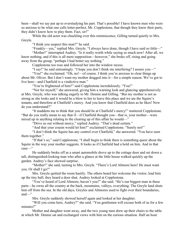been—shall we say put up to overstudying his part. That's possible! I have known men who were so anxious to be what one calls letter-perfect, Mr. Copplestone, that though they knew their parts, they didn't know how to play them. Fact, sir!"

While the old actor was chuckling over this reminiscence, Gilling turned quietly to Mrs. Greyle.

"I think you suspect this man?" he said.

"Frankly—yes," replied Mrs. Greyle. "I always have done, though I have said so little—"

"Mother!" interrupted Audrey. "Is it really worth while saying so much now! After all, we know nothing, and if this is all mere supposition—however," she broke off, rising and going away from the group, "perhaps I had better say nothing."

Copplestone too rose and followed her into the window recess.

"I say!" he said entreatingly. "I hope you don't think me interfering? I assure you—"

"You!" she exclaimed. "Oh, no!—of course. I think you're anxious to clear things up about Mr. Oliver. But I don't want my mother dragged into it—for a simple reason. We've got to live here—and Chatfield is a vindictive man."

"You're frightened of him?" said Copplestone incredulously. "You!"

"Not for myself," she answered, giving him a warning look and glancing apprehensively at Mrs. Greyle, who was talking eagerly to Mr. Dennie and Gilling. "But my mother is not as strong as she looks and it would be a blow to her to leave this place and we are the Squire's tenants, and therefore at Chatfield's mercy. And you know that Chatfield does as he likes! Now do you understand?"

"It maddens me to think that you should be at Chatfield's mercy!" muttered Copplestone. "But do you really mean to say that if—if Chatfield thought you—that is, your mother—were mixed up in anything relating to the clearing up of this affair he would—"

"Drive us out without mercy," replied Audrey. "That's dead certain."

"And that your cousin would let him?" exclaimed Copplestone. "Surely not!"

"I don't think the Squire has any control over Chatfield," she answered. "You have seen them together."

"If that's so," said Copplestone, "I shall begin to think there is something queer about the Squire in the way your mother suggests. It looks as if Chatfield had a hold on him. And in that case—"

He suddenly broke off as a smart automobile drove up to the cottage door and set down a tall, distinguished-looking man who after a glance at the little house walked quickly up the garden. Audrey's face showed surprise.

"Mother!" she said, turning to Mrs. Greyle. "There's Lord Altmore here! He must want you. Or shall I go?"

Mrs. Greyle quitted the room hastily. The others heard her welcome the visitor, lead him up the tiny hall; they heard a door shut. Audrey looked at Copplestone.

"You've heard of Lord Altmore, haven't you?" she said. "He's our biggest man in these parts—he owns all the country at the back, mountains, valleys, everything. The Greyle land shuts him off from the sea. In the old days, Greyles and Altmores used to fight over their boundaries, and—"

Mrs. Greyle suddenly showed herself again and looked at her daughter.

"Will you come here, Audrey?" she said. "You gentlemen will excuse both of us for a few minutes?"

Mother and daughter went away, and the two young men drew up their chairs to the table at which Mr. Dennie sat and exchanged views with him on the curious situation. Half an hour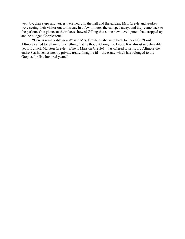went by; then steps and voices were heard in the hall and the garden; Mrs. Greyle and Audrey were seeing their visitor out to his car. In a few minutes the car sped away, and they came back to the parlour. One glance at their faces showed Gilling that some new development had cropped up and he nudged Copplestone.

"Here is remarkable news!" said Mrs. Greyle as she went back to her chair. "Lord Altmore called to tell me of something that he thought I ought to know. It is almost unbelievable, yet it is a fact. Marston Greyle—if he is Marston Greyle!—has offered to sell Lord Altmore the entire Scarhaven estate, by private treaty. Imagine it!—the estate which has belonged to the Greyles for five hundred years!"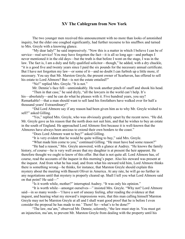# XV The Cablegram from New York

The two younger men received this announcement with no more than looks of astonished inquiry, but the elder one coughed significantly, had further recourse to his snuffbox and turned to Mrs. Greyle with a knowing glance.

"My dear lady!" he said impressively. "Now this is a matter in which I believe I can be of service—real service! You may have forgotten the fact—it is all so long ago—and perhaps I never mentioned it in the old days—but the truth is that before I went on the stage, I was in the law. The fact is, I am a duly and fully qualified solicitor—though," he added, with a dry chuckle, "it is a good five and twenty years since I paid the six pounds for the necessary annual certificate. But I have not forgotten my law—or some of it—and no doubt I can furbish up a little more, if necessary. You say that Mr. Marston Greyle, the present owner of Scarhaven, has offered to sell his estate to Lord Altmore? But—is not the estate entailed?"

"No!" replied Mrs. Greyle. "It is not."

Mr. Dennie's face fell—unmistakably. He took another pinch of snuff and shook his head.

"Then in that case," he said dryly, "all the lawyers in the world can't help. It's his—absolutely—and he can do what he pleases with it. Five hundred years, you say? Remarkable!—that a man should want to sell land his forefathers have walked over for half a thousand years! Extraordinary!"

"Did Lord Altmore say if any reason had been given him as to why Mr. Greyle wished to sell?" asked Gilling.

"Yes," replied Mrs. Greyle, who was obviously greatly upset by the recent news. "He did. Mr. Greyle gave as his reason that the north does not suit him, and that he wishes to buy an estate in the south of England. He approached Lord Altmore first because it is well-known that the Altmores have always been anxious to extend their own borders to the coast."

"Does Lord Altmore want to buy?" asked Gilling.

"It is very evident that he would be quite willing to buy," said Mrs. Greyle.

"What made him come to you," continued Gilling. "He must have had some reason?"

"He had a reason," Mrs. Greyle answered, with a glance at Audrey. "He knows the family history, of course—he is very well aware that my daughter is at present the heir apparent. He therefore thought we ought to know of this offer. But that is not quite all. Lord Altmore has, of course, read the accounts of the inquest in this morning's paper. Also his steward was present at the inquest. And from what he has read, and from what his steward told him, Lord Altmore thinks there is something wrong—he thinks, for instance, that Marston Greyle should explain this mystery about the meeting with Bassett Oliver in America. At any rate, he will go no further in any negotiations until that mystery is properly cleared up. Shall I tell you what Lord Altmore said on that point? He said—"

"Is it worth while, mother?" interrupted Audrey. "It was only his opinion."

"It is worth while—amongst ourselves—" insisted Mrs. Greyle. "Why not? Lord Altmore said—in so many words—'I have a sort of uneasy feeling, after reading the evidence at that inquest, and hearing what my steward's impressions were, that this man calling himself Marston Greyle may not be Marston Greyle at all and I shall want good proof that he is before I even consider the proposal he has made to me.' There! So—what's to be done?"

"The law, ma'am," observed Mr. Dennie, solemnly, "the law must step in. You must get an injunction, ma'am, to prevent Mr. Marston Greyle from dealing with the property until his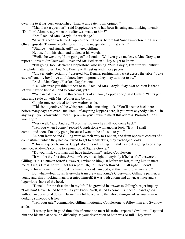own title to it has been established. That, at any rate, is my opinion."

"May I ask a question?" said Copplestone who had been listening and thinking intently. "Did Lord Altmore say when this offer was made to him?"

"Yes," replied Mrs. Greyle. "A week ago."

"A week ago!" exclaimed Copplestone. "That is, before last Sunday—before the Bassett Oliver episode. Then—the offer to sell is quite independent of that affair!"

"Strange—and significant!" muttered Gilling.

He rose from his chair and looked at his watch.

"Well," he went on, "I am going off to London. Will you give me leave, Mrs. Greyle, to report all this to Sir Cresswell Oliver and Mr. Petherton? They ought to know."

"I'm going, too," declared Copplestone, also rising. "Mrs. Greyle, I'm sure will entrust the whole matter to us. And Mr. Dennie will trust us with those papers."

"Oh, certainly, certainly!" asserted Mr. Dennie, pushing his packet across the table. "Take care of 'em, my boy!—ye don't know how important they may turn out to be."

"And—Mrs. Greyle?" asked Copplestone.

"Tell whatever you think it best to tell," replied Mrs. Greyle. "My own opinion is that a lot will have to be told—and to come out, yet."

"We can catch a train in three-quarters of an hour, Copplestone," said Gilling. "Let's get back and settle up with Mrs. Wooler and be off."

Copplestone contrived to draw Audrey aside.

"This isn't goodbye," he whispered, with a meaning look. "You'll see me back here before many days are over. But listen—if anything happens here, if you want anybody's help—in any way—you know what I mean—promise you'll wire to me at this address. Promise!—or I won't go."

"Very well," said Audrey, "I promise. But—why shall you come back?"

"Tell you when I come," replied Copplestone with another look. "But—I shall come—and soon. I'm only going because I want to be of use—to you."

An hour later he and Gilling were on their way to London, and from opposite corners of a compartment which they had contrived to get to themselves, they exchanged looks.

"This is a queer business, Copplestone!" said Gilling. "It strikes me it's going to be a big one, too. And—it's coming to a point round Squire Greyle."

"Do you think your man will have tracked him?" asked Copplestone.

"It will be the first time Swallow's ever lost sight of anybody if he hasn't," answered Gilling. "He's a human ferret! However, I wired to him just before we left, telling him to meet me at King's Cross, so we'll get his report. Oh, he'll have followed him all right—I don't imagine for a moment that Greyle is trying to evade anybody, at this juncture, at any rate."

But when—four hours later—the train drew into King's Cross—and Gilling's partner, a young and sharp-looking man, presented himself, it was with a long and downcast face and a lugubrious shake of the head.

"Done!—for the first time in my life!" he growled in answer to Gilling's eager inquiry. "Lost him! Never failed before—as you know. Well, it had to come, I suppose—can't go on without an occasional defeat. But—I'm a bit licked as to the whole thing—unless your man is dodging somebody. Is he?"

"Tell your tale," commanded Gilling, motioning Copplestone to follow him and Swallow aside.

"I was up here in good time this afternoon to meet his train," reported Swallow. "I spotted him and his man at once; no difficulty, as your description of both was so full. They were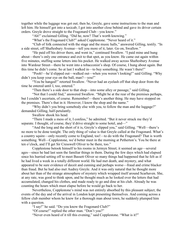together while the luggage was got out; then he, Greyle, gave some instructions to the man and left him. He himself got into a taxicab; I got into another close behind and gave its driver certain orders. Greyle drove straight to the Fragonard Club—you know."

"Ah!" exclaimed Gilling. "Did he, now? That's worth knowing."

"What's the Fragonard Club?" asked Copplestone. "Never heard of it."

"Club of folk connected with the stage and the music halls," answered Gilling, testily. "In a side street, off Shaftesbury Avenue—tell you more of it, later. Go on, Swallow."

"He paid off his driver there, and went in," continued Swallow. "I paid mine and hung about—there's only one entrance and exit to that spot, as you know. He came out again within five minutes, stuffing some letters into his pocket. He walked away across Shaftesbury Avenue into Wardour Street—there he went into a tobacconist's shop. Of course, I hung about again. But this time he didn't come. So at last I walked in—to buy something. He wasn't there!"

"Pooh!—he'd slipped out—walked out—when you weren't looking!" said Gilling. "Why didn't you keep your eye on the ball, man?—you!"

"You be hanged!" retorted Swallow. "Never had an eyelash off that shop door from the time he entered until I, too, entered."

"Then there's a side door to that shop—into some alley or passage," said Gilling.

"Not that I could find," answered Swallow. "Might be at the rear of the premises perhaps, but I couldn't ascertain, of course. Remember!—there's another thing. He may have stopped on the premises. There's that in it. However, I know the shop and the name."

"Why didn't you bring somebody else with you, to follow the man and the luggage?" demanded Gilling, half-petulantly.

Swallow shook his head.

"There I made a mess of it, I confess," he admitted. "But it never struck me they'd separate. I thought, of course, they'd drive straight to some hotel, and—"

"And the long and the short of it is, Greyle's slipped you," said Gilling. "Well—there's no more to be done tonight. The only thing of value is that Greyle called at the Fragonard. What's a country squire—only recently come to England, too!—to do with the Fragonard? That is worth something. Well—Copplestone, we'd better meet in the morning at Petherton's. You be there at ten o'clock, and I'll get Sir Cresswell Oliver to be there, too."

Copplestone betook himself to his rooms in Jermyn Street; it seemed an age—several ages—since he had last seen the familiar things in them. During the few days which had elapsed since his hurried setting off to meet Bassett Oliver so many things had happened that he felt as if he had lived a week in a totally different world. He had met death, and mystery, and what appeared to be sure evidence of deceit and cunning and perhaps worse—fraud and crime blacker than fraud. But he had also met Audrey Greyle. And it was only natural that he thought more about her than of the strange atmosphere of mystery which wrapped itself around Scarhaven. She, at any rate, was good to think upon, and he thought much as he looked over the letters that had accumulated, changed his clothes, and made ready to go and dine at his club. Already he was counting the hours which must elapse before he would go back to her.

Nevertheless, Copplestone's mind was not entirely absorbed by this pleasant subject; the events of the day and of the arrival in London kept presenting themselves. And coming across a fellow club member whom he knew for a thorough man about town, he suddenly plumped him with a question.

"I say!" he said. "Do you know the Fragonard Club?"

"Of course!" replied the other man. "Don't you?"

"Never even heard of it till this evening," said Copplestone. "What is it?"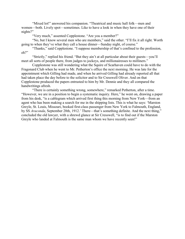"Mixed lot!" answered his companion. "Theatrical and music hall folk—men and women—both. Lively spot—sometimes. Like to have a look in when they have one of their nights?"

"Very much," assented Copplestone. "Are you a member?"

"No, but I know several men who are members," said the other. "I'll fix it all right. Worth going to when they've what they call a house dinner—Sunday night, of course."

"Thanks," said Copplestone. "I suppose membership of that's confined to the profession, eh?"

"Strictly," replied his friend. "But they ain't at all particular about their guests—you'll meet all sorts of people there, from judges to jockeys, and millionairesses to milliners."

Copplestone was still wondering what the Squire of Scarhaven could have to do with the Fragonard Club when he went to Mr. Petherton's office the next morning. He was late for the appointment which Gilling had made, and when he arrived Gilling had already reported all that had taken place the day before to the solicitor and to Sir Cresswell Oliver. And on that Copplestone produced the papers entrusted to him by Mr. Dennie and they all compared the handwritings afresh.

"There is certainly something wrong, somewhere," remarked Petherton, after a time. "However, we are in a position to begin a systematic inquiry. Here," he went on, drawing a paper from his desk, "is a cablegram which arrived first thing this morning from New York—from an agent who has been making a search for me in the shipping lists. This is what he says: 'Marston Greyle, St. Louis, Missouri, booked first-class passenger from New York to Falmouth, England, by SS *Araconda*, September 28th, 1912.' There—that's something definite. And the next thing," concluded the old lawyer, with a shrewd glance at Sir Cresswell, "is to find out if the Marston Greyle who landed at Falmouth is the same man whom we have recently seen!"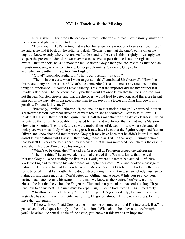### XVI In Touch with the Missing

Sir Cresswell Oliver took the cablegram from Petherton and read it over slowly, muttering the precise and plain wording to himself.

"Don't you think, Petherton, that we had better get a clear notion of our exact bearings?" he said as he laid it back on the solicitor's desk. "Seems to me that the time's come when we ought to know exactly where we are. As I understand it, the case is this—rightly or wrongly we suspect the present holder of the Scarhaven estates. We suspect that he is not the rightful owner—that, in short, he is no more the real Marston Greyle than you are. We think that he's an impostor—posing as Marston Greyle. Other people—Mrs. Valentine Greyle, for example—evidently think so, too. Am I right?"

"Quite!" responded Petherton. "That's our position—exactly."

"Then—in that case, what I want to get at is this," continued Sir Cresswell. "How does this relate to my brother's death? What's the connection? That—to me at any rate—is the first thing of importance. Of course I have a theory. This, that the impostor did see my brother last Sunday afternoon. That he knew that my brother would at once know that he, the impostor, was not the real Marston Greyle, and that the discovery would lead to detection. And therefore he put him out of the way. He might accompany him to the top of the tower and fling him down. It's possible. Do you follow me?"

"Precisely," replied Petherton. "I, too, incline to that notion, though I've worked it out in a different fashion. My reconstruction of what took place at Scarhaven Keep is as follows—I think that Bassett Oliver met the Squire—we'll call this man that for the sake of clearness—when he entered the ruins. He probably introduced himself and mentioned that he had met a Marston Greyle in America. Then the Squire saw the probabilities of detection—and what subsequently took place was most likely what you suggest. It may have been that the Squire recognized Bassett Oliver, and knew that he'd met Marston Greyle; it may have been that he didn't know him and didn't know anything until Bassett Oliver enlightened him. But—either way—I firmly believe that Bassett Oliver came to his death by violence—that he was murdered. So—there's the case in a nutshell! Murdered!—to keep his tongue still."

"What's to be done, then?" asked Sir Cresswell as Petherton tapped the cablegram.

"The first thing," he answered, "is to make use of this. We now know that the real Marston Greyle—who certainly did live in St. Louis, where his father had settled—left New York for England to take up his inheritance, on September 28th, 1912, and booked a passage to Falmouth. He would land at Falmouth from the *Araconda* about October 5th. Probably there is some trace of him at Falmouth. He no doubt stayed a night there. Anyway, somebody must go to Falmouth and make inquiries. You'd better go, Gilling, and at once. While you're away your partner had better resume his search for the man we know as the Squire. You've two good clues—the fact that he visited the Fragonard Club and that particular tobacconist's shop. Urge Swallow to do his best—the man must be kept in sight. See to both these things immediately."

"Swallow is at work already," replied Gilling. "He's got good help, too, and his failure yesterday has put him on his mettle. As for me, I'll go to Falmouth by the next express. Let me have that cablegram."

"I'll go with you," said Copplestone. "I may be of some use—and I'm interested. But," he paused and looked questioningly at the old solicitor. "What about the other news we brought you?" he asked. "About this sale of the estate, you know? If this man is an impostor—"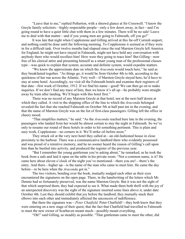"Leave that to me," replied Petherton, with a shrewd glance at Sir Cresswell. "I know the Greyle family solicitors—highly respectable people—only a few doors away, in fact—and I'm going round to have a quiet little chat with them in a few minutes. There will be no sale! Leave me to deal with that matter—and if you young men are going to Falmouth, off you go!"

It was late that night when Copplestone and Gilling arrived at this far-off Cornish seaport, and nothing could be done until the following morning. To Copplestone it seemed as if they were in for a difficult task. Over twelve months had elapsed since the real Marston Greyle left America for England; he might not have stayed in Falmouth, might not have held any conversation with anybody there who would recollect him! How were they going to trace him? But Gilling—now free of his clerical attire and presenting himself as a smart young man of the professional classes type—was quick to explain that system, accurate and definite system, would expedite matters.

"We know the approximate date on which the *Araconda* would touch here," he said as they breakfasted together. "As things go, it would be from October 4th to 6th, according to the quickness of her run across the Atlantic. Very well—if Marston Greyle stayed here, he'd have to stay at some hotel. Accordingly, we visit all the Falmouth hotels and examine their registers of that date—first week of October, 1912. If we find his name—good! We can then go on to make inquiries. If we don't find any trace of him, then we know it's all up—he probably went straight away by train after landing. We'll begin with this hotel first."

There was no record of any Marston Greyle at that hotel, nor at the next half dozen at which they called. A visit to the shipping office of the line to which the *Araconda* belonged revealed the fact that she reached Falmouth on October 5th at half past ten in the evening, and that the name of Marston Greyle was on the list of first-class passengers. Gilling left the office in cheery mood.

"That simplifies matters," he said. "As the *Araconda* reached here late in the evening, the passengers who landed from her would be almost certain to stay the night in Falmouth. So we've only to resume our round of these hotels in order to hit something pertinent. This is plain and easy work, Copplestone—no corners in it. We'll strike oil before noon."

They struck oil at the very next hotel they called at—an old-fashioned house in close proximity to the harbour. There was a communicative landlord there who evidently possessed and was proud of a retentive memory, and he no sooner heard the reason of Gilling's call upon him than he bustled into activity, and produced the register of the previous year.

"But I remember the young gentleman you're asking about," he remarked, as he took the book from a safe and laid it open on the table in his private room. "Not a common name, is it? He came here about eleven o'clock of the night you've mentioned—there you are!—there's the entry. And there—higher up—is the name of the man who came to meet him. He came the day before—to be here when the *Araconda* got in."

The two visitors, bending over the book, mutually nudged each other as their eyes encountered the signatures on the open page. There, in the handwriting of the letters which Mr. Dennie had so fortunately preserved, was the name Marston Greyle. But it was not the sight of that which surprised them; they had expected to see it. What made them both thrill with the joy of an unexpected discovery was the sight of the signature inserted some lines above it, under date October 4th. Lest they should exhibit that joy before the landlord, they mutually stuck their elbows into each other and immediately affected the unconcern of indifference.

But there the signature was—*Peter Chatfield*. Peter Chatfield!—they both knew that they were entering on a new stage of their quest; that the fact that Chatfield had travelled to Falmouth to meet the new owner of Scarhaven meant much—possibly meant everything.

"Oh!" said Gilling, as steadily as possible. "That gentleman came to meet the other, did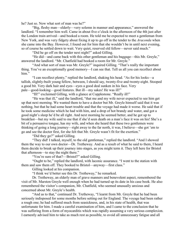he? Just so. Now what sort of man was he?"

"Big, fleshy man—elderly—very solemn in manner and appearance," answered the landlord. "I remember him well. Came in about five o'clock in the afternoon of the 4th just after the London train arrived—and booked a room. He told me he expected to meet a gentleman from New York, and was very fidgety about fixing it up to go off in the tender to the *Araconda* when she came into the Bay. However, I found out for him that she wouldn't be in until next evening, so of course he settled down to wait. Very quiet, reserved old fellow—never said much."

"Did he go off on the tender next night?" asked Gilling.

"He did—and came back with this other gentleman and his baggage—this Mr. Greyle," answered the landlord. "Mr. Chatfield had booked a room for Mr. Greyle."

"And what sort of man was Mr. Greyle?" inquired Gilling. "That's really the important thing. You've an exceptionally good memory—I can see that. Tell us all you can recollect about him."

"I can recollect plenty," replied the landlord, shaking his head. "As for his looks—a tallish, slightly-built young fellow, between, I should say, twenty-five and twenty-eight. Stooped a good bit. Very dark hair and eyes—eyes a good deal sunken in his face. Very pale—good-looking—good features. But ill—my sakes! He was ill!"

"Ill!" exclaimed Gilling, with a glance at Copplestone. "Really ill!"

"He was that ill," said the landlord, "that me and my wife never expected to see him get up that next morning. We wanted them to have a doctor but Mr. Greyle himself said that it was nothing, but that he had some heart trouble and that the voyage had made it worse. He said that if he took some medicine which he had with him, and a drop of hot brandy and water, and got a good night's sleep he'd be all right. And next morning he seemed better, and he got up to breakfast—but my wife said to me that if she'd seen death on a man's face it was on his! She's a bit of a persuasive tongue, has my wife, and when she heard that these two gentlemen were thinking of going a long journey—right away to the far north, it was, I believe—she got 'em to go and see the doctor first, for she felt that Mr. Greyle wasn't fit for the exertion."

"Did they go?" asked Gilling.

"They did! I talked, myself, to the old gentleman," replied the landlord. "And I showed them the way to our own doctor—Dr. Tretheway. And as a result of what he said to them, I heard them decide to break up their journey into stages, as you might term it. They left here for Bristol that afternoon—to stay the night there."

"You're sure of that?—Bristol?" asked Gilling.

"Ought to be," replied the landlord, with laconic assurance. "I went to the station with them and saw them off. They booked to Bristol—anyway—first class."

Gilling looked at his companion.

"I think we'd better see this Dr. Tretheway," he remarked.

Dr. Tretheway, an elderly man of grave manners and benevolent aspect, remembered the visit of Mr. Marston Greyle well enough when he had turned up its date in his case book. He also remembered the visitor's companion, Mr. Chatfield, who seemed unusually anxious and concerned about Mr. Greyle's health.

"And as to that," continued Dr. Tretheway, "I learnt from Mr. Greyle that he had been seriously indisposed for some months before setting out for England. The voyage had been rather a rough one; he had suffered much from seasickness, and, in his state of health, that was unfortunate for him. I made a careful examination of him, and I came to the conclusion that he was suffering from a form of myocarditis which was rapidly assuming a very serious complexion. I earnestly advised him to take as much rest as possible, to avoid all unnecessary fatigue and all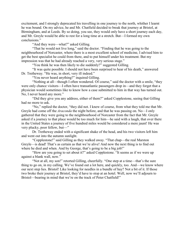excitement, and I strongly deprecated his travelling in one journey to the north, whither I learnt he was bound. On my advice, he and Mr. Chatfield decided to break that journey at Bristol, at Birmingham, and at Leeds. By so doing, you see, they would only have a short journey each day, and Mr. Greyle would be able to rest for a long time at a stretch. But—I formed my own conclusions."

"And they were—what?" asked Gilling.

"That he would not live long," said the doctor. "Finding that he was going to the neighbourhood of Norcaster, where there is a most excellent school of medicine, I advised him to get the best specialist he could from there, and to put himself under his treatment. But my impression was that he had already reached a very, very serious stage."

"You think he was then likely to die suddenly?" suggested Gilling.

"It was quite possible. I should not have been surprised to hear of his death," answered Dr. Tretheway. "He was, in short, very ill indeed."

"You never heard anything?" inquired Gilling.

"Nothing at all—though I often wondered. Of course," said the doctor with a smile, "they were only chance visitors—I often have transatlantic passengers drop in—and they forget that a physician would sometimes like to know how a case submitted to him in that way has turned out. No, I never heard any more."

"Did they give you any address, either of them?" asked Copplestone, seeing that Gilling had no more to ask.

"No," replied the doctor, "they did not. I knew of course, from what they told me that Mr. Greyle had come off the *Araconda* the night before, and that he was passing on. No—I only gathered that they were going to the neighbourhood of Norcaster from the fact that Mr. Greyle asked if a journey to that place would be too much for him—he said with a laugh, that over there in the United States a journey of five hundred miles would be considered a mere jaunt! He was very plucky, poor fellow, but—"

Dr. Tretheway ended with a significant shake of the head, and his two visitors left him and went out into the autumn sunlight.

"Copplestone!" said Gilling as they walked away. "That chap—the real Marston Greyle—is dead! That's as certain as that we're alive! And now the next thing is to find out where he died and when. And by George, that's going to be a big job!"

"How are you going to set about it?" asked Copplestone. "It seems as if we were up against a blank wall, now."

"Not at all, my son!" retorted Gilling, cheerfully. "One step at a time—that's the sure thing to go on, in my calling. We've found out a lot here, and quickly, too. And—we know where our next step lies. Bristol! Like looking for needles in a bundle of hay? Not a bit of it. If those two broke their journey at Bristol, they'd have to stop at an hotel. Well, now we'll adjourn to Bristol—bearing in mind that we're on the track of Peter Chatfield!"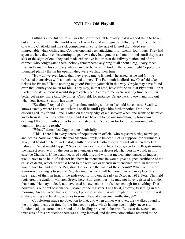# XVII The Old Playbill

Gilling's cheerful optimism was the sort of desirable quality that is a good thing to have, but all the optimism in the world is valueless in face of impregnable difficulty. And the difficulty of tracing Chatfield and his sick companion in a city the size of Bristol did indeed seem impregnable when Gilling and Copplestone had been attacking it for twenty-four hours. They had spent a whole day in endeavouring to get news; they had gone in and out of hotels until they were sick of the sight of one; they had made exhaustive inquiries at the railway station and of the cabmen who congregated there; nobody remembered anything at all about a big, heavy-faced man and a man in his company who seemed to be very ill. And on the second night Copplestone intimated plainly that in his opinion they were wasting their time.

"How do we even know that they ever came to Bristol?" he asked, as he and Gilling refreshed themselves with a much needed dinner. "The Falmouth landlord saw Chatfield take tickets for Bristol! That's nothing to go on! Put it to yourself in this way. Greyle may have found even that journey too much for him. They may, in that case, have left the train at Plymouth—or at Exeter—or at Taunton: it would stop at each place. Seems to me we're wasting time here—far better get nearer more tangible things. Chatfield, for instance. Or, go back to town and find out what your friend Swallow has done."

"Swallow," replied Gilling, "has done nothing so far, or I should have heard. Swallow knows exactly where I am, and where I shall be until I give him further notice. Don't be discouraged, my friend—one is often on the very edge of a discovery when one seems to be miles away from it. Give me another day—and if we haven't found out something by tomorrow evening I'll consult with you as to our next step. But I've a plan for tomorrow morning which ought to yield some result."

"What?" demanded Copplestone, doubtfully.

"This! There is in every centre of population an official who registers births, marriages, and deaths. Now we believe the real Marston Greyle to be dead. Let us suppose, for argument's sake, that he did die here, in Bristol, whither he and Chatfield certainly set off when they left Falmouth. What would happen? Notice of his death would have to be given to the Registrar—by the nearest relative or by the person in attendance on the deceased. That person would, in this case, be Chatfield. If the death occurred suddenly, and without medical attendance, an inquest would have to be held. If a doctor had been in attendance he would give a signed certificate of the cause of death, which he would hand to the relatives or friends in attendance, who, in their turn, would have to hand it to the Registrar. Do you see the value of these points? What we must do tomorrow morning is to see the Registrar—or, as there will be more than one in a place this size—each of them in turn, in the endeavour to find out if, early in October, 1912, Peter Chatfield registered the death of Marston Greyle here. But remember—he may not have registered it under that name. He may, indeed, not have used his own name—he's deep enough for anything. That however, is our next best chance—search of the registers. Let's try it, anyway, first thing in the morning. And as we've had a stiff day, I propose we dismiss all thought of this affair for the rest of the evening and betake ourselves to some place of amusement—theatre, eh?"

Copplestone made no objection to that, and when dinner was over, they walked round to the principal theatre in time for the first act of a play which having been highly successful in London had just started on a round of the leading provincial theatres. Between the second and third acts of this production there was a long interval, and the two companions repaired to the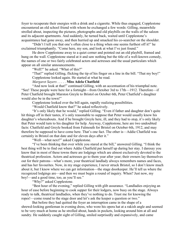foyer to recuperate their energies with a drink and a cigarette. While thus engaged, Copplestone encountered an old school friend with whom he exchanged a few words: Gilling, meanwhile strolled about, inspecting the pictures, photographs and old playbills on the walls of the saloon and its adjacent apartments. And suddenly, he turned back, waited until Copplestone's acquaintance had gone away, and then hurried up and smacked his co-searcher on the shoulder.

"Didn't I tell you that one's often close to a thing when one seems furthest off it!" he exclaimed triumphantly. "Come here, my son, and look at what I've just found."

He drew Copplestone away to a quiet corner and pointed out an old playbill, framed and hung on the wall. Copplestone stared at it and saw nothing but the title of a well-known comedy, the names of one or two fairly celebrated actors and actresses and the usual particulars which appear on all similar announcements.

"Well?" he asked. "What of this?"

"That!" replied Gilling, flicking the tip of his finger on a line in the bill. "That my boy!" Copplestone looked again. He started at what he read.

*Margaret Sayers* . . . . . Miss Adela Chatfield

"And now look at that!" continued Gilling, with an accentuation of his triumphal note. "See! These people were here for a fortnight—from October 3rd to 17th—1912. Therefore—if Peter Chatfield brought Marston Greyle to Bristol on October 6th, Peter Chatfield's daughter would also be in the town!"

Copplestone looked over the bill again, rapidly realizing possibilities.

"Would Chatfield know that?" he asked reflectively.

"It's only likely that he would," replied Gilling. "Even if father and daughter don't quite hit things off in their tastes, it's only reasonable to suppose that Peter would usually know his daughter's whereabouts. And if he brought Greyle here, ill, and they had to stop, it's only likely that Peter would turn to his daughter for help. Anyway, Copplestone, here are two undoubted facts: Chatfield and Greyle booked from Falmouth for Bristol on October 6th, 1912, and may therefore be supposed to have come here. That's one fact. The other is—Addie Chatfield was certainly in Bristol on that date and for eleven days after it."

"Well—what next?" asked Copplestone.

"I've been thinking that over while you stared at the bill," answered Gilling. "I think the best thing will be to find out where Addie Chatfield put herself up during her stay. I daresay you know that in most of these towns there are lodgings which are almost exclusively devoted to the theatrical profession. Actors and actresses go to them year after year; their owners lay themselves out for their patrons—what's more, your theatrical landlady always remembers names and faces, and has her favourites. Now, in my stage experience, I never struck Bristol, so I don't know much about it, but I know where we can get information—the stage doorkeeper. He'll tell us where the recognized lodgings are—and then we must begin a round of inquiry. When? Just now, my boy!—and a good time, too, as you'll see."

"Why?" asked Copplestone.

"Best hour of the evening," replied Gilling with glib assurance. "Landladies enjoying an hour of ease before beginning to cook supper for their lodgers, now busy on the stage. Always ready to talk, theatrical landladies, when they've nothing to do. Trust me for knowing the ropes!—come round to the stage door and let's ask the keeper a question or two."

But before they had quitted the foyer an interruption came in the shape of a shrewd-looking gentleman in evening dress, who wore his opera hat at a rakish angle and seemed to be very much at home as he strolled about, hands in pockets, looking around him at all and sundry. He suddenly caught sight of Gilling, smiled surprisedly and expansively, and came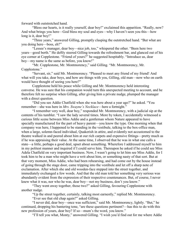forward with outstretched hand.

"Bless our hearts, is it really yourself, dear boy!" exclaimed this apparition. "Really, now? And what brings you here—God bless my soul and eyes—why I haven't seen you this—how long is it, dear boy!"

"Three years," answered Gilling, promptly clasping the outstretched hand. "But what are you doing here—boss, eh?"

"Lessee's manager, dear boy—nice job, too," whispered the other. "Been here two years—good berth." He deftly steered Gilling towards the refreshment bar, and glanced out of his eye corner at Copplestone. "Friend of yours?" he suggested hospitably. "Introduce us, dear boy—my name is the same as before, you know!"

"Mr. Copplestone, Mr. Montmorency," said Gilling. "Mr. Montmorency, Mr. Copplestone."

"Servant, sir," said Mr. Montmorency. "Pleased to meet any friend of my friend! And what will you take, dear boys, and how are things with you, Gilling, old man—now who on earth would have thought of seeing you here?"

Copplestone held his peace while Gilling and Mr. Montmorency held interesting converse. He was sure that his companion would turn this unexpected meeting to account, and he therefore felt no surprise when Gilling, after giving him a private nudge, plumped the manager with a direct question.

"Did you see Addie Chatfield when she was here about a year ago?" he asked. "You remember—she was here in *Mrs. Swayne's Necklace*—here a fortnight."

"I remember very well, dear boy," responded Mr. Montmorency, with a judicial sip at the contents of his tumbler. "I saw the lady several times. More by token, I accidentally witnessed a curious little scene between Miss Addie and a gentleman whom Nature appeared to have specially manufactured for the part of heavy parent—you know the type. One morning when that company was here, I happened to be standing in the vestibule, talking to the box-office man, when a large, solemn-faced individual, Quakerish in attire, and evidently not accustomed to the theatre walked in and peered about him at our rich carpets and expensive fittings—pretty much as if he was appraising their value. At the same time, I observed that he was in what one calls a state—a little, perhaps a good deal, upset about something. Wherefore I addressed myself to him in my politest manner and inquired if I could serve him. Thereupon he asked if he could see Miss Adela Chatfield on very important business. Now, I wasn't going to let him see Miss Addie, for I took him to be a man who might have a writ about him, or something nasty of that sort. But at that very moment, Miss Addie, who had been rehearsing, and had come out by the house instead of going through the stage door, came tripping into the vestibule and let off a sharp note of exclamation. After which she and old wooden-face stepped into the street together, and immediately exchanged a few words. And that the old man told her something very serious was abundantly evident from the expression of their respective countenances. But, of course, I never knew what it was, nor who he was, dear boy—not my business, don't you know."

"They went away together, those two?" asked Gilling, favouring Copplestone with another nudge.

"Up the street together, certainly, talking most earnestly," replied Mr. Montmorency.

"Ever see that old chap again?" asked Gilling.

"I never did, dear boy—once was sufficient," said Mr. Montmorency, lightly. "But," he continued, dropping his bantering tone, "are these questions pertinent?—has this to do with this new profession of yours, dear boy? If so—mum's the word, you know."

"I'll tell you what, Monty," answered Gilling. "I wish you'd find out for me where Addie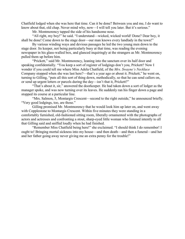Chatfield lodged when she was here that time. Can it be done? Between you and me, I do want to know about that, old chap. Never mind why, now—I will tell you later. But it's serious."

Mr. Montmorency tapped the side of his handsome nose.

"All right, my boy!" he said. "I understand—wicked, wicked world! Done? Dear boy, it shall be done! Come down to the stage door—our man knows every landlady in the town!"

By various winding ways and devious passages he led the two young men down to the stage door. Its keeper, not being particularly busy at that time, was reading the evening newspaper in his glass-walled box, and glanced inquiringly at the strangers as Mr. Montmorency pulled them up before him.

"Prickett," said Mr. Montmorency, leaning into the sanctum over its half door and speaking confidentially. "You keep a sort of register of lodgings don't you, Prickett? Now I wonder if you could tell me where Miss Adela Chatfield, of the *Mrs. Swayne's Necklace* Company stopped when she was last here?—that's a year ago or about it. Prickett," he went on, turning to Gilling, "puts all this sort of thing down, methodically, so that he can send callers on, or send up urgent letters or parcels during the day—isn't that it, Prickett?"

"That's about it, sir," answered the doorkeeper. He had taken down a sort of ledger as the manager spoke, and was now turning over its leaves. He suddenly ran his finger down a page and stopped its course at a particular line.

"Mrs. Salmon, 5, Montargis Crescent—second to the right outside," he announced briefly. "Very good lodgings, too, are those."

Gilling promised Mr. Montmorency that he would look him up later on, and went away with Copplestone to Montargis Crescent. Within five minutes they were standing in a comfortably furnished, old-fashioned sitting room, liberally ornamented with the photographs of actors and actresses and confronting a stout, sharp-eyed little woman who listened intently to all that Gilling said and sniffed loudly when he had finished.

"Remember Miss Chatfield being here!" she exclaimed. "I should think I do remember! I ought to! Bringing mortal sickness into my house—and then death—and then a funeral—and her and her father going away never giving me an extra penny for the trouble!"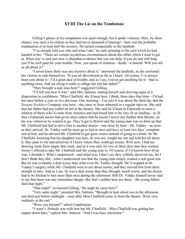# XVIII The Lie on the Tombstone

Gilling's glance at his companion was quiet enough, but it spoke volumes. Here, by sheer chance, was such a revelation as they had never dreamed of hearing!—here was the probable explanation of at least half the mystery. He turned composedly to the landlady.

"I've already told you who and what I am," he said, pointing to the card which he had handed to her. "There are certain mysterious circumstances about this affair which I want to get at. What you've said just now is abundant evidence that you can help. If you do and will help, you'll be well paid for your trouble. Now, you speak of sickness—death—a funeral. Will you tell us all about it?"

"I never knew there was any mystery about it," answered the landlady, as she motioned her visitors to seat themselves. "It was all aboveboard as far as I knew. Of course, I've always been sore about it—I'd a great deal of trouble, and as I say, I never got anything for it—that is, anything extra. And me doing it really to oblige her and her father!"

"They brought a sick man here?" suggested Gilling.

"I'll tell you how it was," said Mrs. Salmon, seating herself and showing signs of a disposition to confidence. "Miss Chatfield, she'd been here, I think, three days that time—I'd had her once before a year or two previous. One morning—I'm sure it was about the third day that the *Swayne Necklace* Company was here—she came in from rehearsal in a regular take-on. She said that her father had just called on her at the theatre. She said he'd been to Falmouth to meet a relation of theirs who'd come from America and had found him to be very ill on landing—so ill that a Falmouth doctor had given strict orders that he mustn't travel any further than Bristol, on his way wherever he wanted to go. They'd got to Bristol and the young man was so done up that Mr. Chatfield had had to drive him to another doctor—one close by here—Dr. Valdey—as soon as they arrived. Dr. Valdey said he must go to bed at once and have at least two days' complete rest in bed, and he advised Mr. Chatfield to get quiet rooms instead of going to a hotel. So Mr. Chatfield, knowing that his daughter was here, do you see, sought her out and told her all about it. She came to me and asked me if I knew where they could get rooms. Well now, I had my drawing room floor empty that week, and as it was only for two or three days that they wanted rooms I offered to take Mr. Chatfield and the young man in. Of course, if I'd known how ill he was, I shouldn't. What I understood—and mind you, I don't say they wilfully deceived me, for I don't think they did—what I understood was that the young man simply wanted a real good rest. But he was evidently a deal worse than what even Dr. Valdey thought. He'd stopped at Dr. Valdey's surgery while Mr. Chatfield went to see about rooms, and they moved him from there straight in here. And as I say, he was a deal worse than they thought, much worse, and the doctor had to be fetched to him more than once during the afternoon. Still Dr. Valdey himself never said to me that there was any immediate danger. But that's neither here nor there—the young fellow died that night."

"That night!" exclaimed Gilling, "the night he came here?"

"Very same night," assented Mrs. Salmon. "Brought in here about two in the afternoon and died just before midnight—soon after Miss Chatfield came in from the theatre. Went very suddenly at the end."

"Were you present?" asked Copplestone.

"I wasn't. Nobody was with him but Mr. Chatfield—Miss Chatfield was getting her supper down here," replied Mrs. Salmon. "And I was busy elsewhere."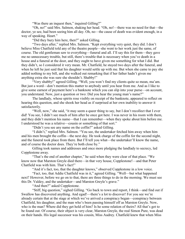"Was there an inquest then," inquired Gilling?"

"Oh, no!" said Mrs. Salmon, shaking her head. "Oh, no!—there was no need for that—the doctor, ye see, had been seeing him all day. Oh, no—the cause of death was evident enough, in a way of speaking. Heart."

"Did they bury him here, then?" asked Gilling.

"Two days after," replied Mrs. Salmon. "Kept everything very quiet, they did. I don't believe Miss Chatfield told any of the theatre people—she went to her work just the same, of course. The old gentleman saw to everything—funeral and all. I'll say this for them—they gave me no unnecessary trouble, but still, there's trouble that is necessary when you've death in a house and a funeral at the door, and they ought to have given me something for what I did. But they didn't, so I considered it very mean. Mr. Chatfield, he stayed two days after the funeral, and when he left he just said that his daughter would settle up with me. But when she came to pay she added nothing to my bill, and she walked out remarking that if her father hadn't given me anything extra she was sure she shouldn't. Shabby!"

"Very shabby!" agreed Gilling. "Well, you won't find my clients quite so mean, ma'am. But just a word—don't mention this matter to anybody until you hear from me. And as I like to give some earnest of payment here's a banknote which you can slip into your purse—on account, you understand. Now, just a question or two: Did you hear the young man's name?"

The landlady, whose spirits rose visibly on receipt of the banknote, appeared to reflect on hearing this question, and she shook her head as if surprised at her own inability to answer it satisfactorily.

"Well, now," she said, "it may seem a queer thing to say, but I don't recollect that I ever did! You see, I didn't see much of him after he once got here. I was never in his room with them, and they didn't mention his name—that I can remember—when they spoke about him before me. I understood he was a relative—cousin or something of that sort."

"Didn't you see any name on the coffin?" asked Gilling.

"I didn't," replied Mrs. Salmon. "You see, the undertaker fetched him away when him and his men brought the coffin—the next day. He took charge of the coffin for the second night, and the funeral took place from there. But I'll tell you what—the undertaker'll know the name, and of course the doctor does. They're both close by."

Gilling took names and addresses and once more pledging the landlady to secrecy, led Copplestone away.

"That's the end of another chapter," he said when they were clear of that place. "We know now that Marston Greyle died there—in that very house, Copplestone!—and that Peter Chatfield was with him. That's fact!"

"And it's fact, too, that the daughter knows," observed Copplestone in a low voice.

"Fact, too, that Addie Chatfield was in it," agreed Gilling. "Well—but what happened next? However, before we go on to that, there are three things to do in the morning. We must see this Dr. Valdey, and the undertaker—and Marston Greyle's grave."

"And then?" asked Copplestone.

"Stiff, big question," sighed Gilling. "Go back to town and report, I think—and find out if Swallow has discovered anything. And egad!—there's a lot to discover! For you see we're already certain that at the stage at which we've arrived a conspiracy began—conspiracy between Chatfield, his daughter, and the man who's been passing himself off as Marston Greyle. Now, who is the man? Where did they get hold of him? Is he some relation of theirs? All that's got to be found out. Of course, their object is very clear, Marston Greyle, the real Simon Pure, was dead on their hands. His legal successor was his cousin, Miss Audrey. Chatfield knew that when Miss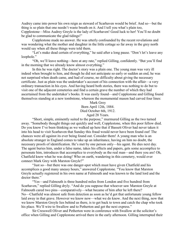Audrey came into power his own reign as steward of Scarhaven would be brief. And so—but the thing is so plain that one needn't waste breath on it. And I tell you what's plain too, Copplestone—Miss Audrey Greyle is the lady of Scarhaven! Good luck to her! You'll no doubt be glad to communicate the glad tidings!"

Copplestone made no answer. He was utterly confounded by the recent revelations and was wondering what the mother and daughter in the little cottage so far away in the grey north would say when all these things were told them.

"Let's make dead certain of everything," he said after a long pause. "Don't let's leave any loophole."

"Oh, we'll leave nothing—here at any rate," replied Gilling, confidently. "But you'll find in the morning that we already know almost everything."

In this he was right. The doctor's story was a plain one. The young man was very ill indeed when brought to him, and though he did not anticipate so early or sudden an end, he was not surprised when death came, and had of course, no difficulty about giving the necessary certificate. Just as plain was the undertaker's account of his connection with the affair—a very ordinary transaction in his eyes. And having heard both stories, there was nothing to do but to visit one of the adjacent cemeteries and find a certain grave the number of which they had ascertained from the undertaker's books. It was easily found—and Copplestone and Gilling found themselves standing at a new tombstone, whereon the monumental mason had carved four lines:

Mark Grey

Born April 12th, 1884.

Died October 6th, 1912.

Aged 28 Years.

 "Short, simple, eminently suited to the purpose," murmured Gilling as the two turned away. "Somebody thought things out quickly and well, Copplestone, when this poor fellow died. Do you know I've been thinking as we walked up here that if Bassett Oliver had never taken it into his head to visit Scarhaven that Sunday this fraud would never have been found out! The chances were all against its ever being found out. Consider them! A young man who is an absolute stranger in England comes to take up an inheritance, having on him no doubt, the necessary proofs of identification. He's met by one person only—his agent. He dies next day. The agent buries him, under a false name, takes his effects and papers, gets some accomplice to personate him, introduces that accomplice to everybody as the real man—and there you are! Oh, Chatfield knew what he was doing! Who on earth, wandering in this cemetery, would ever connect Mark Grey with Marston Greyle?"

"Just so—but there was one danger-spot which must have given Chatfield and his accomplices a good many uneasy hours," answered Copplestone. "You know that Marston Greyle actually registered in his own name at Falmouth and was known to the land lord and the doctor there."

"Yes—and Falmouth is three hundred miles from London and five hundred from Scarhaven," replied Gilling dryly. "And do you suppose that whoever saw Marston Greyle at Falmouth cared two pins—comparatively—what became of him after he left there? No—Chatfield was almost safe from detection as soon as he'd got that unfortunate young fellow laid away in that grave. However we know now—what we do know. And the next thing, now that we know Marston Greyle lies behind us there, is to get back to town and catch the chap who took his place. We'll wire to Swallow and to Petherton and get the next express."

Sir Cresswell Oliver and Petherton were in conference with Swallow at the solicitor's office when Gilling and Copplestone arrived there in the early afternoon. Gilling interrupted their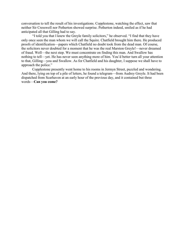conversation to tell the result of his investigations. Copplestone, watching the effect, saw that neither Sir Cresswell nor Petherton showed surprise. Petherton indeed, smiled as if he had anticipated all that Gilling had to say.

"I told you that I knew the Greyle family solicitors," he observed. "I find that they have only once seen the man whom we will call the Squire. Chatfield brought him there. He produced proofs of identification—papers which Chatfield no doubt took from the dead man. Of course, the solicitors never doubted for a moment that he was the real Marston Greyle!—never dreamed of fraud. Well—the next step. We must concentrate on finding this man. And Swallow has nothing to tell—yet. He has never seen anything more of him. You'd better turn all your attention to that, Gilling—you and Swallow. As for Chatfield and his daughter, I suppose we shall have to approach the police."

Copplestone presently went home to his rooms in Jermyn Street, puzzled and wondering. And there, lying on top of a pile of letters, he found a telegram—from Audrey Greyle. It had been dispatched from Scarhaven at an early hour of the previous day, and it contained but three words—Can you come?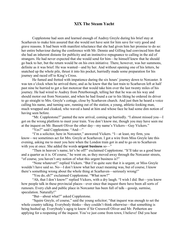#### XIX The Steam Yacht

Copplestone had seen and learned enough of Audrey Greyle during his brief stay at Scarhaven to make him assured that she would not have sent for him save for very good and grave reasons. It had been with manifest reluctance that she had given him her promise to do so: her entire behaviour during the conference with Mr. Dennie and Gilling had convinced him that she had an inherent distaste for publicity and an instinctive repugnance to calling in the aid of strangers. He had never expected that she would send for him—he himself knew that he should go back to her, but the return would be on his own initiative. There, however, was her summons, definite as it was brief. He was wanted—and by her. And without opening one of his letters, he snatched up the whole pile, thrust it into his pocket, hurriedly made some preparation for his journey and raced off to King's Cross.

He fumed and fretted with impatience during the six hours' journey down to Norcaster. It was ten o'clock when he arrived there, and as he knew that the last train to Scarhaven left at half past nine he hurried to get a fast motorcar that would take him over the last twenty miles of his journey. He had wired to Audrey from Peterborough, telling her that he was on his way and should motor out from Norcaster, and when he had found a car to his liking he ordered its driver to go straight to Mrs. Greyle's cottage, close by Scarhaven church. And just then he heard a voice calling his name, and turning saw, running out of the station, a young, athletic-looking man, much wrapped and cloaked, who waved a hand at him and whose face he had some dim notion of having seen before.

"Mr. Copplestone?" panted the new arrival, coming up hurriedly. "I almost missed you—I got on the wrong platform to meet your train. You don't know me, though you may have seen me at the inquest on Mr. Bassett Oliver the other day—my name's Vickers—Guy Vickers."

"Yes?" said Copplestone. "And—"

"I'm a solicitor, here in Norcaster," answered Vickers. "I—at least, my firm, you know—we sometimes act for Mrs. Greyle at Scarhaven. I got a wire from Miss Greyle late this evening, asking me to meet you here when the London train got in and to go on to Scarhaven with you at once. She added the words **urgent business** so-"

"Then in heaven's name, let's be off!" exclaimed Copplestone. "It'll take us a good hour and a quarter as it is. Of course," he went on, as they moved away through the Norcaster streets, "of course, you haven't any notion of what this urgent business is?"

"None whatever!" replied Vickers. "But I'm quite sure that it is urgent, or Miss Greyle wouldn't have said so. No—I don't know what her exact meaning was, but of course, I know there's something wrong about the whole thing at Scarhaven—seriously wrong!"

"You do, eh?" exclaimed Copplestone. "What now?"

"Ah, that I don't know!" replied Vickers, with a dry laugh. "I wish I did. But—you know how people talk in these provincial places—ever since that inquest there have been all sorts of rumours. Every club and public place in Norcaster has been full of talk—gossip, surmise, speculation. Naturally!"

"But—about what?" asked Copplestone.

"Squire Greyle, of course," said the young solicitor; "that inquest was enough to set the whole country talking. Everybody thinks—they couldn't think otherwise—that something is being hushed up. Everybody's agog to know if Sir Cresswell Oliver and Mr. Petherton are applying for a reopening of the inquest. You've just come from town, I believe! Did you hear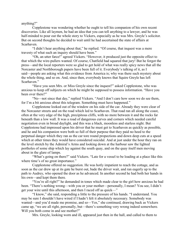anything?"

Copplestone was wondering whether he ought to tell his companion of his own recent discoveries. Like all laymen, he had an idea that you can tell anything to a lawyer, and he was half-minded to pour out the whole story to Vickers, especially as he was Mrs. Greyle's solicitor. But on second thoughts he decided to wait until he had ascertained the state of affairs at Scarhaven.

"I didn't hear anything about that," he replied. "Of course, that inquest was a mere travesty of what such an inquiry should have been."

"Oh, an utter farce!" agreed Vickers. "However, it produced just the opposite effect to that which the wire-pullers wanted. Of course, Chatfield had squared that jury! But he forgot the press—and the local reporters were so glad to get hold of what was really spicy news that all the Norcaster and Northborough papers have been full of it. Everybody's talking of it, as I said—people are asking what this evidence from America is; why was there such mystery about the whole thing, and so on. And, since then, everybody knows that Squire Greyle has left Scarhaven."

"Have you seen Mrs. or Miss Greyle since the inquest?" asked Copplestone, who was anxious to keep off subjects on which he might be supposed to possess information. "Have you been over there?"

"No—not since that day," replied Vickers. "And I don't care how soon we do see them, for I'm a bit anxious about this telegram. Something must have happened."

Copplestone looked out of the window on his side of the car. Already they were clear of the Norcaster streets and on the road which led to Scarhaven. That road ran all along the coast, often at the very edge of the high, precipitous cliffs, with no more between it and the rocks far beneath than a low wall. It was a road of dangerous curves and corners which needed careful negotiation even in broad daylight, and this was a black, moonless and starless night. But Copplestone had impressed upon his driver that he must get to Scarhaven as quickly as possible, and he and his companion were both so full of their purpose that they paid no heed to the perpetual danger which they ran as the car tore round propections and down deep cuts at a speed which at other times they would have considered suicidal. And at just under the hour they ran on the level stretch by the Admiral's Arms and looking down at the harbour saw the lighted portholes of some ship which lay against the south quay, and on the quay itself men moving about in the glare of lamps.

"What's going on there?" said Vickers. "Late for a vessel to be loading at a place like this where time's of no great importance."

Copplestone offered no suggestion. He was hotly impatient to reach the cottage, and as soon as the car drew up at its gate he burst out, bade the driver wait, and ran eagerly up to the path to Audrey, who opened the door as he advanced. In another second he had both her hands in his own—and kept them there.

"You're all right?" he demanded in tones which made clear to the girl how anxious he had been. "There's nothing wrong—with you or your mother—personally, I mean? You see, I didn't get your wire until this afternoon, and then I raced off as quick—"

"I know," she said, responding a little to the pressure of his hands. "I understand. You may be sure I shouldn't have wired if I hadn't felt it absolutely necessary. Somebody was wanted—and you'd made me promise, and so—Yes," she continued, drawing back as Vickers came up, "we are all right, personally, but—there's something very wrong indeed somewhere. Will you both come in and see mother?"

Mrs. Greyle, looking worn and ill, appeared just then in the hall, and called to them to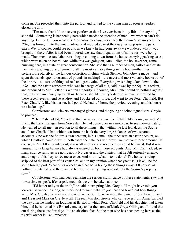come in. She preceded them into the parlour and turned to the young men as soon as Audrey closed the door.

"I'm more thankful to see you gentlemen than I've ever been in my life—for anything!" she said. "Something is happening here which needs the attention of men—we women can't do anything. Let me tell you what it is. Yesterday morning, very early the Squire's steam yacht, the *Pike*, was brought into the inner harbour and moored against the quay just opposite the park gates. We, of course, could see it, and as we knew he had gone away we wondered why it was brought in there. After it had been moored, we saw that preparations of some sort were being made. Then men—estate labourers—began coming down from the house, carrying packing cases, which were taken on board. And while this was going on, Mrs. Peller, the housekeeper, came hurrying here, in a state of great consternation. She said that a number of men, sailors and estate men, were packing up and removing all the most valuable things in the house—the finest pictures, the old silver, the famous collection of china which Stephen John Greyle made—and spent thousands upon thousands of pounds in making!—the rarest and most valuable books out of the library—all sorts of things of real and great value. Everything was being taken down to the *Pike*—and the estate carpenter, who was in charge of all this, said it was by the Squire's orders, and produced to Mrs. Peller his written authority. Of course, Mrs. Peller could do nothing against that, but she came hurrying to tell us, because she, like everybody else, is much exercised by these recent events. And so Audrey and I pocketed our pride, and went to see Peter Chatfield. But Peter Chatfield, like his master, had gone! He had left home the previous evening, and his house was locked up."

Copplestone and Vickers exchanged glances, and the young solicitor signed Mrs. Greyle to proceed.

"Then," she added, "to add to that, as we came away from Chatfield's house, we met Mr. Elkin, the bank manager from Norcaster. He had come over in a motorcar, to see me—privately. He wanted to tell me—in relation to all these things—that within the last few days, the Squire and Peter Chatfield had withdrawn from the bank the very large balances of two separate accounts. One was the Squire's own account, in his name—the other was an estate account, on which Chatfield could draw. In both cases the balances withdrawn were of very large amount. Of course, as Mr. Elkin pointed out, it was all in order, and no objection could be raised. But it was unusual, for a large balance had always existed on both these accounts. And, Mr. Elkin added, so many strange rumours are going about Norcaster and the district, that he felt seriously uneasy, and thought it his duty to see me at once. And now—what is to be done? The house is being stripped of the best part of its valuables, and in my opinion when that yacht sails it will be for some foreign port. What other object can there be in taking these things away? Of course, as nothing is entailed, and there are no heirlooms, everything is absolutely the Squire's property,  $\overline{\text{so}}^{-}$ "

Copplestone, who had been realizing the serious significance of these statements, saw that it was time to speak, if energetic methods were to be taken at once.

"I'd better tell you the truth," he said interrupting Mrs. Greyle. "I might have told you, Vickers, as we came along, but I decided to wait, until we got here and found out how things were. Mrs. Greyle, the man you speak of as the Squire, is no more the owner of Scarhaven than I am! He is not Marston Greyle at all. The real Marston Greyle who came over from America, died the day after he landed, in lodgings at Bristol to which Peter Chatfield and his daughter had taken him, and he is buried in a Bristol cemetery under the name of Mark Grey; Gilling and I found that out during these last few days. It's an absolute fact. So the man who has been posing here as the rightful owner is—an impostor!"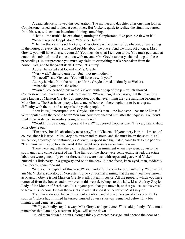A dead silence followed this declaration. The mother and daughter after one long look at Copplestone turned and looked at each other. But Vickers, quick to realize the situation, started from his seat, with evident intention of doing something.

"That's—the truth?" he exclaimed, turning to Copplestone. "No possible flaw in it?" "None," replied Copplestone. "It's sheer fact."

"Then in that case," said Vickers, "Miss Greyle is the owner of Scarhaven, of everything in the house, of every stick, stone and pebble, about the place! And we must act at once. Miss Greyle, you will have to assert yourself. You must do what I tell you to do. You must get ready at once—this minute!—and come down with me and Mrs. Greyle to that yacht and stop all these proceedings. In our presence you must lay claim to everything that's been taken from the house—yes, and to the yacht itself. Come, let's hurry!"

Audrey hesitated and looked at Mrs. Greyle.

"Very well," she said quietly. "But—not my mother."

"No need!" said Vickers. "You will have us with you."

Audrey hurried from the room, and Mrs. Greyle turned anxiously to Vickers.

"What shall you do?" she asked.

"Warn all concerned," answered Vickers, with a snap of the jaw which showed Copplestone that he was a man of determination. "Warn them, if necessary, that the man they have known as Marston Greyle is an impostor, and that everything they are handling belongs to Miss Greyle. The Scarhaven people know me, of course—there ought not to be any great difficulty with them—and as regards the yacht people—"

"You know," interrupted Mrs. Greyle, "that this man—the impostor—has made himself very popular with the people here? You saw how they cheered him after the inquest? You don't think there is danger in Audrey going down there?"

"Wouldn't it be enough if you and I went?" suggested Copplestone. "It's very late to drag Miss Greyle out."

"I'm sorry, but it's absolutely necessary," said Vickers. "If your story is true—I mean, of course, since it is true—Miss Greyle is owner and mistress, and she must be on the spot. It's all we can do, anyway," he continued, as Audrey, wrapped in a big ulster, came back to the parlour. "Even now we may be too late. And if that yacht once sails away from here—"

There were signs that the yacht's departure was imminent when they went down to the south quay and came abreast of her. The lights on the shore were being extinguished; the estate labourers were gone; only two or three sailors were busy with ropes and gear. And Vickers hurried his little party up a gangway and on to the deck. A hard-faced, keen-eyed, man, evidently in authority, came forward.

"Are you the captain of this vessel?" demanded Vickers in tones of authority. "You are? I am Mr. Vickers, solicitor, of Norcaster. I give you formal warning that the man you have known as Marston Greyle is not Marston Greyle at all, but an impostor. All the property which you have removed from the house, and now have on this vessel, belongs to this lady, Miss Audrey Greyle, Lady of the Manor of Scarhaven. It is at your peril that you move it, or that you cause this vessel to leave this harbour. I claim the vessel and all that is on it on behalf of Miss Greyle."

The man addressed listened in silent attention, and showed no sign of any surprise. As soon as Vickers had finished he turned, hurried down a stairway, remained below for a few minutes, and came up again.

"Will you kindly step this way, Miss Greyle and gentlemen?" he said politely. "You must remember that I am only a servant. If you will come down—"

He led them down the stairs, along a thickly-carpeted passage, and opened the door of a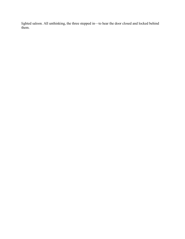lighted saloon. All unthinking, the three stepped in—to hear the door closed and locked behind them.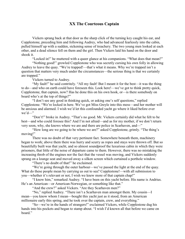# XX The Courteous Captain

Vickers sprang back at that door as the sharp click of the turning key caught his ear, and Copplestone, preceding him and following Audrey, who had advanced fearlessly into the cabin, pulled himself up with a sudden, sickening sense of treachery. The two young men looked at each other, and a dead silence fell on them and the girl. Then Vickers laid his hand on the door and shook it.

"Locked in!" he muttered with a queer glance at his companions. "What does that mean?"

"Nothing good!" growled Copplestone who was secretly cursing his own folly in allowing Audrey to leave the quay. "We're trapped!—that's what it means. Why we're trapped isn't a question that matters very much under the circumstances—the serious thing is that we certainly are trapped."

Vickers turned to Audrey.

"My fault!" he said contritely. "All my fault! But I meant it for the best—it was the thing to do—and who on earth could have foreseen this. Look here!—we've got to think pretty quick, Copplestone, that captain, now? Has he done this on his own hook, or—is there somebody on board who's at the top of things?"

"I don't see any good in thinking quick, or asking one's self questions," replied Copplestone. "We're locked in here. We've got Miss Greyle into this mess—and her mother will be anxious and alarmed. I wish we'd let this confounded yacht go where it liked before ever we'd—"

"Don't!" broke in Audrey. "That's no good. Mr. Vickers certainly did what he felt to be best—and who could foresee this? And I'm not afraid—and as for my mother, if we don't return very soon, why, she knows where we are and there are police in Scarhaven, and—"

"How long are we going to be where we are?" asked Copplestone, grimly. "The thing's moving!"

There was no doubt of that very pertinent fact. Somewhere beneath them, machinery began to work; above them there was hurry and scurry as ropes and stays were thrown off. But so beautifully built was that yacht, and so almost soundproof the luxurious cabin in which they were prisoners, that little of the noise of departure came to them. However, there was no mistaking the increasing throb of the engines nor the fact that the vessel was moving, and Vickers suddenly sprang on a lounge seat and moved away a silken screen which curtained a porthole window.

"There's no doubt of that!" he exclaimed.

"We're going through the outer harbour—we've passed the light at the end of the quay. What do these people mean by carrying us out to sea? Copplestone!—with all submission to you—whether it's relevant or not, I wish we knew more of that captain chap!"

"I know him," remarked Audrey. "I have been on this yacht before. His name is Andrius. He's an American—or American-Norwegian, or something like that."

"And the crew?" asked Vickers. "Are they Scarhaven men?"

"No," replied Audrey. "There isn't a Scarhaven man amongst them. My cousin—I mean—you know whom I mean—bought this yacht just as it stood, from an American millionaire early this spring, and he took over the captain, crew, and everything."

"So—we're in the hands of strangers!" exclaimed Vickers, while Copplestone dug his hands into his pockets and began to stamp about. "I wish I'd known all that before we came on board."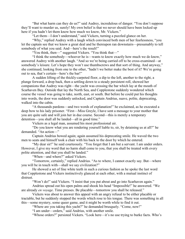"But what harm can they do us?" said Audrey, incredulous of danger. "You don't suppose they'll want to murder us, surely! My own belief is that we never should have been locked up here if you hadn't let them know how much we know, Mr. Vickers."

"Let them—I don't understand," said Vickers, turning a puzzled glance on her.

"Why," replied Audrey with a laugh which convinced both men of her fearlessness, "you let the captain see that we know a great deal and he thereupon ran downstairs—presumably to tell somebody of what you said. And—here's the result!"

"You think, then—" suggested Vickers. "You think that—"

"I think the somebody—whoever he is—wants to know exactly how much we do know," answered Audrey with another laugh. "And so we're being carried off to be cross-examined—at somebody's leisure. Let's hope they won't use thumbscrews and that sort of thing. And anyway," she continued, looking from one to the other, "hadn't we better make the best of it? We're going out to sea, that's certain—here's the bar!"

A sudden lifting of the thickly-carpeted floor, a dip to the left, another to the right, a plunge forward, a drop back, then a settling down to a steady persistent roll, showed her companions that Audrey was right—the yacht was crossing the bar which lay at the mouth of Scarhaven Bay. Outside that lay the North Sea, and Copplestone suddenly wondered which course the vessel was going to take, north, east, or south. But before he could put his thoughts into words, the door was suddenly unlocked, and Captain Andrius, suave, polite, deprecating, walked into the cabin.

"A thousands pardons—and two words of explanation!" he exclaimed, as he executed a deep bow to his lady prisoner. "First—Miss Greyle, I have sent a message to your mother that you are quite safe and will join her in due course. Second—this is merely a temporary detention—you shall all be landed—all in good time."

Vickers as a legal man, assumed his most professional air.

"Do you know what you are rendering yourself liable to, sir, by detaining us at all?" he demanded. "An action—"

Captain Andrius bowed again; again assumed his deprecating smile. He waved the two men to seats and himself took a chair with his back to the door by which he entered.

"My dear sir!" he said courteously. "You forget that I am but a servant. I am under orders. However, I give my word that no harm shall come to you, that you shall be treated with every polite attention, and that you shall be landed."

"When—and where?" asked Vickers.

"Tomorrow, certainly," replied Andrius. "As to where, I cannot exactly say. But—where you will be in touch with—shall we say civilization?"

He showed a set of fine white teeth in such a curious fashion as he spoke the last word that Copplestone and Vickers instinctively glanced at each other, with a mutual instinct of distrust.

"Won't do!" said Vickers. "I insist that you put about and go into Scarhaven again."

Andrius spread out his open palms and shook his head "Impossible!" he answered. "We are already *en voyage*. Time presses. Be placable—tomorrow you shall be released."

Vickers was about to answer this appeal with an angry refusal to be either placable or tractable, but he suddenly stopped the words which rose to his tongue. There was something in all this—some mystery, some queer game, and it might be worth while to find it out.

"Where are you taking this yacht?" he demanded brusquely. "Come, now!"

"I am under—orders," said Andrius, with another smile.

"Whose orders?" persisted Vickers. "Look here—it's no use trying to burke facts. Who's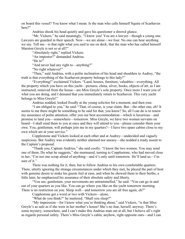on board this vessel? You know what I mean. Is the man who calls himself Squire of Scarhaven here?"

Andrius shook his head quietly and gave his questioner a shrewd glance.

"Mr. Vickers," he said meaningly, "I know you! You are a lawyer—though a young one. Lawyers are guarded in their speech. Now—we are alone—we four. No one can hear anything we say. Tell me—is that right what you said to me on deck, that the man who has called himself Marston Greyle is not so at all?"

"Absolutely right," replied Vickers.

"An impostor?" demanded Andrius.

"He is!"

"And never had any right to—anything?"

"No right whatever!"

"Then," said Andrius, with a polite inclination of his head and shoulders to Audrey, "the truth is that everything of the Scarhaven property belongs to this lady?"

"Everything!" exclaimed Vickers. "Land, houses, furniture, valuables—everything. All the property which you have on this yacht—pictures, china, silver, books, objects of art, as I am instructed, removed from the house—are Miss Greyle's sole property. Once more I warn you of what you are doing, and I demand that you immediately return to Scarhaven. This very yacht belongs to Miss Greyle!"

Andrius nodded, looked fixedly at the young solicitor for a moment, and then rose.

"I am obliged to you," he said. "That, of course, is your claim. But—the other one, eh? It seems to me there might be something to be said for that, you know? So, all I can do is to renew my assurance of polite attention, offer you our best accommodation—which is luxurious—and promise to land you—somewhere—tomorrow. Miss Greyle, we have two women servants on board—I shall send them to you at once and they will attend to you—please consider them your own. You, gentlemen, will perhaps join me in my quarters?—I have two spare cabins close to my own which are at your service."

Copplestone and Vickers looked at each other and at Audrey—undecided and vaguely suspicious. But Audrey was evidently neither alarmed nor uneasy—she nodded a ready assent to the Captain's proposal.

"Thank you, Captain Andrius," she said coolly. "I know the two women. You may send one of them. Do what he suggests," she murmured, turning to Copplestone, who had moved close to her, "I'm not one scrap afraid of anything—and it's only until tomorrow. He'll land us—I'm sure of it."

There was nothing for it, then, but to follow Andrius to his own comfortable quarters. There, utterly ignoring the strange circumstances under which they met, he played the part of host with genuine desire to make his guests feel at ease, and when he showed them to their berths, a little later, he emphasized his assurance of their absolute safety and liberty.

"You see, gentlemen, your movements are untrammelled," he said. "You can go in and out of your quarters as you like. You can go where you like on the yacht tomorrow morning. There is no restriction on you. Sleep well—and tomorrow you are all free again, eh?"

Copplestone got a word or two with Vickers—alone.

"What do you think?" he muttered. "Shall you sleep?"

"My impression—for I know what you're thinking about," said Vickers, "is that Miss Greyle's as safe as if she were in her mother's house! She's no fear, herself, anyway. There's some mystery, somewhere, and I can't make this Andrius man out at all, but I believe all's right as regards personal safety. There's Miss Greyle's cabin, anyhow, right opposite ours—and I can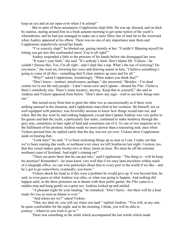keep an eye and an ear open even when I'm asleep!"

But in spite of these assurances, Copplestone slept little. He was up, dressed, and on deck by sunrise, staring around him in a fresh autumn morning to get some notion of the yacht's whereabouts, and he had just managed to make out a mere filmy line of land far to the westward when Audrey appeared at his elbow. There was no one of any importance near them and Copplestone impulsively seized her hands.

"I've scarcely slept!" he blurted out, gazing intently at her. "Couldn't! Blaming myself for letting you get into this confounded mess! You're all right?"

Audrey responded a little to the pressure of his hands before she disengaged her own.

"It wasn't your fault," she said. "It's nobody's fault. Don't blame Mr. Vickers—he couldn't foresee this. Yes, I'm all right—and I slept like a top. What's the use of worrying? Do you know," she went on, lowering her voice and drawing nearer to him, "I believe something's going to come of all this—something that'll clear matters up once and for all."

"Why?" asked Copplestone, wonderingly. "What makes you think that?"

"Don't know—instinct, intuitiveness, perhaps," she answered. "Besides—I'm dead certain we're not the only people—I don't mean crew and Captain—aboard the *Pike*. I believe there's somebody else. There's some mystery, anyway. Keep that to yourself," she said as Andrius and Vickers appeared from below. "Don't show any sign—wait to see how things turn out."

She turned away from him to greet the other two as unconcernedly as if there were nothing unusual in the situation, and Copplestone marvelled at her coolness. He himself, not so well equipped with patience, was feverishly anxious to know how things would turn out, and when. But the day went by and nothing happened, except that Captain Andrius was very polite to his guests and that the yacht, a particularly fast sailer, continued to make headway through the grey seas, sometimes in bare sight of land and sometimes out of it. To one or two inquiries as to the fulfilment of his promise Andrius made no more answer than a reassuring nod; once when Vickers pressed him, he replied curtly that the day was not yet over. Vickers drew Copplestone aside on hearing that.

"Look here!" he said. "I've been reckoning things up as near as I can. I make out that we've been running due north, or northeast ever since we left Scarhaven last night. I reckon, too, that this vessel makes quite twenty-two or three, knots an hour. We must be off the extreme northeast coast of Scotland. And night's coming on!"

"There are ports there that he can put into," said Copplestone. "The thing is—will he keep his promise? Remember!—he must know very well that if we once land anywhere within reach of a telegraph office, we can wire particulars about him to every port in the world if we like—and he's got to go somewhere, eventually, you know."

Vickers shook his head as if this were a problem he would give up. It was beyond him, he said, to even guess at what Andrius was after, or what was going to happen. And nothing did happen until, as the three prisoners sat at dinner with their polite gaoler, the *Pike* came to a sudden stop and hung gently on a quiet sea. Andrius looked up and smiled.

"A pleasant night for your landing," he remarked. "Don't hurry—but there will be a boat ready for you as soon as dinner is over."

"And where are we?" asked Vickers.

"That, my dear sir, you will see when you land." replied Andrius. "You will, at any rate, be quite comfortable for the night, and in the morning, I think, you will be able to journey—wherever you wish to go to."

There was something in the smile which accompanied the last words which made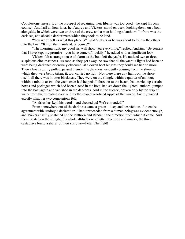Copplestone uneasy. But the prospect of regaining their liberty was too good—he kept his own counsel. And half an hour later, he, Audrey and Vickers, stood on deck, looking down on a boat alongside, in which were two or three of the crew and a man holding a lanthorn. In front was the dark sea, and ahead a darker mass which they took to be land.

"You won't tell us what this place is?" said Vickers as he was about to follow the others into the boat. "It's on the mainland, of course?"

"The morning light, my good sir, will show you everything," replied Andrius. "Be content that I have kept my promise—you have come off luckily," he added with a significant look.

Vickers felt a strange sense of alarm as the boat left the yacht. He noticed two or three suspicious circumstances. As soon as they got away, he saw that all the yacht's lights had been or were being darkened or entirely obscured; at a dozen boat lengths they could see her no more. Then a boat, swiftly pulled, passed them in the darkness, evidently coming from the shore to which they were being taken: it, too, carried no light. Nor were there any lights on the shore itself; all there was in utter blackness. They were on the shingle within a quarter of an hour; within a minute or two the yachtsmen had helped all three on to the beach, had carried up certain boxes and packages which had been placed in the boat, had set down the lighted lanthorn, jumped into the boat again and vanished in the darkness. And in the silence, broken only by the drip of water from the retreating oars, and by the scarcely-noticed ripple of the waves, Audrey voiced exactly what her two companions felt.

"Andrius has kept his word—and cheated us! We're stranded!"

From somewhere out of the darkness came a groan—deep and heartfelt, as if in entire agreement with Audrey's declaration. That it proceeded from a human being was evident enough, and Vickers hastily snatched up the lanthorn and strode in the direction from which it came. And there, seated on the shingle, his whole attitude one of utter dejection and misery, the three castaways found a sharer of their sorrows—Peter Chatfield!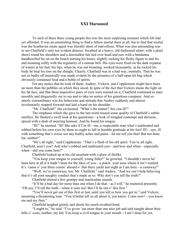#### XXI Marooned

To each of these three young people this was the most surprising moment which life had yet afforded. It was an astonishing thing to find a fellow mortal there at all, but to find that mortal was the Scarhaven estate agent was literally short of marvellous. What was also astounding was to see Chatfield's only too evident distress. Swathed in a heavy, old-fashioned ulster, with a plaid shawl round his shoulders and a deerstalker hat tied over head and ears with a bandanna handkerchief he sat on the beach nursing his knees, slightly rocking his fleshy figure to and fro and moaning softly with the regularity of a minute bell. His eyes were fixed on the dark expanse of waters at his feet; his lips, when he was not moaning, worked incessantly; as he rocked his body he beat his toes on the shingle. Clearly, Chatfield was in a bad way, mentally. That he was not so badly off materially was made evident by the presence of a half-open kit bag which obviously contained food and a bottle of spirits.

For any notice that he took of them, Audrey, Vickers, and Copplestone might have been no more than the pebbles on which they stood. In spite of the fact that Vickers shone the light on his fat face, and that three inquisitive pairs of eyes were trained on it, Chatfield continued to stare moodily and disgustedly out to sea and to take no notice of his gratuitous company. And so utterly extraordinary was his behaviour and attitude that Audrey suddenly and almost involuntarily stepped forward and laid a hand on his shoulder.

"Mr. Chatfield!" she exclaimed. "What's the matter? Are you ill?"

The emphasis which she gave to the last word roused some quality of Chatfield's subtle intellect. He flashed a swift look at his questioner—a look of mingled contempt and derision, spiced with a dash of sneering humour. And he found his tongue.

"Ill!" he snorted. "Ill! She asks if I'm ill—me, a respectable man what's maltreated and robbed before his own eyes by them as ought to fall in humble gratitude at his feet! Ill!—aye, ill with something that's worse nor any bodily aches and pains—let me tell you that! But not done for, neither!"

"He's all right," said Copplestone. "That's a flash of his old spirit. You're all right, Chatfield, aren't you? And who's robbed and maltreated you—and how and when—especially when—did you come here?"

Chatfield looked up at his old assailant with a glare of dislike.

"You keep your tongue to yourself, young feller!" he growled. "I shouldn't never ha' been here at all if it hadn't been for the likes of you—a pokin' your nose where it isn't wanted. It's 'cause o' you three comin' aboard o' that there yacht last night as I am here—a castaway!"

"Well, we're castaways, too, Mr. Chatfield," said Audrey. "And we can't help believing that it's all your naughty conduct that's made us so. Why don't you tell the truth?"

Chatfield uttered a few grumpy and inarticulate sounds.

"It'll be a bad day for more than one when I do that—as I will," he muttered presently. "Oh aye, I'll tell the truth—when it suits me! But I'll be out o' this first."

"You'll never get out of this first or last, until you tell us how you got in," said Vickers, assuming a threatening tone. "You'd better tell us all about it, you know. Come now!—you know me and my firm."

Chatfield laughed grimly and shook his much-swathed head.

"I ought to," he said. "I've given 'em more than one nice job and said naught about their bills o' costs, neither, my lad. You keep a civil tongue in your mouth—I ain't done for yet,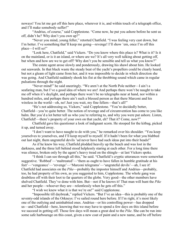noways! You let me get off this here place, wherever it is, and within touch of a telegraph office, and I'll make somebody suffer!"

"Andrius, of course," said Copplestone. "Come now, he put you ashore before he sent us off, didn't he? Why don't you own up?"

"Never you mind, young feller," retorted Chatfield. "I was feeling very cast down, but I'm better. I've something that'll keep me going—revenge! I'll show 'em, once I'm off this place—I will so!"

"Look here, Chatfield," said Vickers. "Do you know where this place is? What is it? Is it on the mainland, or is it an island, or where are we? It's all very well talking about getting off, but when and how are we to get off? Why don't you be sensible and tell us what you know?"

The estate agent arose slowly and ponderously, drawing his shawl about him. He looked out seawards. In that black waste the steady beat of the yacht's propellers could be clearly heard, but not a gleam of light came from her, and it was impossible to decide in which direction she was going. And Chatfield suddenly shook his fist at the throbbing sound which came in regular pulsations through the night.

"Never mind!" he said sneeringly. "We aren't at the North Pole neither—I ain't a seafaring man, but I've a good idea of where we are! And perhaps there won't be naught to take me off when it's daylight, and perhaps there won't be no telegraphs near at hand, nor within a hundred miles, and perhaps there ain't such a blessed person as that there Marconi and his wireless in the world—oh, no! Just you wait, my fine fellers—that's all!"

"He's not addressing us, Vickers," said Copplestone. "You're decidedly better, Chatfield—you're quite better. The notion of revenge and of circumvention has come to you like balm. But you'd a lot better tell us who you're referring to, and why you were put ashore. Listen, Chatfield!—there's property of your own on that yacht, eh? That it? Come, now?"

Chatfield gave his questioner a look of indignant scorn. He stooped for the kitbag, picked it up, and turned away.

"I don't want to have naught to do with you," he remarked over his shoulder. "You keep yourselves to yourselves, and I'll keep myself to myself. If it hadn't been for what you blabbed out last night, them ungrateful devils 'ud never have had such ideas put into their heads!"

As if he knew his way, Chatfield plodded heavily up the beach and was lost in the darkness, and the three left behind stood helplessly staring at each other. For a long time there was silence, broken only by the agent's heavy tread on the shingle—at last Vickers spoke.

"I think I can see through all this," he said. "Chatfield's cryptic utterances were somewhat suggestive. 'Robbed'—'maltreated'—'them as ought to have fallen in humble gratitude at his feet'—'vengeance'—'revenge'—'Marconi telegrams'—'ungrateful devils'—ah, I see it! Chatfield had associates on the *Pike*—probably the impostor himself and Andrius—probably, too, he had property of his own, as you suggested to him, Copplestone. The whole gang was doubtless off with their loot to far quarters of the globe. Very good—the other members have shelved Chatfield. They've done with him. But—not if he knows it! That man will hunt the *Pike* and her people—whoever they are—relentlessly when he gets off this."

"I wish we knew what it is that we're on!" said Copplestone.

"Impossible till daybreak," replied Vickers. "But I've an idea—this is probably one of the seventy-odd islands of the Orkneys: I've sailed round here before. If I'm right, it's most likely one of the outlying and uninhabited ones. Andrius—or his controlling power—has dropped us—and Chatfield—here, knowing that we may have to spend a few days on this island before we succeed in getting off. Those few days will mean a great deal to the *Pike*. She can be run into some safe harbourage on this coast, given a new coat of paint and a new name, and be off before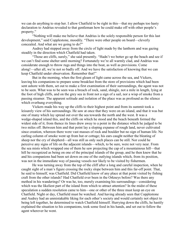we can do anything to stop her. I allow Chatfield to be right in this—that my perhaps too hasty declaration to Andrius revealed to that gentleman how he could make off with other people's property."

"Nothing will make me believe that Andrius is the solely responsible person for this last development," said Copplestone, moodily. "There were other people on board—cleverly concealed. And what are we going to do?"

Audrey had stepped away from the circle of light made by the lanthorn and was gazing steadily in the direction which Chatfield had taken.

"Those are cliffs, surely," she said presently. "Hadn't we better go up the beach and see if we can't find some shelter until morning? Fortunately we're all warmly clad, and Andrius was considerate enough to throw rugs and things into the boat, as well as provisions. Come along!—after all, we're not so badly off. And we have the satisfaction of knowing that we can keep Chatfield under observation. Remember that!"

But in the morning, when the first gleam of light came across the sea, and Vickers, leaving his companions to prepare some breakfast from the store of provisions which had been sent ashore with them, set out to make a first examination of their surroundings, the agent was not to be seen. What was to be seen was a breach of rock, sand, shingle, not a mile in length, lying at the foot of high cliffs, and on the grey sea in front not a sign of a sail, nor a wisp of smoke from a passing steamer. The apparent solitude and isolation of the place was as profound as the silence which overhung everything.

Vickers made his way up the cliffs to their highest point and from its summit took a leisurely view of his surroundings. He saw at once that they were on an island, and that it was but one of many which lay spread out over the sea towards the north and the west. It was a wedge-shaped island this, and the cliffs on which he stood and the beach beneath formed the widest side of it; from thence its lines drew away to a point in the distance which he judged to be two miles off. Between him and that point lay a sloping expanse of rough land, never cultivated since creation, whereon there were vast masses of rock and boulder but no sign of human life. No curling column of smoke went up from hut or cottage; his ears caught neither the bleating of sheep nor the cry of shepherd—all was still as only such places can be still. Nor could he perceive any signs of life on the adjacent islands—which, to be sure, were not very near. From the sea mists which wrapped one of them he saw projecting the cap of a mountainous hill—that hill he recognized as being on one of the principal islands of the group, and he then knew that he and his companions had been set down on one of the outlying islands which, from its position, was not in the immediate way of passing vessels nor likely to be visited by fishermen.

He was turning away from the top of the cliff after a long and careful inspection, when he caught sight of a man's figure crossing the rocky slope between him and this far-off point. That, he said to himself, was Chatfield. Did Chatfield know of any place at that point visited by fishing craft from the other islands? Had Chatfield ever been in the Orkneys before? Was there any method in his wanderings? Or was he, too, merely examining his surroundings—considering which was the likeliest part of the island from which to attract attention? In the midst of these speculation a sudden resolution came to him—one or other of the three must keep an eye on Chatfield. Night or day, Chatfield must be watched. And having already seen that Copplestone and Audrey had an unmistakable liking for each other's society and would certainly not object to being left together, he determined to watch Chatfield himself. Hurrying down the cliffs, he hastily explained the situation to his companions, took some food in his hands, and set out to follow the agent wherever he went.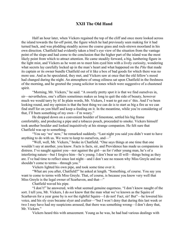### XXII The Old Hand

Half an hour later, when Vickers regained the top of the cliff and once more looked across the island towards the far-off point, the figure which he had previously seen making for it had turned back, and was plodding steadily across the coarse grass and rock-strewn moorland in his own direction. Chatfield had evidently taken a bird's eye view of the situation from the vantage point of the slope and had come to the conclusion that the higher part of the island was the most likely point from which to attract attention. He came steadily forward, a big, lumbering figure in the light mist, and Vickers as he went on to meet him eyed him with a lively curiosity, wondering what secrets lay carefully locked up in the man's heart and what happened on the *Pike* that made its captain or its owner bundle Chatfield out of it like a box of bad goods for which there was no more use. And as he speculated, they met, and Vickers saw at once that the old fellow's mood had changed during the night. An atmosphere of smug oiliness sat upon Chatfield in the freshness of the morning, and he greeted the young solicitor in tones which were suggestive of a chastened spirit.

"Morning, Mr. Vickers," he said. "A sweetly pretty spot it is that we find ourselves in, sir—nevertheless, one's affairs sometimes makes us long to quit the side of beauty, however much we would tarry by it! In plain words, Mr. Vickers, I want to get out o' this. And I've been looking round, and my opinion is that the best thing we can do is to start as big a fire as we can find stuff for on yon bluff and keep a-feeding on it. In the meantime, while you're considering of that, I'll burn something of my own—I'm weary."

He dropped down on a convenient boulder of limestone, settled his big frame comfortably, and producing a pipe and a tobacco pouch, proceeded to smoke. Vickers himself took another boulder and looked inquisitively at his strange companion. He felt sure that Chatfield was up to something.

"You say 'we' now," he remarked suddenly. "Last night you said you didn't want to have anything to do with us. We were to keep to ourselves, and—"

"Well, well, Mr. Vickers," broke in Chatfield. "One says things at one time that one wouldn't say at another, you know. Facts is facts, sir, and Providence has made us companions in distress. I've naught against you—nor against the girl—as for t'other young man, he's of a interfering nature—but I forgive him—he's young. I don't bear no ill will—things being as they are. I've had time to reflect since last night—and I don't see no reason why Miss Greyle and me shouldn't come to terms—through you."

Vickers lighted his own pipe, and took some time over it.

"What are you after, Chatfield?" he asked at length. "Something, of course. You say you want to come to terms with Miss Greyle. That, of course, is because you know very well that Miss Greyle is the legal owner of Scarhaven, and that—"

Chatfield waved his pipe.

"I don't!" he answered, with what seemed genuine eagerness. "I don't know naught of the sort. I tell you, Mr. Vickers, I do *not* know that the man what we've known as the Squire of Scarhaven for a year gone by is *not* the rightful Squire—I do not! Fact, sir! But"—he lowered his voice, and his sly eyes became slyer and craftier—"but I won't deny that during this last week or two I may have had my suspicions aroused, that there was something wrong—I don't deny that, Mr. Vickers."

Vickers heard this with amazement. Young as he was, he had had various dealings with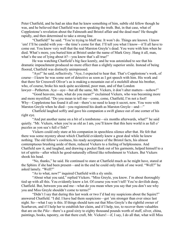Peter Chatfield, and he had an idea that he knew something of him, subtle old fellow though he was, and he believed that Chatfield was now speaking the truth. But, in that case, what of Copplestone's revelation about the Falmouth and Bristol affair and the dead man? He thought rapidly, and then determined to take a strong line.

"Chatfield!" he said. "You're trying to bluff me. It won't do. Things are known. I know 'em! I'll be candid with you—the time's come for that. I'll tell you what I know—it'll all have to come out. You know very well that the real Marston Greyle's dead. You were with him when he died. What's more, you buried him at Bristol under the name of Mark Grey. Hang it all, man, what's the use of lying about it?—you know that's all true!"

He was watching Chatfield's big face keenly, and he was astonished to see that his dramatic impeachment produced no more effect than a slightly superior smile. Instead of being floored, Chatfield was distinctly unimpressed.

"Aye!" he said, reflectively. "Aye, I expected to hear that. That's Copplestone's work, of course—I knew he was some sort of detective as soon as I got speech with him. His work and that there Sir Cresswell Oliver's as is making a mountain out of a molehill about his brother, who, of course, broke his neck quite accidental, poor man, and of that London lawyer—Petherton. Aye—aye—but all the same, Mr. Vickers, it don't alter matters—nohow!"

"Good heavens, man, what do you mean?" exclaimed Vickers, who was becoming more and more mystified. "Do you mean to tell me—come, come, Chatfield, I'm not a fool! Why—Copplestone has found it all out—there's no need to keep it secret, now. You were with Marston Greyle when he died—you registered his death as Marston Greyle—and—"

Chatfield laughed softly and gave his companion a swift glance out of one corner of his right eye.

"And put another name on a bit of a tombstone—six months afterwards, what?" he said quietly. "Mr. Vickers, when you're as old as I am, you'll know that this here world is as full o' puzzles as yon sea's full o'fish!"

Vickers could only stare at his companion in speechless silence after that. He felt that there was some mystery about which Chatfield evidently knew a great deal while he knew nothing. The old fellow's coolness, his ready acceptance of the Bristol facts, his almost contemptuous brushing aside of them, reduced Vickers to a feeling of helplessness. And Chatfield saw it, and laughed, and drawing a pocket flask out of his garments, helped himself to a tot of spirits—after which he good-naturedly offered like refreshment to Vickers. But Vickers shook his head.

"No, thanks," he said. He continued to stare at Chatfield much as he might have, stared at the Sphinx if she had been present—and in the end he could only think of one word. "Well?" he asked lamely. "Well?"

"As to what, now?" inquired Chatfield with a sly smile.

"About what you said," replied Vickers. "Miss Greyle, you know. I'm about thoroughly tied up with all this. You evidently know a lot. Of course you won't tell! You're devilish deep, Chatfield. But, between you and me—what do you mean when you say that you don't see why you and Miss Greyle shouldn't come to terms?"

"Didn't I say that during this last week or two I'd had my suspicions about the Squire?" answered Chatfield. "I did. I have had them suspicions—got 'em stronger than ever since last night. So—what I say is this. If things should turn out that Miss Greyle's the rightful owner of Scarhaven, and if I help her to establish her claim, and if I help, too, to recover them valuables that are on the *Pike*—there's a good sixty to eighty thousand pounds worth of stuff, silver, china, paintings, books, tapestry, on that there craft, Mr. Vickers!—if, I say, I do all that, what will Miss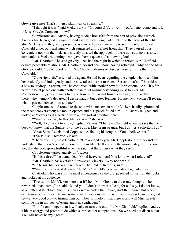Greyle give me? That's it—in a plain way of speaking."

"I thought it was," said Vickers dryly. "Of course! Very well—you'd better come and talk to Miss Greyle. Come on—now!"

Copplestone and Audrey, having made a breakfast from the box of provisions which Andrius had been good enough to send ashore with them, had climbed to the head of the cliff after Vickers, and they were presently astonished beyond measure to see him returning with Chatfield under outward signs which suggested amity if not friendship. They paused by a convenient nook in the rocks and silently awaited the approach of these two strangely assorted companions. Vickers, coming near, gave them a queer and a knowing look.

"Mr. Chatfield," he said gravely, "has had the night in which to reflect. Mr. Chatfield desires peaceable relations. Mr. Chatfield doesn't see—now, having reflected—why he and Miss Greyle shouldn't be on good terms. Mr. Chatfield desires to discuss these terms. Is that right, Chatfield?"

"Quite right, sir," assented the agent. He had been regarding the couple who faced him benevolently and indulgently, and he now raised his hat to them. "Servant, ma'am," he said with a bow to Audrey. "Servant, sir," he continued, with another bow to Copplestone. "Ah—it's far better to be at peace one with another than to let misunderstandings exist forever. Mr. Copplestone, sir, you and me's had words in times past—I brush 'em away, sir, like that there—the memory's departed! I desire naught but better feelings. Happen Mr. Vickers'll repeat what's passed between him and me."

Copplestone stood rooted to the spot with amazement while Vickers hastily epitomized the recent conversation; his mouth opened and his speech failed him. But Audrey laughed and looked at Vickers as if Chatfield were a new sort of entertainment.

"What do you say to this, Mr. Vickers?" she asked.

"Well, if you want to know," replied Vickers, "I believe Chatfield when he says that he does *not* know that the Squire is *not* the Squire. May seem strange, but I do! As a solicitor, I do."

"Great Scott!" exclaimed Copplestone, finding his tongue. "You—believe that!"

"I've said so," retorted Vickers.

"Thank you, sir," said Chatfield. "I'm obliged to you. Mr. Copplestone, sir, doesn't yet understand that there's a deal of conundrum in life. He'll know better—some day. He'll know, too, that the poet spoke truthful when he said that things isn't what they seem."

Copplestone turned angrily on Vickers.

"Is this a farce?" he demanded. "Good heavens, man! You know what I told you!"

"Mr. Chatfield has a version," answered Vickers. "Why not hear it?"

"On terms, Mr. Vickers," remarked Chatfield. "On terms, sir."

"What terms?" asked Audrey. "To Mr. Chatfield's personal advantage, of course."

Chatfield, who was still the most unconcerned of the group, seated himself on the rocks and looked at his audience.

"I've said to Mr. Vickers here that if I help Miss Greyle to the estate, I ought to be rewarded—handsome," he said. "Mind you, I don't know that I can, for as I say, I do not know, as a matter of strict fact, that this man as we've called the Squire, isn't the Squire. But recent events—very recent events!—has made me suspicious that he isn't, and happen I can do a good bit—a very good bit—to turning him out. Now, if I help in that there work, will Miss Greyle continue me in my post of estate agent at Scarhaven?"

"Not for any longer than it will take to turn you out of it, Mr. Chatfield," replied Audrey with an energy and promptitude which surprised her companions. "So we need not discuss that. You will never be my agent!"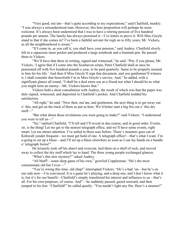"Very good, ma'am—that's quite according to my expectations," said Chatfield, meekly. "I was always a misunderstood man. However, this here proposition will perhaps be more welcome. It's always been understood that I was to have a retiring pension of five hundred pounds per annum. The family has always promised it—I've letters to prove it. Will Miss Greyle stand to that if she comes in? I've been a faithful servant for nigh on to fifty years, Mr. Vickers, as all the neighbourhood is aware."

"If I come in, as you call it, you shall have your pension," said Audrey. Chatfield slowly felt in a capacious inner pocket and produced a large notebook and a fountain pen. He passed them to Vickers.

"We'll have that there in writing, signed and witnessed," he said. "Put, if you please, Mr. Vickers, 'I agree that if I come into the Scarhaven estate, Peter Chatfield shall at once be pensioned off with five hundred pounds a year, to be paid quarterly. Same to be properly assured to him for his life.' And then if Miss Greyle'll sign that document, and you gentlemen'll witness it, I shall consider that henceforth I'm in Miss Greyle's service. And," he added, with a significant glance all round, "I shall be a deal more use as a friend nor what I should be as what you might term an enemy—Mr. Vickers knows that."

Vickers held a short consultation with Audrey, the result of which was that the paper was duly signed, witnessed, and deposited in Chatfield's pocket. And Chatfield nodded his satisfaction.

"All right," he said. "Now then, ma'am, and gentlemen, the next thing is to get away out o' this, and get on the track of them as put us here. We'd better start a big fire out o' this dry stuff—"

"But what about these revelations you were going to make?" said Vickers. "I understood you were to tell us—"

"Sir," replied Chatfield, "I'll tell and I'll reveal in due course, and in good order. Events, sir, is the thing! Let me get to the nearest telegraph office, and we'll have some events, right smart. Let me attract attention. I've sailed in these seas before. There's steamers goes out of Kirkwall yonder frequent—we must get hold of one. A telegraph office!—that's what I want. I'm a-going to set up a blaze—and I'll set up a blaze elsewhere as soon as I can lay hands on a bundle o' telegraph forms!"

He leisurely took off his shawl and overcoat, laid them on a shelf of rock, and moved away to collect the dry stuff which lay to hand. The three young people exchanged glances.

"What's this new mystery?" asked Audrey.

"All bluff!—some deep game of his own," growled Copplestone. "He's the most consummate old liar I ever—"

"You're wrong this time, old chap!" interrupted Vickers. "He's a bad 'un—but he's on our side now—I'm convinced. It is a game he's playing, and a deep one, and I don't know what it is, but it's for our benefit—Chatfield's simply transferred his interest and influence to us—that's all. For his own purposes, of course. And"—he suddenly paused, gazed seaward, and then jumped to his feet. "Chatfield!" he called quietly. "You needn't light any fire. Here's a steamer!"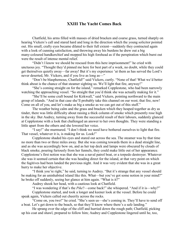## XXIII The Yacht Comes Back

Chatfield, his arms filled with masses of dried bracken and coarse grass, turned sharply on hearing Vickers's call and stared hard and long in the direction which the young solicitor pointed out. His small, crafty eyes became dilated to their full extent—suddenly they contracted again with a look of cunning satisfaction, and throwing away his burdens he drew out a big many-coloured handkerchief and mopped his high forehead as if the perspiration which burst out were the result of intense mental relief.

"Didn't I know we should be rescued from this here imprisonment!" he cried with unctuous joy. "Thought they'd pinned me here for best part of a week, no doubt, while they could get theirselves quietly away—far away! But it's my experience 'ut them as has served the Lord's never deserted, Mr. Vickers, and if you live as long as—"

"Don't be blasphemous, Chatfield!" said Vickers, curtly. "None of that! What we'd better think about is the chance of that steamer sighting us. We'll light that fire, anyway!"

"She's coming straight on for the island," remarked Copplestone, who had been narrowly watching the approaching vessel. "So straight that you'd think she was actually making for it."

"She'll be some craft bound for Kirkwall," said Vickers, pointing northward to the main group of islands. "And in that case she'll probably take this channel on our west; that fire, now! Come on all of you, and let's make as big a smoke as we can get out of this stuff."

The weather being calm and the grass and bracken which they heaped together as dry as tinder, there was little difficulty about raising a thick column of smoke which presently rose high in the sky. But Audrey, turning away from the successful result of their labours, suddenly glanced at Copplestone with a look that challenged an answer to her own thoughts. They were standing a little apart from the others and she lowered her voice.

"I say!" she murmured. "I don't think we need have bothered ourselves to light that fire. That vessel, whatever it is, is making for us. Look!"

Copplestone shaded his eyes and stared out across the sea. The steamer was by that time no more than two or three miles away. But she was coming towards them in a dead straight line, and as she was accordingly bow on, and as her top deck and lamps were obscured by clouds of black smoke, pouring furiously from her funnels, they could make little out of her appearance. Copplestone's first notion was that she was a naval patrol boat, or a torpedo destroyer. Whatever she was it seemed certain that she was heading direct for the island, at that very point on which the fugitives had been landed the previous night. And it was very evident that she was in a great hurry to make her objective.

"I think you're right," he said, turning to Audrey. "But it's strange that any vessel should be making for an uninhabited island like this. What—but you've got some notion in your mind?" he broke off suddenly, seeing her glance at him again. "What is it?"

Audrey shook her head, with a cautious look at Chatfield.

"I was wondering if that's the *Pike*?—come back!" she whispered. "And if it is—why?"

Copplestone started, and took a longer and keener look at the vessel. Before he could speak again, Vickers called out cheerily across the rocks.

"Come on, you two!" he cried. "She's seen us—she's coming in. They'll have to send off a boat. Let's get down to the beach, so that they'll know where there's a safe landing."

He sprang over the edge of the cliff and hurried down the rough path; Chatfield, picking up his coat and shawl, prepared to follow him; Audrey and Copplestone lingered until he, too,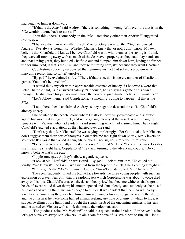had begun to lumber downward.

"If that is the *Pike*," said Audrey, "there is something—wrong. Whoever it is that is on the *Pike* wouldn't come back to take us!"

"You think there is somebody on the *Pike*—somebody other than Andrius?" suggested Copplestone.

"I believe the man who calls himself Marston Greyle was on the *Pike*," announced Audrey. "I've always thought so. Whether Chatfield knew that or not, I don't know. My own belief is that Chatfield did know. I believe Chatfield was in with them, as the saying is. I think they were all running away with as much of the Scarhaven property as they could lay hands on and that having got it, they bundled Chatfield out and dumped him down here, having no further use for him. And, if that's the *Pike*, and they're returning here, it's because they want Chatfield!"

Copplestone suddenly recognized that feminine instinct had solved a problem which masculine reason had so far left unsolved.

"By gad!" he exclaimed softly. "Then, if that is so, this is merely another of Chatfield's games. You don't believe him?"

"I would think myself within approachable distance of lunacy if I believed a word that Peter Chatfield said," she answered calmly. "Of course, he is playing a game of his own all through. He shall have his pension—if I have the power to give it—but believe him—oh, no!"

"Let's follow them," said Copplestone. "Something's going to happen—if that is the *Pike*."

"Look there, then," exclaimed Audrey as they began to descend the cliff. "Chatfield's already uneasy."

She pointed to the beach below, where Chatfield, now fully overcoated and shawled again, had mounted a ridge of rock, and while gazing intently at the vessel, was exchanging remarks with Vickers, who had evidently said something which had alarmed him. They caught Chatfield's excited ejaculations as they hurried over the sand.

"Don't say that, Mr. Vickers!" he was saying imploringly. "For God's sake, Mr. Vickers, don't suggest them there sort of thoughts. You make me feel right down poorly, Mr. Vickers, to say such! It's worse than a bad dream, Mr. Vickers—no, sir, no, surely you're mistaken!"

"Bet you a fiver to a halfpenny it's the *Pike*," retorted Vickers. "I know her lines. Besides she's heading straight here. Copplestone!" he cried, turning to the advancing couple. "Do you know, I believe that's the *Pike*!"

Copplestone gave Audrey's elbow a gentle squeeze.

"Look at old Chatfield!" he whispered. "By gad!—look at him. Yes," he called out loudly, "We know it's the *Pike*—we saw that from the top of the cliffs. She's coming straight in."

"Oh, yes, it's the *Pike*," exclaimed Audrey. "Aren't you delighted, Mr. Chatfield."

The agent suddenly turned his big fat face towards the three young people, with such an expression of craven fear on it that the sardonic jest which Copplestone was about to voice died away on his lips. Chatfield's creased cheeks and heavy jowl had become white as chalk; great beads of sweat rolled down them; his mouth opened and shut silently, and suddenly, as he raised his hands and wrung them, his knees began to quiver. It was evident that the man was badly, terribly afraid—and as they watched him in amazed wonder his eyes began to search the shore and the cliffs as if he were some hunted animal seeking any hole or cranny in which to hide. A sudden swelling of the light wind brought the steady throb of the oncoming engines to his ears and he turned on Vickers with a look that made the onlookers start.

"For goodness sake, Mr. Vickers!" he said in a queer, strained voice. "For heaven's sake, let's get ourselves away! Mr. Vickers—it ain't safe for none of us. We'd best to run, sir—let's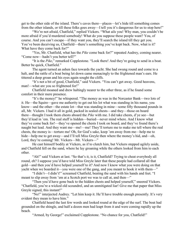get to the other side of the island. There's caves there—places—let's hide till something comes from the other islands, or till these folks goes away—I tell you it's dangerous for us to stop here!"

"We're not afraid, Chatfield," replied Vickers. "What ails you! Why man, you couldn't be more afraid if you'd murdered somebody! What do you suppose these people want? You, of course. And you can't escape—if they want you, they'll search the island till they get you. You've been deceiving us, Chatfield—there's something you've kept back. Now, what is it? What have they come back for?"

"Yes, Mr. Chatfield, what has the *Pike* come back for?" repeated Audrey, coming nearer. "Come now—hadn't you better tell?"

"It is the *Pike*," remarked Copplestone. "Look there! And they're going to send in a boat. Better be quick, Chatfield."

The agent turned an ashen face towards the yacht. She had swung round and come to a halt, and the rattle of a boat being let down came menacingly to the frightened man's ears. He tittered a deep groan and his eyes again sought the cliffs.

"It's not a bit of good, Chatfield," said Vickers. "You can't get away. Good heavens, man!—what are you so frightened for!"

Chatfield moaned and drew haltingly nearer to the other three, as if he found some comfort in their mere presence.

"It's the money!" he whispered. "The money as was in the Norcaster Bank—two lots of it. He—the Squire—gave me authority to get out his lot what was standing in his name, you know—and the other—the estate lot—that was standing in mine—some fifty thousand pounds in all, Mr. Vickers. I had it all in gold, packed in sealed chests—and they—those on board there—thought I took them chests aboard the *Pike* with me. I did take chests, d'ye see—but they'd lead in 'em. The real stuff is hidden—buried—never mind where. And I know what they've come back for!—they've opened the chests I took on board, and they've found there's naught but lead. And they want me—me!—me! They'll torture me to make me tell where the real chests, the money is—torture me! Oh, for God's sake, keep 'em away from me—help me to hide—help me to get away—and I'll tell Miss Greyle then where the money's hid, and—oh, Lord, they're coming! Mr. Vickers—Mr. Vickers—"

He cast himself bodily at Vickers, as if to clutch him, but Vickers stepped agilely aside, and Chatfield fell on the sand, where he lay groaning while the others looked from him to each other.

"Ah!" said Vickers at last. "So that's it, is it, Chatfield? Trying to cheat everybody all round, eh? I suppose you'd have told Miss Greyle later that these people had collared all that gold—and then you'd have helped yourself to it? And now I know what you were doing on that yacht when we boarded it—you were one of the gang, and you meant to hook it with them—"

"I didn't—I didn't!" screamed Chatfield, beating the sand with his hands and feet. "I meant to slip away from 'em at a Scotch port we was to call at, and then—"

"Then you'd have gone back to the hidden chests and helped yourself," sneered Vickers. "Chatfield, you're a wicked old scoundrel, and an unmitigated liar! Give me that paper that Miss Greyle signed, this instant!"

"No!" interjected Audrey. "Let him keep it. He'll have trouble enough presently. It's very evident they mean to have him."

Chatfield heard the last few words and looked round at the edge of the surf. The boat had grounded on the shingle, and half a dozen men had leapt from it and were coming rapidly up the beach.

"Armed, by George!" exclaimed Copplestone. "No chance for you, Chatfield!"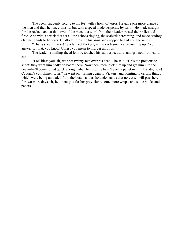The agent suddenly sprang to his feet with a howl of terror. He gave one more glance at the men and then he ran, clumsily, but with a speed made desperate by terror. He made straight for the rocks—and at that, two of the men, at a word from their leader, raised their rifles and fired. And with a shriek that set all the echoes ringing, the seabirds screaming, and made Audrey clap her hands to her ears, Chatfield threw up his arms and dropped heavily on the sands.

"That's sheer murder!" exclaimed Vickers, as the yachtsmen came running up. "You'll answer for that, you know. Unless you mean to murder all of us."

The leader, a smiling-faced fellow, touched his cap respectfully, and grinned from ear to ear.

"Lor' bless you, sir, we shot twenty feet over his head!" he said. "He's too precious to shoot: they want him badly on board there. Now then, men, pick him up and get him into the boat—he'll come round quick enough when he finds he hasn't even a pellet in him. Handy, now! Captain's compliments, sir," he went on, turning again to Vickers, and pointing to certain things which were being unloaded from the boat, "and as he understands that no vessel will pass here for two more days, sir, he's sent you further provisions, some more wraps, and some books and papers."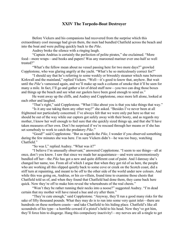#### XXIV The Torpedo-Boat Destroyer

Before Vickers and his companions had recovered from the surprise which this extraordinary cool message had given them, the men had bundled Chatfield across the beach and into the boat and were pulling quickly back to the *Pike*.

Audrey broke the silence with a ringing laugh.

"Captain Andrius is certainly the perfection of polite pirates," she exclaimed. "More food—more wraps—and books and papers! Was any marooned mariner ever one-half so well treated?"

"What's the fellow mean about no vessel passing here for two more days?" growled Copplestone, who was glaring angrily at the yacht. "What's he so meticulously correct for?"

"I should say that he's referring to some weekly or biweekly steamer which runs between Kirkwall and the mainland," replied Vickers. "Well—it's good to know that, anyhow. But wait until the *Pike*'s vamoosed again, and we'll make up such a column of smoke that it'll be seen for many a mile. In fact, I'll go and gather a lot of dried stuff now—you two can drag those boxes and things up the beach and see what our gaolers have been good enough to send us."

He went away up the cliffs, and Audrey and Copplestone, once more left alone, looked at each other and laughed.

"That's right," said Copplestone. "What I like about you is that you take things that way."

"Is it any use taking them any other way?" she asked. "Besides I've never been at all frightened nor particularly concerned. I've always felt that we were only put here so that we should be out of the way while our captors got safely away with their booty, and as regards my mother, I know her well enough to feel sure that she quickly sized things up, and that she'll have taken measures of her own. Don't be surprised if we're rescued through her means or if she has set somebody to work to catch the predatory *Pike*."

"Good!" said Copplestone. "But as regards the *Pike*, I wonder if you observed something during the few minutes she was here. I'm sure Vickers didn't—he was too busy, watching Chatfield."

"So was I," replied Audrey. "What was it?"

"I believe I'm unusually observant," answered Copplestone. "I seem to see things—all at once, don't you know. I saw that since we made her acquaintance—and were unceremoniously bundled off her—the *Pike* has got a new and quite different coat of paint. And I daresay she's changed her name, too. From all of which I argue that when they got rid of us here, the people who are working all this slipped quietly back to some cove or creek on the Scotch coast, did a stiff turn at repainting, and meant to be off to the other side of the world under new colours. And while this was going on, Andrius, or his co-villain, found time to examine those chests that Chatfield told us of, and when they found that Chatfield had done them, they came back here quick. Now they're off to make him reveal the whereabouts of the real chests."

"Won't they be rather running their necks into a noose?" suggested Audrey. "I'm dead certain that my mother will have raised a hue and cry after them."

"They're cute enough," said Copplestone. "Anyway, they'll run a good many risks for the sake of fifty thousand pounds. What they may do is to run into some very quiet inlet—there are hundreds on these northern coasts—and take Chatfield to his hiding place. Chatfield's like all scoundrels of his type—a horrible coward if a pistol's held to his head. Now they've got him, they'll force him to disgorge. Hang this compulsory inactivity!—my nerves are all a-tingle to get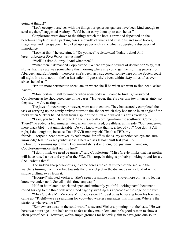going at things!"

"Let's occupy ourselves with the things our generous gaolers have been kind enough to send us, then," suggested Audrey. "We'd better carry them up to our shelter."

Copplestone went down to the things which the boat's crew had deposited on the beach—a couple of small packing cases, a bundle of wraps and cushions, and some books, magazines and newspapers. He picked up a paper with a cry which suggested a discovery of importance.

"Look at that!" he exclaimed. "Do you see? A *Scotsman*! Today's date! And here—*Aberdeen Free Press*—same date!"

"Well?" asked Audrey. "And what then?"

"What then?" demanded Copplestone. "Where are your powers of deduction? Why, that shows that the *Pike* was somewhere this morning where she could get the morning papers from Aberdeen and Edinburgh—therefore, she's been, as I suggested, somewhere on the Scotch coast all night. It's now noon—she's a fast sailer—I guess she's been within sixty miles of us ever since she left us."

"Isn't it more pertinent to speculate on where she'll be when we want to find her?" asked Audrey.

"More pertinent still to wonder when somebody will come to find us," answered Copplestone as he shouldered one of the cases. "However, there's a certain joy in uncertainty, so they say—we're tasting it."

The joys of uncertainty, however, were not to endure. They had scarcely completed the task of carrying up the newly-arrived stores to the shelter which they had made in an angle of the rocks when Vickers hailed them from a spur of the cliffs and waved his arms excitedly.

"I say, you two!" he shouted. "There's a craft coming—from the southwest. Come up! There!" he added, a few minutes later, when they arrived, breathless, at his side. "Out yonder—a mere black blot—but unmistakable! Do you know what that is, either of you? You don't? All right, I do—ought to, because I'm a RNVR man myself. That's a TBD, my friends!—torpedo-boat destroyer. What's more, far off as she is, my experienced eye and sure knowledge tell me exactly what she is. She's a class H boat built last year—oil fuel—turbines—runs up to thirty knots—and she's doing 'em, too, just now! Come on, Copplestone—more stuff on this fire!"

"I don't think we need be uneasy," said Copplestone. "Miss Greyle thinks that her mother will have raised a hue and cry after the *Pike*. This torpedo thing is probably looking round for us. She—what's that?"

The sudden sharp crack of a gun came across the calm surface of the sea, and the watchers turning from their fire towards the black object in the distance saw a cloud of white smoke drifting away from it.

"Hooray!" shouted Vickers. "She's seen our smoke pillar! Shove more on, just to let her know we understand. Saved!—this time, anyway."

Half an hour later, a spick and span and eminently youthful-looking naval lieutenant raised his cap to the three folk who stood eagerly awaiting his approach at the edge of the surf.

"Miss Greyle? Mr. Vickers? Mr. Copplestone?" he asked as he sprang from his boat and came up. "Right!—we're searching for you—had wireless messages this morning. Where's the pirate, or whatever he is?"

"Somewhere away to the southward," answered Vickers, pointing into the haze. "He was here two hours ago—but he's about as fast as they make 'em, and he's good reason to show a clean pair of heels. However, we've ample grounds for believing him to have gone due south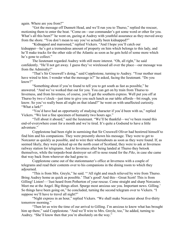again. Where are you from?"

"Got the message off Dunnett Head, and we'll run you to Thurso," replied the rescuer, motioning them to enter the boat. "Come on—our commander's got some word or other for you. What's all this been?" he went on, gazing at Audrey with youthful assurance as they moved away from the shore. "You don't mean to say you've actually been kidnapped?"

"Kidnapped and marooned," replied Vickers. "And I hope you'll catch our kidnapper—he's got a tremendous amount of property on him which belongs to this lady, and he'll make tracks for the other side of the Atlantic as soon as he gets hold of some more which he's gone to collect."

The lieutenant regarded Audrey with still more interest. "Oh, all right," he said confidently. "He'll not get away. I guess they've wirelessed all over the place—our message was from the Admiralty!"

"That's Sir Cresswell's doing," said Copplestone, turning to Audrey. "Your mother must have wired to him. I wonder what the message is?" he asked, facing the lieutenant. "Do you know?"

"Something about if you're found to tell you to get south as fast as possible," he answered. "And we've worked that out for you. You can get on by train from Thurso to Inverness, and from Inverness, of course, you'll get the southern express. Well put you off at Thurso by two o'clock—just time to give you such lunch as our table affords—bit rough, you know. So you've really been all night on that island?" he went on with unaffected curiosity. "What a lark!"

"You'd have had an opportunity of studying character if you'd been with us," replied Vickers. "We lost a fine specimen of humanity two hours ago."

"Tell about it aboard," said the lieutenant. "We'll be thankful—we've been round this end-of-everywhere coast for a month and we're tired. It's quite a Godsend to have a little adventure."

Copplestone had been right in surmising that Sir Cresswell Oliver had bestirred himself to find him and his companions. They were presently shown his message. They were to get to Norcaster as quickly as possible, and to wire their whereabouts as soon as they were found. If, as seemed likely, they were picked up on the north coast of Scotland, they were to ask at Inverness railway station for telegrams. And to Inverness after being landed at Thurso they betook themselves, while the torpedo-boat destroyer set off to nose round for the *Pike*, in case she came that way back from wherever she had gone to.

Copplestone came out of the stationmaster's office at Inverness with a couple of telegrams and read their contents over to his companions in the dining room to which they adjourned.

"This is from Mrs. Greyle," he said. "'All right and much relieved by wire from Thurso. Bring Audrey home as quick as possible.' That's good! And this—Great Scott! This is from Gilling! Listen!—'Just heard from Petherton of your rescue. Come straight and sharp Norcaster. Meet me at the Angel. Big things afoot. Spurge most anxious see you. Important news. Gilling.' So things have been going on," he concluded, turning the second telegram over to Vickers. "I suppose we'll have to travel all night?"

"Night express in an hour," replied Vickers. "We shall make Norcaster about five-thirty tomorrow morning."

"Then let us wire the time of our arrival to Gilling. I'm anxious to know what has brought him up there," said Copplestone. "And we'll wire to Mrs. Greyle, too," he added, turning to Audrey. "She'll know then that you're absolutely on the way."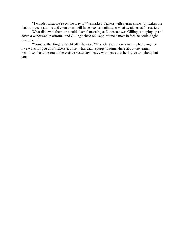"I wonder what we're on the way to?" remarked Vickers with a grim smile. "It strikes me that our recent alarms and excursions will have been as nothing to what awaits us at Norcaster."

What did await them on a cold, dismal morning at Norcaster was Gilling, stamping up and down a windswept platform. And Gilling seized on Copplestone almost before he could alight from the train.

"Come to the Angel straight off!" he said. "Mrs. Greyle's there awaiting her daughter. I've work for you and Vickers at once—that chap Spurge is somewhere about the Angel, too—been hanging round there since yesterday, heavy with news that he'll give to nobody but you."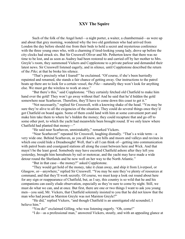# XXV The Squire

Such of the folk of the Angel hotel—a night porter, a waiter, a chambermaid—as were up and about that grey morning, wondered why the two old gentlemen who had arrived from London the day before should rise from their beds to hold a secret and mysterious conference with the three young ones who, with a charming if tired-looking young lady, drove up before the city clocks had struck six. But Sir Cresswell Oliver and Mr. Petherton knew that there was no time to be lost, and as soon as Audrey had been restored to and carried off by her mother to Mrs. Greyle's room, they summoned Vickers and Copplestone to a private parlour and demanded their latest news. Sir Cresswell listened eagerly, and in silence, until Copplestone described the return of the *Pike*; at that he broke his silence.

"That's precisely what I feared!" he exclaimed. "Of course, if she's been hurriedly repainted and renamed, she stands a fair chance of getting away. Our instructions to the patrol boats up there are to look for a certain vessel, the *Pike*—naturally they won't look for anything else. We must get the wireless to work at once."

"But there's this," said Copplestone. "They certainly fetched old Chatfield to make him hand over the gold! They won't go away without that! And he said that he'd hidden the gold somewhere near Scarhaven. Therefore, they'll have to come down this coast to get it."

"Not necessarily," replied Sir Cresswell, with a knowing shake of the head. "You may be sure they're alive to all the exigencies of the situation. They could do several things once they'd got Chatfield on board again. Some of them could land with him at some convenient port and make him take them to where he's hidden the money; they could recapture that and go off to some other port, to which the yacht had meanwhile been brought round. If we only knew where Chatfield had planted that money—"

"He said near Scarhaven, unmistakably," remarked Vickers.

"Near Scarhaven!" repeated Sir Cresswell, laughing dismally. "That's a wide term—a very wide one. Behind Scarhaven, as you all know, are hills and moors and valleys and ravines in which one could hide a Dreadnought! Well, that's all I can think of—getting into communication with patrol boats and coastguard stations all along the coast between here and Wick. And that mayn't be the least good. Somebody may have escorted Chatfield ashore after they left you yesterday, brought him hereabouts by rail or motorcar, and the yacht may have made a wide detour round the Shetlands and be now well on her way to the North Atlantic."

"But in that case—the money?" asked Copplestone.

"They would get hold of the money, take it clean away, and ship it from Liverpool, or Glasgow, or—anywhere," replied Sir Cresswell. "You may be sure they've plenty of resources at command, and that they'll work secretly. Of course, we must keep a look out round about here for any sign or reappearance of Chatfield, but, as I say, this country is so wild that he and his companions can easily elude observation, especially as they're sure to come by night. Still, we must do what we can, and at once. But first, there are one or two things I want to ask you young men—you said, Mr. Vickers, that Chatfield solemnly insisted to you that he did not know that the man who had posed as Marston Greyle was not Marston Greyle?"

"He did," replied Vickers, "and though Chatfield is an unmitigated old scoundrel, I believe him."

"You do!" exclaimed Gilling, who was listening eagerly. "Oh, come!"

"I do—as a professional man," answered Vickers, stoutly, and with an appealing glance at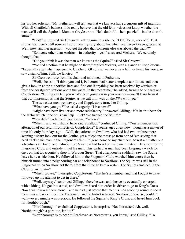his brother solicitor. "Mr. Petherton will tell you that we lawyers have a curious gift of intuition. With all Chatfield's badness, I do really believe that the old fellow does not know whether the man we'll call the Squire is Marston Greyle or not! He's doubtful—he's puzzled—but he doesn't know."

"Odd!" murmured Sir Cresswell, after a minute's silence. "Odd! Very, very odd! That shows that there's still some extraordinary mystery about this which we haven't even guessed at. Well, now, another question—you got the idea that someone else was aboard the yacht?"

"Someone other than Andrius—in authority—yes!" answered Vickers. "We certainly thought that."

"Did you think it was the man we know as the Squire?" asked Sir Cresswell.

"We had a notion that he might be there," replied Vickers, with a glance at Copplestone. "Especially after what happened to Chatfield. Of course, we never saw him, or heard his voice, or saw a sign of him. Still, we fancied—"

Sir Cresswell rose from his chair and motioned to Petherton.

"Well," he said, "I think you and I, Petherton, had better complete our toilets, and then give a look in at the authorities here and find out if anything has been received by wireless or from the coastguard stations about the yacht. In the meantime," he added, turning to Vickers and Copplestone, "Gilling can tell you what's been going on in your absence—you'll learn from it that our impression is that the Squire, as we call him, was on the *Pike* with you."

The two elder men went away, and Copplestone turned to Gilling.

"What have you got?" he asked eagerly. "Live news!"

"Might have been livelier and more satisfactory," answered Gilling, "if it hadn't been for the factor which none of us can help—luck! We tracked the Squire."

"You did?" exclaimed Copplestone. "Where?"

"When I said we I should have said Swallow," continued Gilling. "You remember that afternoon of our return from Bristol, Copplestone? It seems ages away now, though as a matter of time it's only four days ago!—Well, that afternoon Swallow, who had had two or three more keeping a sharp look out for the Squire, got a telephone message from one of 'em saying that he'd tracked his man to the Fragonard Club. I'd gone home to my chambers, to rest a bit after our adventures at Bristol and Falmouth, so Swallow had to act on his own initiative. He set off for the Fragonard Club, and outside it met his man. This particular man had been keeping a watch for days on that tobacconist's shop in Wardour Street. That afternoon he suddenly saw the Squire leave it, by a side door. He followed him to the Fragonard Club, watched him enter; then he himself turned into a neighbouring bar and telephoned to Swallow. The Squire was still in the Fragonard when Swallow got there: from that time he kept a watch. The Squire remained in the Club for an hour—"

"Which proves," interrupted Copplestone, "that he's a member, and that I ought to have followed up my attempt to get in there."

"Well, anyway," continued Gilling, "there he was, and thence he eventually emerged, with a kitbag. He got into a taxi, and Swallow heard him order its driver to go to King's Cross. Now Swallow was there alone—and he had just before that met his man scooting round to see if there was a rear exit from the Fragonard, and he hadn't returned. Swallow, of course, couldn't wait—every minute was precious. He followed the Squire to King's Cross, and heard him book for Northborough."

"Northborough!" exclaimed Copplestone, in surprise. "Not Norcaster? Ah, well, Northborough's a port, too, isn't it?"

"Northborough is as near to Scarhaven as Norcaster is, you know," said Gilling. "To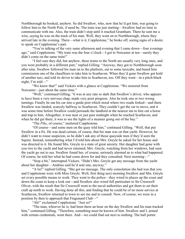Northborough he booked, anyhow. So did Swallow, who, now that he'd got him, was going to follow him to the North Pole, if need be. The train was just starting—Swallow had no time to communicate with me. Also, the train didn't stop until it reached Grantham. There he sent me a wire, saying he was on the track of his man. Well, they went on to Northborough, where they arrived late in the evening. There—what is it, Copplestone," he broke off, seeing signs of a desire to speak on Copplestone's part.

"You're talking of the very same afternoon and evening that I came down—four evenings ago," said Copplestone. "My train was the four o'clock—I got to Norcaster at ten—surely they didn't come on the same train!"

"I feel sure they did, but anyhow, these trains to the North are usually very long ones, and you were probably in a different part," replied Gilling. "Anyway, they got to Northborough soon after nine. Swallow followed his man on to the platform, out to some taxicabs, and heard him commission one of the chauffeurs to take him to Scarhaven. When they'd gone Swallow got hold of another taxi, and told its driver to take him to Scarhaven, too. Off they went—in a pitch-black night, I'm told—"

"We know that!" said Vickers with a glance at Copplestone. "We motored from Norcaster—just about the same time."

"Well," continued Gilling, "it was at any rate so dark that Swallow's driver, who appears to have been a very nervous chap, made very poor progress. Also he took one or two wrong turnings. Finally he ran his car into a guide post which stood where two roads forked—and there Swallow was landed, scarcely halfway to Scarhaven. They couldn't get the car to move, and it was some time before Swallow could persuade the landlord at the nearest inn to hire out a horse and trap to him. Altogether, it was near or just past midnight when he reached Scarhaven, and when he did get there, it was to see the lights of a steamer going out of the bay."

"The *Pike*, of course," muttered Copplestone.

"Of course—and some men on the quay told him," continued Gilling. "Well, that put Swallow in a fix. He was dead certain, of course, that his man was on that yacht. However, he didn't want to rouse suspicion, so he didn't ask any of those quayside men if they'd seen the Squire. Instead, remembering what I'd told him about Mrs. Greyle he asked for her house and was directed to it. He found Mrs. Greyle in a state of great anxiety. Her daughter had gone with you two to the yacht and had never returned; Mrs. Greyle, watching from her windows, had seen the yacht go out to sea. Swallow found her, of course, seriously alarmed as to what had happened. Of course, he told her what he had come down for and they consulted. Next morning—"

"Stop a bit," interrupted Vickers. "Didn't Mrs. Greyle get any message from the yacht about her daughter—Andrius said he'd sent one, anyway."

"A lie!" replied Gilling. "She got no message. The only consolation she had was that you and Copplestone were with Miss Greyle. Well, first thing next morning Swallow and Mrs. Greyle set every possible means to work. They went to the police—they wired to places up the coast and down the coast to keep a look out—and Swallow also wired full particulars to Sir Cresswell Oliver, with the result that Sir Cresswell went to the naval authorities and got them to set their craft up north to work. Having done all this, and finding that he could be of no more service at Scarhaven, Swallow returned to town to see me and to consult. Now, of course, we were in a position by then to approach that Fragonard Club—"

"Ah!" exclaimed Copplestone. "Just so!"

"The man, whoever he is, had been there an hour on the day Swallow and his man tracked him," continued Gilling. "Therefore, something must be known of him. Swallow and I, armed with certain credentials, went there. And—we could find out next to nothing. The hall porter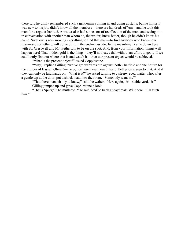there said he dimly remembered such a gentleman coming in and going upstairs, but he himself was new to his job, didn't know all the members—there are hundreds of 'em—and he took this man for a regular habitué. A waiter also had some sort of recollection of the man, and seeing him in conversation with another man whom he, the waiter, knew better, though he didn't know his name. Swallow is now moving everything to find that man—to find anybody who knows our man—and something will come of it, in the end—must do. In the meantime I came down here with Sir Cresswell and Mr. Petherton, to be on the spot. And, from your information, things will happen here! That hidden gold is the thing—they'll not leave that without an effort to get it. If we could only find out where that is and watch it—then our present object would be achieved."

"What is the present object?" asked Copplestone.

"Why," replied Gilling, "we've got warrants out against both Chatfield and the Squire for the murder of Bassett Oliver!—the police here have them in hand. Petherton's seen to that. And if they can only be laid hands on—What is it?" he asked turning to a sleepy-eyed waiter who, after a gentle tap at the door, put a shock head into the room. "Somebody want me?"

"That there man, sir—you know," said the waiter. "Here again, sir—stable yard, sir." Gilling jumped up and gave Copplestone a look.

"That's Spurge!" he muttered. "He said he'd be back at daybreak. Wait here—I'll fetch him."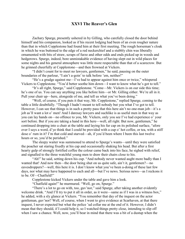## XXVI The Reaver's Glen

Zachary Spurge, presently ushered in by Gilling, who carefully closed the door behind himself and his companion, looked as if his recent lodging had been of an even rougher nature than that in which Copplestone had found him at their first meeting. The rough horseman's cloak in which he was buttoned to the edge of a red neckerchief and a stubbly chin was liberally ornamented with bits of straw, scraps of furze and other odds and ends picked up in woods and hedgerows. Spurge, indeed, bore unmistakable evidence of having slept out in wild places for some nights and his general atmosphere was little more respectable than that of a scarecrow. But he grinned cheerfully at Copplestone—and then frowned at Vickers.

"I didn't count for to meet no lawyers, gentlemen," he said, pausing on the outer boundaries of the parlour, "I ain't a-goin' to talk before 'em, neither!"

"He's a grudge against me—I've had to appear against him once or twice," whispered Vickers to Copplestone. "You'd better soothe him down—I want to know what he's got to tell."

"It's all right, Spurge," said Copplestone. "Come—Mr. Vickers is on our side this time; he's one of us. You can say anything you like before him—or Mr. Gilling either. We're all in it. Pull your chair up—here, alongside of me, and tell us what you've been doing."

"Well, of course, if you puts it that way, Mr. Copplestone," replied Spurge, coming to the table a little doubtfully. "Though I hadn't meant to tell nobody but you what I've got to tell. However, I can see that things is in such a pretty pass that this here ain't no one-man job—it's a job as'll want a lot o' men! And I daresay lawyers and suchlike is as useful men in that way as you can lay hands on—no offence to you, Mr. Vickers, only you see I've had experience o' your sort before. But if you are taking a hand in this here—well, all right. But now, gentlemen," he continued dropping into a chair at the table and laying his fur cap on its polished surface, "afore ever I says a word, d'ye think that I could be provided with a cup o' hot coffee, or tea, with a stiff dose o' rum in it? I'm that cold and starved—ah, if you'd been where I been this last twelve hours or so, you'd be perished."

The sleepy waiter was summoned to attend to Spurge's wants—until they were satisfied the poacher sat staring fixedly at his cap and occasionally shaking his head. But after a first hearty gulp of strongly fortified coffee the colour came back into his face, he sighed with relief, and signalled to the three watchful young men to draw their chairs close to his.

"Ah!" he said, setting down his cup. "And nobody never wanted aught more badly than I wanted that! And now then—the door being shut on us quite safe, ain't it, gentlemen?—no eavesdroppers?—well, this here it is. I don't know what you've been a-doing of these last few days, nor what may have happened to each and all—but I've news. Serious news—as I reckons it to be. Of—Chatfield!"

Copplestone kicked Vickers under the table and gave him a look.

"Chatfield again!" he murmured. "Well, go on, Spurge."

"There's a lot to go on with, too, guv'nor," said Spurge, after taking another evidently welcome drink. "And I'll try to put it all in order, as it were—same as if I was in a witness box," he added, with a sly glance at Vickers. "You remember that day of the inquest on the actor gentleman, guv'nor? Well, of course, when I went to give evidence at Scarhaven, at that there inquest, I never expected but what the police 'ud collar me at the end of it. However, I didn't mean that they should, if I could help it, so I watched things pretty close, intending to slip off when I saw a chance. Well, now, you'll bear in mind that there was a bit of a dustup when the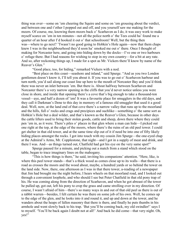thing was over—some on 'em cheering the Squire and some on 'em grousing about the verdict, and between one and t'other I popped out and off, and you yourself saw me making for the moors. Of course, me, knowing them moors back o' Scarhaven as I do, it was easy work to make myself scarce on 'em in ten minutes—not all the police north o' the Tees could ha' found me a quarter of an hour after I'd hooked it out o' that schoolroom! Well, but the thing then was—where to go next? 'Twasn't no good going to Hobkin's Hole again—now that them chaps knew I was in the neighbourhood they'd soon ha' smoked me out o' there. Once I thought of making for Norcaster here, and going into hiding down by the docks—I've one or two harbours o' refuge there. But I had reasons for wishing to stop in my own country—for a bit at any rate. And so, after reckoning things up, I made for a spot as Mr. Vickers there'll know by name of the Reaver's Glen."

"Good place, too, for hiding," remarked Vickers with a nod.

"Best place on this coast—seashore and inland," said Spurge. "And as you two London gentlemen doesn't know it, I'll tell you about it. If you was to go out o' Scarhaven harbour and turn north, you'd sail along our coast line up here to the mouth of Norcaster Bay and you'd think there was never an inlet between 'em. But there is. About halfway between Scarhaven and Norcaster there's a very narrow opening in the cliffs that you'd never notice unless you were close in shore, and inside that opening there's a cove that's big enough to take a thousand-ton vessel—aye, and half a dozen of 'em! It was a favourite place for smugglers in the old days, and they call it Darkman's Dene to this day in memory of a famous old smuggler that used it a good deal. Well, now, at the land end of that cove there's a narrow valley that runs up to the moorland and the hills, full o' rocks and crags and precipices and suchlike—something o' the same sort as Hobkin's Hole but a deal wilder, and that's known as the Reaver's Glen, because in other days the cattle lifters used to bring their stolen goods, cattle and sheep, down there where they could pen 'em in, as it were. There's piles o' places in that glen where a man can hide—I picked out one right at the top, at the edge of the moors, where there's the ruins of an old peel tower. I could get shelter in that old tower, and at the same time slip out of it if need be into one of fifty likely hiding places amongst the rocks. I got into touch with my cousin Jim Spurge—the one-eyed chap at the Admiral's Arms, Mr. Copplestone, that night—and I got in a supply of meat and drink, and there I was. And—as things turned out, Chatfield had got his eye on the very same spot!"

Spurge paused for a minute, and picking out a match from a stand which stood on the table, began to trace imaginary lines on the mahogany.

"This is how things is there," he said, inviting his companions' attention. "Here, like, is where this peel tower stands—that's a thick wood as comes close up to its walls—that there is a road as crosses the moors and the wood about, maybe, a hundred yards or so behind the tower on the land side. Now, there, one afternoon as I was in that there tower, a-reading of a newspaper that Jim had brought me the night before, I hears wheels on that moorland road, and I looked out through a convenient loophole, and who should I see but Peter Chatfield in that old pony trap of his. He was coming along from the direction of Scarhaven, and when he got abreast of the tower he pulled up, got out, left his pony to crop the grass and came strolling over in my direction. Of course, I wasn't afraid of him—there's so many ways in and out of that old peel as there is out of a rabbit warren—besides, I felt certain he was there on some job of his own. Well, he comes up to the edge of the glen, and he looks into it and round it, and up and down at the tower, and he wanders about the heaps of fallen masonry that there is there, and finally he puts thumbs in his armhole and went slowly back to his trap. 'But you'll be coming back, my old swindler!' says I to myself. 'You'll be back again I doubt not at all!' And back he did come—that very night. Oh, yes!"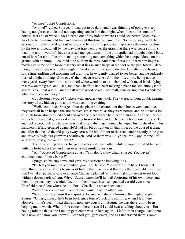"Alone?" asked Copplestone.

"A-lone!" replied Spurge. "It had got to be dark, and I was thinking of going to sleep, having nought else to do and not expecting cousin Jim that night, when I heard the sound of horses' feet and of wheels. So I cleared out of my hole to where I could see better. Of course, it was Chatfield—same old trap and pony—but this time he came from Norcaster way. Well, he gets out, just where he'd got out before, and he leads the pony and trap across the moor to close by the tower. I could tell by the way that trap went over the grass that there was some sort of a load in it and it wouldn't have surprised me, gentlemen, if the old reptile had brought a dead body out of it. After a bit, I hear him taking something out, something which he bumped down on the ground with a thump—I counted nine o' them thumps. And then after a bit I heard him begin a moving of some of the loose masonry what lies in such heaps at the foot o' the peel tower—dark though it was there was light enough in the sky for him to see to do that. But after he'd been at it some time, puffing and groaning and grunting, he evidently wanted to see better, and he suddenly flashed a light on things from one o' them electric torches. And then I see—me being not so many yards away from him—nine small white wood boxes, all clamped with metal bands, lying in a row on the grass, and I see, too, that Chatfield had been making a place for 'em amongst the stones. Yes—that was it—nine small white wood boxes—so small, considering, that I wondered what made 'em so heavy."

Copplestone favoured Vickers with another quiet kick. They were, without doubt, hearing the story of the hidden gold, and it was becoming exciting.

"Well," continued Spurge. "Into the place he'd cleared out them boxes went, and once they were all in he heaped the stones over 'em as natural as they were before, and he kicked a lot o' small loose stones round about and over the place where he'd been standing. And then the old sinner let out a great groan as if something troubled him, and he fetched a bottle out of his pocket and took a good pull at whatever was in it, after which, gentlemen, he wiped his forehead with his handkerchief and groaned again. He'd had his bit of light on all that time, but he doused it then, and after that he led the old pony away across the bit of moor to the road, and presently in he gets and drives slowly away towards Scarhaven. And so there was I, d'ye see, Mr. Copplestone, left, as it were, sold guardian of—what?"

The three young men exchanged glances with each other while Spurge refreshed himself with his fortified coffee, and their eyes asked similar questions.

"Ah!" observed Copplestone at last. "You don't know what, Spurge? You haven't examined one of those boxes?"

Spurge set his cup down and gave his questioner a knowing look.

"I'll tell you my line o' conduct, guv'nor," he said. "So certain sure have I been that something 'ud come o' this business of hiding them boxes and that something valuable is in 'em that I've taken partiklar care ever since Chatfield planted 'em there that night never to set foot within a dozen yards of 'em. Why? 'Cause I know he'll ha' left footprints of his own there, and them footprints may be useful. No, sir!—them boxes has been guarded careful ever since Chatfield placed 'em where he did. For—Chatfield's never been back!"

"Never back, eh?" said Copplestone, winking at the other two.

"Never been back—self nor spirit, substance nor shadow!—since that night," replied Spurge. "Unless, indeed, he's been back since four o'clock this morning, when I left there. However, if he's been 'twixt then and now, my cousin Jim Spurge, he was there. Jim's been helping me to watch. When I first came in here to see if I could hear anything about you—Jim having told me that some London gentlemen was up here again—I left him in charge. And there he is now. And now you know all I can tell you, gentlemen, and as I understand there's some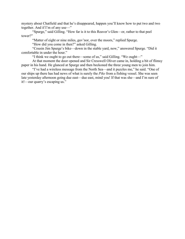mystery about Chatfield and that he's disappeared, happen you'll know how to put two and two together. And if I'm of any use—"

"Spurge," said Gilling. "How far is it to this Reaver's Glen—or, rather to that peel tower?"

"Matter of eight or nine miles, guv'nor, over the moors," replied Spurge.

"How did you come in then?" asked Gilling.

"Cousin Jim Spurge's bike—down in the stable yard, now," answered Spurge. "Did it comfortable in under the hour."

"I think we ought to go out there—some of us," said Gilling. "We ought—"

At that moment the door opened and Sir Cresswell Oliver came in, holding a bit of flimsy paper in his hand. He glanced at Spurge and then beckoned the three young men to join him.

"I've had a wireless message from the North Sea—and it puzzles me," he said. "One of our ships up there has had news of what is surely the *Pike* from a fishing vessel. She was seen late yesterday afternoon going due east—due east, mind you! If that was she—and I'm sure of it!—our quarry's escaping us."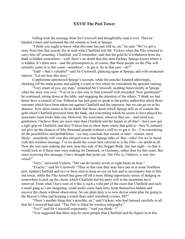### XXVII The Peel Tower

Gilling took the message from Sir Cresswell and thoughtfully read it over. Then he handed it back and motioned the old seaman to look at Spurge.

"I think you ought to know what this man has just told us, sir," he said. "We've got a story from him that exactly fits in with what Chatfield told Mr. Vickers when the *Pike* returned to carry him off yesterday. Chatfield, you'll remember, said that the gold he'd withdrawn from the bank is hidden somewhere—well, there's no doubt that this man Zachary Spurge knows where it is hidden. It's there now—and the presumption is, of course, that these people on the *Pike* will certainly come in to this coast—somehow!—to get it. So in that case—eh?"

"Gad!—that's valuable!" said Sir Cresswell, glancing again at Spurge, and with awakened interest. "Let me hear this story."

Copplestone epitomized Spurge's account, while the poacher listened admiringly, checking off the main points and adding a word or two where he considered the epitome lacking.

"Very smart of you, my man," remarked Sir Cresswell, nodding benevolently at Spurge when the story was over. "You're in a fair way to find yourself well rewarded. Now gentlemen!" he continued, sitting down at the table, and engaging the attention of the others, "I think we had better have a council of war. Petherton has just gone to speak to the police authorities about those warrants which have been taken out against Chatfield and the impostor, but we can go on in his absence. Now there seems to be no doubt that those chests which Spurge tells us of contain the gold which Chatfield procured from the bank, and concerning which he seems to have played his associates more tricks than one. However, his associates, whoever they are—and mind you, gentlemen, I believe there are more men than Chatfield and the Squire in all this!—have now got a tight grip on Chatfield, and they'll force him to show them where that gold is—they'll certainly not give up the chances of fifty thousand pounds without a stiff try to get it. So—I'm considering all the possibilities and probabilities—we may conclude that sooner or later—sooner, most likely—somebody will visit this old peel tower that Spurge talks of. But—who? For we're faced with this wireless message. I've no doubt the vessel here referred to is the *Pike*—no doubt at all. Now she was seen making due east, near this side of the Dogger Bank, late last night—so that it would look as if these men were making for Denmark, or Germany, rather than for this coast. But since receiving this message, I have thought that point out. The *Pike* is, I believe, a very fast vessel?"

"Very," answered Vickers. "She can do twenty-seven or eight knots an hour."

"Exactly," said Sir Cresswell. "Then in that case they may have put in at some Northern port, landed Chatfield and two or three men to keep an eye on him and to accompany him to this old tower, while the *Pike* herself has gone off till a more fitting opportunity arises of dodging in somewhere to pick up the chests which Chatfield and his party will in the meantime have removed. From what I have seen of it this is such a wild part of the coast that Chatfield and such a small gang as I am imagining, could easily come back here, keep themselves hidden and recover the chests without observation. So our plain duty is to now devise some plan for going to the Reaver's Glen and keeping a watch there until somebody comes. Eh?"

"There's another thing that's possible, sir," said Vickers, who had listened carefully to all that Sir Cresswell had said. "The *Pike* is fitted for wireless telegraphy."

"Yes?" said Sir Cresswell expectantly. "And you think—?"

"You suggested that there may be more people than Chatfield and the Squire in at this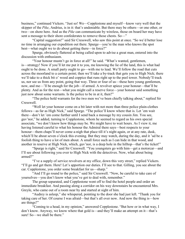business," continued Vickers. "Just so! We—Copplestone and myself—know very well that the skipper of the *Pike*, Andrius, is in it: that's undeniable. But there may be others—or one other, or two—on shore here. And as the *Pike* can communicate by wireless, those on board her may have sent a message to their shore confederates to remove those chests. So—"

"Capital suggestion!" said Sir Cresswell, who saw this point at once. "So we'd better lose no time in arranging our expedition out there. Spurge—you're the man who knows the spot best—what ought we to do about getting there—in force?"

Spurge, obviously flattered at being called upon to advise a great man, entered into the discussion with enthusiasm.

"Your honour mustn't go in force at all!" he said. "What's wanted, gentlemen, is—strategy! Now if you'll let me put it to you, me knowing the lie of the land, this is what had ought to be done. A small party ought to go—with me to lead. We'll follow the road that cuts across the moorland to a certain point; then we'll take a by-track that gets you to High Nick; there we'll take to a thick bit o' wood and coppice that runs right up to the peel tower. Nobody'll track us, nor see us from any point, going that way. Three or four of us—these here young gentlemen, now, and me—'ll be enough for the job—if armed. A revolver apiece your honour—that'll be plenty. And as for the rest—what you might call a reserve force—your honour said something just now about some warrants. Is the police to be in at it, then?"

"The police hold warrants for the two men we've been chiefly talking about," replied Sir Cresswell.

"Well let your honour come on a bit later with not more than three police plain-clothes fellows—as far as High Nick," said Spurge. "The police'll know where that is. Let 'em wait there—don't let 'em come further until I send back a message by my cousin Jim. You see, guv'nor," he added, turning to Copplestone, whom he seemed to regard as his own special associate, "we don't know how things may be. We might have to wait hours. As I view it, me having listened careful to what his honour the Admiral there says—best respects to your honour—them chaps'll never come a-nigh that place till it's night again, or at any rate, dusk, which'll be about seven o'clock this evening. But they may watch, during the day, and it 'ud be a foolish thing to have a lot of men about. A small force such as I can hide in that wood, and another in reserve at High Nick, which, guv'nor, is a deep hole in the hilltop—that's the ticket!"

"Spurge is right," said Sir Cresswell. "You youngsters go with him—get a motorcar—and I'll see about following you over to High Nick with the detectives. Now, what about being armed?"

"I've a supply of service revolvers at my office, down this very street," replied Vickers. "I'll go and get them. Here! Let's apportion our duties. I'll see to that. Gilling, you see about the car. Copplestone, you order some breakfast for us—sharp."

"And I'll go round to the police," said Sir Cresswell. "Now, be careful to take care of yourselves—you don't know what you've got to deal with, remember."

The group separated, and Copplestone went off to find the hotel people and order an immediate breakfast. And passing along a corridor on his way downstairs he encountered Mrs. Greyle, who came out of a room near by and started at sight of him.

"Audrey is asleep," she whispered, pointing to the door she had just left. "Thank you for taking care of her. Of course I was afraid—but that's all over now. And now the thing is—how are things?"

"Coming to a head, in my opinion," answered Copplestone. "But how or in what way, I don't know. Anyway, we know where that gold is—and they'll make an attempt on it—that's sure! So—we shall be there."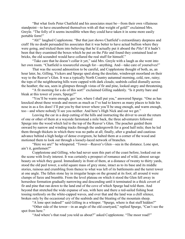"But what fools Peter Chatfield and his associates must be—from their own villainous standpoint—to have encumbered themselves with all that weight of gold!" exclaimed Mrs. Greyle. "The folly of it seems incredible when they could have taken it in some more easily portable form!"

"Ah!" laughed Copplestone. "But that just shows Chatfield's extraordinary deepness and craft! He no doubt persuaded his associates that it was better to have actual bullion where they were going, and tricked them into believing that he'd actually put it aboard the *Pike*! If it hadn't been that they examined the boxes which he put on the *Pike* and found they contained lead or bricks, the old scoundrel would have collared the real stuff for himself."

"Take care that he doesn't collar it yet," said Mrs. Greyle with a laugh as she went into her own room. "Chatfield is resourceful enough for—anything. And—take care of yourselves!"

That was the second admonition to be careful, and Copplestone thought of both, as, an hour later, he, Gilling, Vickers and Spurge sped along the desolate, windswept moorland on their way to the Reaver's Glen. It was a typically North Country autumnal morning, cold, raw, rainy; the tops of the neighbouring hills were capped with dark clouds; seabirds called dismally across the heather; the sea, seen in glimpses through vistas of fir and pine, looked angry and threatening.

"A fit morning for a do of this sort!" exclaimed Gilling suddenly. "Is it pretty bare and bleak at this tower of yours, Spurge?"

"You'll be warm enough, guv'nor, where I shall put you," answered Spurge. "One as has knocked about these woods and moors as much as I've had to knows as many places to hide his nose in as a fox does! I'll put you by that tower where you'll be snug enough, and warm enough, too—and where nobody'll see you neither. And here's High Nick and out we get."

Leaving the car in a deep cutting of the hills and instructing the driver to await the return of one or other of them at a wayside farmstead a mile back, the three adventurers followed Spurge into the wood which led to the top of the Reaver's Glen. The poacher guided them onward by narrow and winding tracks through the undergrowth for a good half mile; then he led them through thickets in which there was no paths at all; finally, after a gradual and cautious advance behind a high hedge of dense evergreen, he halted them at a corner of the wood and motioned them to look out through a loosely-laced network of branches.

"Here we are!" he whispered. "Tower—Reaver's Glen—sea in the distance. Lone spot, ain't it, gentlemen?"

Copplestone and Gilling, who had never seen this part of the coast before, looked out on the scene with lively interest. It was certainly a prospect of romance and of wild, almost savage beauty on which they gazed. Immediately in front of them, at a distance of twenty to thirty yards, stood the old peel tower, a solid square mass of grey stone, intact as to its base and its middle stories, ruinous and crumbling from thence to what was left of its battlements and the turret tower at one angle. The fallen stone lay in irregular heaps on the ground at its foot; all around it were clumps of furze and bramble. From the level plateau on which it stood the Glen fell away in horseshoe formation gradually narrowing and descending until it terminated in a thick covert of fir and pine that ran down to the land end of the cove of which Spurge had told them. And beyond that stretched the wide expanse of sea, with here and there a red-sailed fishing boat tossing restlessly on the white-capped waves, and over that and the land was a chill silence, broken only by the occasional cry of the seabirds and the bleating of the mountain sheep.

"A lone spot indeed!" said Gilling in a whisper. "Spurge, where is that stuff hidden?" "Other side of the tower—in an angle of the old courtyard," replied Spurge, "Can't see the spot from here."

"And where's that road you told us about?" asked Copplestone. "The moor road?"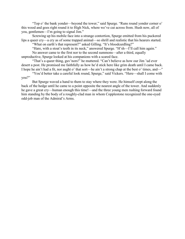"Top o' the bank yonder—beyond the tower," said Spurge. "Runs round yonder corner o' this wood and goes right round it to High Nick, where we've cut across from. Hush now, all of you, gentlemen—I'm going to signal Jim."

Screwing up his mobile face into a strange contortion, Spurge emitted from his puckered lips a queer cry—a cry as of some trapped animal—so shrill and realistic that his hearers started.

"What on earth's that represent?" asked Gilling. "It's bloodcurdling?"

"Hare, with a stoat's teeth in its neck," answered Spurge. "H'sh—I'll call him again." No answer came to the first nor to the second summons—after a third, equally

unproductive, Spurge looked at his companions with a scared face.

"That's a queer thing, guv'nors!" he muttered. "Can't believe as how our Jim 'ud ever desert a post. He promised me faithfully as how he'd stick here like grim death until I came back. I hope he ain't had a fit, nor aught o' that sort—he ain't a strong chap at the best o' times, and—"

"You'd better take a careful look round, Spurge," said Vickers. "Here—shall I come with you?"

But Spurge waved a hand to them to stay where they were. He himself crept along the back of the hedge until he came to a point opposite the nearest angle of the tower. And suddenly he gave a great cry—human enough this time!—and the three young men rushing forward found him standing by the body of a roughly-clad man in whom Copplestone recognized the one-eyed odd-job man of the Admiral's Arms.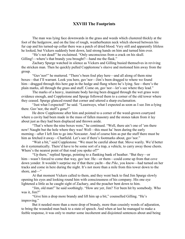# XXVIII The Footprints

The man was lying face downwards in the grass and weeds which clustered thickly at the foot of the hedgerow, and on the line of rough, weatherbeaten neck which showed between his fur cap and his turned-up collar there was a patch of dried blood. Very still and apparently lifeless he looked, but Vickers suddenly bent down, laid strong hands on him and turned him over.

"He's not dead!" he exclaimed. "Only unconscious from a crack on his skull. Gilling!—where's that brandy you brought?—hand me the flask."

Zachary Spurge watched in silence as Vickers and Gilling busied themselves in reviving the stricken man. Then he quickly pulled Copplestone's sleeve and motioned him away from the group.

"Guv'nor!" he muttered. "There's been foul play here—and all along of them nine boxes—that I'll warrant. Look you here, guv'nor—Jim's been dragged to where we found him—dragged through this here gap in the hedge and flung where he's lying. See—there's the plain marks, all through the grass and stuff. Come on, guv'nor—let's see where they lead."

The marks of a heavy, inanimate body having been dragged through the wet grass were evidence enough, and Copplestone and Spurge followed them to a corner of the old tower where they ceased. Spurge glanced round that corner and uttered a sharp exclamation.

"Just what I expected!" he said. "Leastways, what I expected as soon as I see Jim a-lying there. Guv'nor, the stuff's gone!"

He drew Copplestone after him and pointed to a corner of the weed-grown courtyard where a cavity had been made in the mass of fallen masonry and the stones taken from it lay about just as they had been displaced and thrown aside.

"That's where the nine boxes were," he continued. "Well, there ain't one of 'em there now! Naught but the hole where they was! Well—this must ha' been during the early morning—after I left Jim to go into Norcaster. And of course him as put the stuff there must be him as fetched it away—Chatfield. Let's see if there's footmarks about, guv'nor."

"Wait a bit," said Copplestone. "We must be careful about that. Move warily. We'd better do it systematically. There'd have to be some sort of a trap, a vehicle, to carry away those chests. Where's the nearest point of that road you spoke of?"

"Up there," replied Spurge, pointing to a flanking bank of heather. "But they—or him—wasn't forced to come that way, guv'nor. He—or them—could come up from that cove down yonder. It wouldn't surprise me if that there yacht—the *Pike*, you know—had turned on her tracks and come in here during the night. It's not more than a mile from this tower down to the shore, and—"

At that moment Vickers called to them, and they went back to find Jim Spurge slowly opening his eyes and looking round him with consciousness of his company. His one eye lightened a little as he caught sight of Zachary, and the poacher bent down to him.

"Jim, old man!" he said soothingly. "How are yer, Jim? Yer been hit by somebody. Who was it, Jim?"

"Give him a drop more brandy and lift him up a bit," counselled Gilling. "He's improving."

But it needed more than a mere drop of brandy, more than cousinly words of adjuration, to bring the wounded man back to a state of speech. And when at last he managed to make a feeble response, it was only to mutter some incoherent and disjointed sentences about and being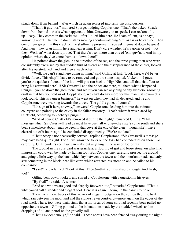struck down from behind—after which he again relapsed into semi-unconsciousness.

"That's it guv'nor," muttered Spurge, nudging Copplestone. "That's the ticket! Struck down from behind—that's what happened to him. Unawares, so to speak, I can reckon of it up—easy. They comes in the darkness—after I'd left him here. He hears of 'em, as he says, a-moving about. Then he no doubt starts moving about—watching 'em, as far as he can see. Then one of 'em gives him this crack on the skull—life preserver if you ask me—and down he goes! And then—they drag him in here and leaves him. Don't care whether he's a goner or not—not they! Well, an' what does it prove? That there's been more than one of 'em, guv'nor. And in my opinion, where they've come from is—down there!"

He pointed down the glen in the direction of the sea, and the three young men who were considerably exercised by this sudden turn of events and the disappearance of the chests, looked after his outstretched hand and then at each other.

"Well, we can't stand here doing nothing," said Gilling at last. "Look here, we'd better divide forces. This chap'll have to be removed and got to some hospital. Vickers!—I guess you're the quickest-footed of the lot—will you run back to High Nick and tell that chauffeur to bring his car round here? If Sir Cresswell and the police are there, tell them what's happened. Spurge—you go down the glen there, and see if you can see anything of any suspicious-looking craft in that bay you told us of. Copplestone, we can't do any more for this man just now—let's look round. This is a queer business," he went on when they had all departed, and he and Copplestone were walking towards the tower. "The gold's gone, of course?"

"No sign of it here, anyway," answered Copplestone, leading him into the ruinous courtyard and pointing to the cavity in the fallen masonry. "That's where it was placed by Chatfield, according to Zachary Spurge."

"And of course Chatfield's removed it during the night," remarked Gilling. "That message which Sir Cresswell read us must have been all wrong—the *Pike*'s come south and she's been somewhere about—maybe been in that cove at the end of the glen—though she'll have cleared out of it hours ago!" he concluded disappointedly. "We're too late!"

"That theory's not necessarily correct," replied Copplestone. "Sir Cresswell's message may have been quite right. For all we know the folks on the *Pike* had confederates on shore. Go carefully, Gilling—let's see if we can make out anything in the way of footprints."

The ground in the courtyard was grassless, a flooring of grit and loose stone, on which no impression could well be made by human foot. But Copplestone, carefully prospecting around and going a little way up the bank which lay between the tower and the moorland road, suddenly saw something in the black, peat-like earth which attracted his attention and he called to his companion.

"I say!" he exclaimed. "Look at this! There!—that's unmistakable enough. And fresh, too!"

Gilling bent down, looked, and stared at Copplestone with a question in his eyes. "By Gad!" he said. "A woman!"

"And one who wears good and shapely footwear, too," remarked Copplestone. "That's what you'd call a slender and elegant foot. Here it is again—going up the bank. Come on!"

There were more traces of this wearer of elegant footgear on the soft earth of the bank which ran between the moorland and the stone-strewn courtyard—more again on the edges of the road itself. There, too, were plain signs that a motorcar of some sort had recently been pulled up opposite the tower—Gilling pointed to the indentations made by the studded wheels and to droppings of oil and petrol on the gravelly soil.

"That's evident enough," he said. "Those chests have been fetched away during the night,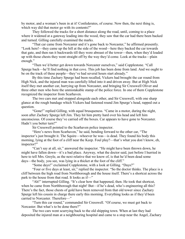by motor, and a woman's been in at it! Confederates, of course. Now then, the next thing is, which way did that motor go with its contents?"

They followed the tracks for a short distance along the road, until, coming to a place where it widened at a gateway leading into the wood, they saw that the car had there been backed and turned. Gilling carefully examined the marks.

"That car came from Norcaster and it's gone back to Norcaster," he affirmed presently. "Look here!—they came up the hill at the side of the wood—here they backed the car towards that gate, and then ran it backwards till they were abreast of the tower—then, when they'd loaded up with those chests they went straight off by the way they'd come. Look at the tracks—plain enough."

"Then we'd better get down towards Norcaster ourselves," said Copplestone. "Call Spurge back—he'll find nothing in that cove. This job has been done from land. And we ought to be on the track of these people—they've had several hours start already."

By this time Zachary Spurge had been recalled, Vickers had brought the car round from High Nick, and the injured man was carefully lifted into it and driven away. But at High Nick itself they met another car, hurrying up from Norcaster, and bringing Sir Cresswell Oliver and three other men who bore the unmistakable stamp of the police force. In one of them Copplestone recognized the inspector from Scarhaven.

The two cars met and stopped alongside each other, and Sir Cresswell, with one sharp glance at the rough bandage which Vickers had fastened round Jim Spurge's head, rapped out a question.

"Gone!" replied Gilling, with equal brusqueness. "Came in a motor, during the night, soon after Zachary Spurge left Jim. They hit him pretty hard over his head and left him unconscious. Of course they've carried off the boxes. Car appears to have gone to Norcaster. Hadn't you better turn?"

Sir Cresswell pointed to the Scarhaven police inspector.

"Here's news from Scarhaven," he said, bending forward to the other car, "The inspector's just brought it. The Squire—whoever he was—is dead. They found his body this morning, lying at the foot of a cliff near the Keep. Foul play?—that's what you don't know, eh, inspector?"

"Can't say at all, sir," answered the inspector. "He might have been thrown down, he might have fallen down—it's a bad place. Anyway, what the doctor said, just before I hurried in here to tell Mrs. Greyle, as the next relative that we know of, is that he'd been dead some days—the body, you see, was lying in a thicket at the foot of the cliff."

"Some days!" exclaimed Copplestone, with a look at Gilling. "Days?"

"Four or five days at least, sir," replied the inspector. "So the doctor thinks. The place is a cliff between the high road from Northborough and the house itself. There's a shortcut across the park to the house from that road. It looks as if—"

"Ah!" interrupted Gilling. "It's clear how that happened, then. He took that shortcut, when he came from Northborough that night! But—if he's dead, who's engineering all this? There's the fact, those chests of gold have been removed from that old tower since Zachary Spurge left his cousin in charge there early this morning. Everything looks as if they'd been carried to Norcaster. Therefore—"

"Turn this car round," commanded Sir Cresswell. "Of course, we must get back to Norcaster. But what's to be done there?"

The two cars went scurrying back to the old shipping town. When at last they had deposited the injured man at a neighbouring hospital and came to a stop near the Angel, Zachary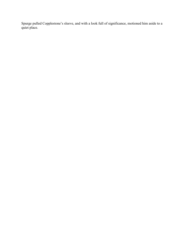Spurge pulled Copplestone's sleeve, and with a look full of significance, motioned him aside to a quiet place.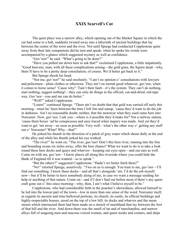# XXIX Scarvell's Cut

The quiet place was a narrow alley, which opening out of the Market Square in which the car had come to a halt, suddenly twisted away into a labyrinth of ancient buildings that lay between the centre of the town and the river. Not until Spurge had conducted Copplestone quite away from their late companions did he turn and speak; when he spoke his words were accompanied by a glance which suggested mystery as well as confidence.

"Guv'nor!" he said. "What's going to be done?"

"Have you pulled me down here to ask that?" exclaimed Copplestone, a little impatiently. "Good heavens, man, with all these complications arising—the gold gone, the Squire dead—why, there'll have to be a pretty deep consultation, of course. We'd better get back to it."

But Spurge shook his head.

"Not me, guv'nor!" he said resolutely. "I ain't no opinion o' consultations with lawyers and policemen—plain clothes or otherwise. They ain't no mortal good whatever, guv'nor, when it comes to horse sense! 'Cause why? 'Tain't their fault—it's the system. They can't do nothing, start nothing, suggest nothing!—they can only do things in the official, cut-and-dried, red-tape way, Guv'nor—you and me can do better."

"Well?" asked Copplestone.

"Listen!" continued Spurge. "There ain't no doubt that that gold was carried off early this morning—must ha' been between the time I left Jim and sunup, 'cause they'd want to do the job in darkness. Ain't no reasonable doubt, neither, that the motorcar what they used came here into Norcaster. Now, guv'nor, I ask you—where is it possible they'd make for? Not a railway station, 'cause them boxes 'ud be conspicuous and easy traced when inquiry was made. And yet they'd want to get 'em away—as soon as possible. Very well—what's the other way o' getting any stuff out o' Norcaster? What? Why—that!"

He jerked his thumb in the direction of a patch of grey water which shone dully at the end of the alley and while his thumb jerked his eye winked.

"The river!" he went on. "The river, guv'nor! Don't this here river, running into the free and bounding ocean six miles away, offer the best chance? What we want to do is to take a look round these here docks and quays and wharves—keeping our eyes open—and our ears as well. Come on with me, guv'nor—I know places all along this riverside where you could hide the Bank of England till it was wanted—so to speak."

"But the others?" suggested Copplestone. "Hadn't we better fetch them?"

"No!" retorted Spurge, assertively. "Two on us is enough. You trust to me, guv'nor—I'll find out something. I know these docks—and all that's alongside 'em. I'd do the job myself, now—but it'll be better to have somebody along of me, in case we want a message sending for help or anything of that nature. Come on—and if I don't find out before noon if there's any queer craft gone out o' this since morning—why, then, I ain't what I believe myself to be."

Copplestone, who had considerable faith in the poacher's shrewdness, allowed himself to be led into the lowest part of the town—low in more than one sense of the word. Norcaster itself, as regards its ancient and time-hallowed portions, its church, its castle, its official buildings and highly-respectable houses, stood on the top of a low hill; its docks and wharves and the mean streets which intersected them had been made on a stretch of marshland that lay between the foot of that hill and the river. And down there was the smell of tar and of merchandise, and narrow alleys full of seagoing men and raucous-voiced women, and queer nooks and corners, and ships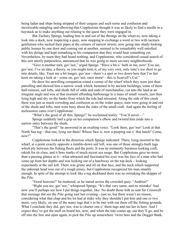being laden and ships being stripped of their cargoes and such noise and confusion and inextricable mingling and elbowing that Copplestone thought it was as likely to find a needle in a haystack as to make anything out relating to the quest they were engaged in.

But Zachary Spurge, leading him in and out of the throngs on the wharves, now taking a look into a dock, now inspecting a quay, now stopping to exchange a word or two with taciturn gentlemen who sucked their pipes at the corners of narrow streets, now going into shady-looking public houses by one door and coming out at another, seemed to be remarkably well satisfied with his doings and kept remarking to his companion that they would hear something yet. Nevertheless, by noon they had heard nothing, and Copplestone, who considered casual search of this sort utterly purposeless, announced that he was going to more savoury neighborhoods.

"Give it another turn, guv'nor," urged Spurge. "Have a bit o' faith in me, now! You see, guv'nor, I've an idea, a theory, as you might term it, of my very own, only time's too short to go into details, like. Trust me a bit longer, guv'nor—there's a spot or two down here that I'm fair keen on taking a look at—come on, guv'nor, once more!—this is Scarvell's Cut."

He drew his unwilling companion round a corner of the wharf which they were just then patrolling and showed him a narrow creek which, hemmed in by ancient buildings, some of them half-ruinous, sail lofts, and sheds full of odds and ends of merchandise, cut into the land at an irregular angle and was at that moment affording harbourage to a mass of small vessels, just then lying high and dry on the banks from which the tide had retreated. Along the side of this creek there was just as much crowding and confusion as on the wider quays; men were going in and out of the sheds and lofts; men were busy about the sides of the small craft. And again the feeling of uselessness came over Copplestone.

"What's the good of all this, Spurge!" he exclaimed testily. "You'll never—"

Spurge suddenly laid a grip on his companion's elbow and twisted him aside into a narrow entry between the sheds.

"That's the good!" he answered in an exulting voice. "Look there, guv'nor! Look at that North Sea tug—that one, lying out there! Whose face is, now a-peeping out o' that hatch? Come, now?"

Copplestone looked in the direction which Spurge indicated. There, lying moored to the wharf, at a point exactly opposite a tumble-down sail loft, was one of those strongly-built tugs which ply between the fishing fleets and the ports. It was an eminently business-looking craft, rakish for its class, and it bore marks of much recent sea usage. But Copplestone gave no more than a passing glance at it—what attracted and fascinated his eyes was the face of a man who had come up from her depths and was looking out of a hatchway on the top deck—looking expectantly at the sail loft. There was grime and oil on that face, and the neck which supported the unkempt head rose out of a rough jersey, but Copplestone recognized his man smartly enough. In spite of the attempt to look like a tug deckhand there was no mistaking the skipper of the *Pike*.

"Good heavens!" he muttered, as he stared across the crowded quay. "Andrius!"

"Right you are, guv'nor," whispered Spurge. "It's that very same, and no mistake! And now you'll perhaps see how I put things together, like. No doubt those folk as sent Sir Cresswell that message did see the *Pike* going east last evening—just so, but there wasn't no reason, considering what that chap and his lot had at stake why they shouldn't put him and one or two more, very likely, on one of the many tugs that's to be met with out there off the fishing grounds. What I conclude they did, guv'nor, was to charter one o' them tugs and run her in here. And I expect they've got the stuff on board her, now, and when the tide comes up, out they'll go, and be off into the free and open again, to pick the *Pike* up somewhere 'twixt here and the Dogger Bank.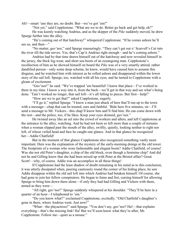Ah!—smart 'uns they are, no doubt. But—we've got 'em!"

"Not yet," said Copplestone. "What are we to do. Better go back and get help, eh?"

He was keenly watching Andrius, and as the skipper of the *Pike* suddenly moved, he drew Spurge further into the alley.

"He's coming out of that hatchway!" whispered Copplestone. "If he comes ashore he'll see us, and then—"

"No matter, guv'nor," said Spurge reassuringly. "They can't get out o' Scarvell's Cut into the river till the tide serves. Yes, that's Cap'n Andrius right enough—and he's coming ashore."

Andrius had by that time drawn himself out of the hatchway and now revealed himself in the jersey, the thick leg-wear, and short sea-boots of an oceangoing man. Copplestone's recollection of him as he showed himself on board the *Pike* was of a very smartly attired, rather dandified person—only some deep scheme, he knew, would have caused him to assume this disguise, and he watched him with interest as he rolled ashore and disappeared within the lower story of the sail loft. Spurge, too, watched with all his eyes, and he turned to Copplestone with a gleam of excitement.

"Guv'nor!" he said. "We've trapped 'em beautiful! I know that place—I've worked in there in my time. I know a way into it, from the back—we'll get in that way and see what's being done. 'Tain't worked no longer, that sail loft—it's all falling to pieces. But first—help!"

"How are we to get that?" asked Copplestone, eagerly.

"I'll go it," replied Spurge. "I know a man just aback of here that'll run up to the town with a message—chap that can be trusted, sure and faithful. 'Bide here five minutes, sir—I'll send a message to Mr. Vickers—this chap'll know him and'll find him. He can come down with the rest—and the police, too, if he likes. Keep your eyes skinned, guv'nor."

He twisted away like an eel into the crowd of workers and idlers, and left Copplestone at the entrance to the alley, watching. And he had not been so left more than a couple of minutes when a woman slipped past the mouth of the alley, swiftly, quietly, looking neither to right nor left, of whose veiled head and face he caught one glance. And in that glance he recognized her—Addie Chatfield!

But in the moment of that glance Copplestone also recognized something vastly more important. Here was the explanation of the mystery of the early-morning doings at the old tower. The footprints of a woman who wore fashionable and elegant boots? Addie Chatfield, of course! Was she not old Peter's daughter, a chip of the old block, even though a feminine chip? And did not he and Gilling know that she had been mixed up with Peter at the Bristol affair? Great Scott!—why, of course. Addie was an accomplice in all these things!

If Copplestone had the least shadow of doubt remaining in his mind as to this conclusion, it was utterly dissipated when, peering cautiously round the corner of his hiding place, he saw Addie disappear within the old sail loft into which Andrius had betaken himself. Of course, she had gone to join her fellow conspirators. He began to fume and fret, cursing himself for allowing Spurge to bring him down there alone—if only they had had Gilling and Vickers with them, armed as they were—

"All right, guv'nor!" Spurge suddenly whispered at his shoulder. "They'll be here in a quarter of an hour—I telephoned to 'em."

"Do you know what?" exclaimed Copplestone, excitedly. "Old Chatfield's daughter's gone in there, where Andrius went. Just now!"

"What—the playactress!" said Spurge. "You don't say, guv'nor? Ha!—that explains everything—that's the missing link! Ha! But we'll soon know what they're after, Mr. Copplestone. Follow me—quiet as a mouse."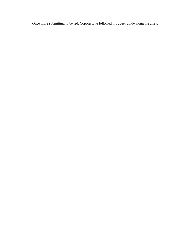Once more submitting to be led, Copplestone followed his queer guide along the alley.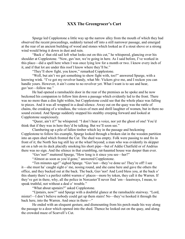# XXX The Greengrocer's Cart

Spurge led Copplestone a little way up the narrow alley from the mouth of which they had observed the recent proceedings, suddenly turned off into a still narrower passage, and emerged at the rear of an ancient building of wood and stones which looked as if a stout shove or a strong wind would bring it down in dust and ruin.

"Back o' that old sail loft what looks out on this cut," he whispered, glancing over his shoulder at Copplestone. "Now, guv'nor, we're going in here. As I said before, I've worked in this place—did a spell here when I was once lying low for a month or two. I know every inch of it, and if that lot are under this roof I know where they'll be."

"They'll show fight, you know," remarked Copplestone.

"Well, but ain't we got something to show fight with, too?" answered Spurge, with a knowing wink. "I've got my revolver handy, what Mr. Vickers give me, and I reckon you can handle yours. However, it ain't come to no revolver yet. What I want is to see and hear, guv'nor—follow me."

He had opened a ramshackle door in the rear of the premises as he spoke and he now beckoned his companion to follow him down a passage which evidently led to the front. There was no more than a dim light within, but Copplestone could see that the whole place was falling to pieces. And it was all wrapped in a dead silence. Away out on the quay was the rattle of chains, the creaking of a windlass, the voices of men and shrill laughter of women, but in there no sound existed. And Spurge suddenly stopped his stealthy creeping forward and looked at Copplestone suspiciously.

"Queer, ain't it?" he whispered. "I don't hear a voice, nor yet the ghost of one! You'd think that if they was in here they'd be talking. But we'll soon see."

Clambering up a pile of fallen timber which lay in the passage and beckoning Copplestone to follow his example, Spurge looked through a broken slat in the wooden partition into an open shed which fronted the Cut. The shed was empty. Folk were passing to and fro in front of it; the North Sea tug still lay at the wharf beyond; a man who was evidently its skipper sat on a tub on its deck placidly smoking his short pipe—but of Addie Chatfield or of Andrius there was no sign. And the silence in that crumbling, rat-haunted house was deeper than ever.

"Guv'nor!" muttered Spurge, "How long is it since you see—her?"

"Almost as soon as you'd gone," answered Copplestone.

"Ten minutes ago!" sighed Spurge. "Guv'nor—they've done us! They're off! I see it—she must ha' caught sight o' me, nosing round, and she came here and gave the others the office, and they bucked out at the back. The back, Guv'nor! And Lord bless you, at the back o' this shanty there's a perfect rabbit warren o' places—more by token, they call it the Warren. If they've got in there, why, all the police in Norcaster'll never find 'em—leastways, I mean, to speak truthful, not without a deal o' trouble."

"What about upstairs?" asked Copplestone.

"Upstairs, now?" said Spurge with a doubtful glance at the ramshackle stairway. "Lord, mister!—I don't believe nobody could get up them stairs! No—they've hooked it through the back here, into the Warren. And once in there—"

He ended with an eloquent gesture, and dismounting from his perch made his way along the passage to a door which opened into the shed. Thence he looked out on the quay, and along the crowded maze of Scarvell's Cut.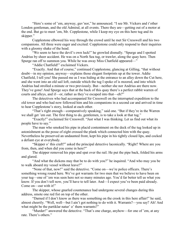"Here's some of 'em, anyway, guv'nor," he announced. "I see Mr. Vickers and t'other London gentleman, and the old Admiral, at all events. There they are—getting out of a motor at the end. But go to meet 'em, Mr. Copplestone, while I keep my eye on this here tug and its skipper."

Copplestone elbowed his way through the crowd until he met Sir Cresswell and his two companions. All three were eager and excited: Copplestone could only respond to their inquiries with a gloomy shake of the head.

"We seem to have the devil's own luck!" he growled dismally. "Spurge and I spotted Andrius by sheer accident. He was on a North Sea tug, or trawler, along the quay here. Then Spurge ran off to summon you. While he was away Miss Chatfield appeared—"

"Addie Chatfield!" exclaimed Vickers.

"Exactly. And that of course," continued Copplestone, glancing at Gilling, "that without doubt—in my opinion, anyway—explains those elegant footprints up at the tower. Addie Chatfield, I tell you! She passed me as I was hiding at the entrance to an alley down the Cut here, and she went into an old sail loft, outside which the tug I spoke of is moored, and into which Andrius had strolled a minute or two previously. But—neither she nor Andrius are there now. They've gone! And Spurge says that at the back of this quay there's a perfect rabbit warren of courts and alleys, and if—or, rather as they've escaped into that—eh?"

The detectives who had accompanied Sir Cresswell on the interrupted expedition to the old tower and who had now followed him and his companions in a second car and arrived in time to hear Copplestone's story, looked at each other.

"That's right enough—comparatively speaking," said one. "But if they're in the Warren we shall get 'em out. The first thing to do, gentlemen, is to take a look at that tug."

"Exactly!" exclaimed Sir Cresswell. "Just what I was thinking. Let us find out what its people have to say."

The man who smoked his pipe in placid contentment on the deck of the tug looked up in astonishment as the posse of eight crossed the plank which connected him with the quay. Nevertheless he preserved an undaunted front, kept his pipe in his tightly closed lips, and cocked a defiant eye at everybody.

"Skipper o' this craft?" asked the principal detective laconically. "Right? Where are you from, then, and when did you come in here?"

The skipper removed his pipe and spat over the rail. He put the pipe back, folded his arms and glared.

"And what the dickens may that be to do with you?" he inquired. "And who may you be to walk aboard my vessel without leave?"

"None of that, now!" said the detective. "Come on—we're police officers. There's something wrong round here. We've got warrants for two men that we believe to have been on your tug—one of 'em was seen here not so many minutes ago. You'd far better tell us what you know. If you don't tell now, you'll have to tell later. And—I expect you've been paid already. Come on—out with it!"

The skipper, whose gnarled countenance had undergone several changes during this address, smote one red fist on top of the other.

"Darned if I don't know as there was something on the crook in this here affair!" he said, almost cheerily. "Well, well—but I ain't got nothing to do with it. Warrants?—you say? Ah! And what might be the partiklar natur' o' them warrants?"

"Murder!" answered the detective. "That's one charge, anyhow—for one of 'em, at any rate. There's others."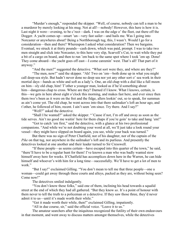"Murder's enough," responded the skipper. "Well, of course, nobody can tell a man to be a murderer by merely looking at his mug. Not at all!—nobody! However, this here is how it is. Last night it were—evening, to be c'rect—dark. I was on the edge o' the fleet, out there off the Dogger. A yacht comes up—smart 'un—very fast sailer—and hails me. Was I going into Norcaster or anywheres about? Being a Northborough tug, this, I wasn't. Would I go for a consideration—then and there? Whereupon I asked what consideration? Then we bargains. Eventual, we struck it at thirty pounds—cash down, which was paid, prompt. I was to take two men straight and slick into Norcaster, to this here very slip, Scarvell's Cut, to wait while they put a bit of a cargo on board, and then to run 'em back to the same spot where I took 'em up. Done! They come aboard—the yacht goes off east—I come careenin' west. That's all! That part of it anyway."

"And the men?" suggested the detective. "What sort were they, and where are they?"

"The men, now!" said the skipper. "Ah! Two on 'em—both done up in what you might call deep-sea style. But hadn't never done no deep sea nor yet any other sort o' sea work in their mortial days—hands as white and soft as a lady's. One, an old chap with a dial like a full moon on him—sly old chap, him! T'other a younger man, looked as if he'd something about him—dangerous chap to cross. Where are they? Darned if I know. What I knows, certain, is this—we gets in here about eight o'clock this morning, and makes fast here, and ever since then them two's been as it were on the fret and the fidge, allers lookin' out, so to speak, for summun as ain't come yet. The old chap, he went across into that there sailmaker's loft an hour ago, and t'other, he followed of him, recent. I ain't seen 'em since. Try there. And I say?"

"Well?" asked the detective.

"Shall I be wanted?" asked the skipper. "'Cause if not, I'm off and away as soon as the tide serves. Ain't no good me waitin' here for them chaps if you're goin' to take and hang 'em!"

"Got to catch 'em first," said the detective, with a glance at his two professional companions. "And while we're not doubting your word at all, we'll just take a look round your vessel—they might have slipped on board again, you see, while your back was turned."

But there was no sign of Peter Chatfield, nor of his daughter, nor of the captain of the *Pike* on that tug, nor anywhere in the sailmaker's loft and its purlieus. And presently the detectives looked at one another and their leader turned to Sir Cresswell.

"If these people—as seems certain—have escaped into this quarter of the town," he said, "there'll have to be a regular hunt for them! I've known a man who was badly wanted stow himself away here for weeks. If Chatfield has accomplices down here in the Warren, he can hide himself and whoever's with him for a long time—successfully. We'll have to get a lot of men to work"

"But I say!" exclaimed Gilling. "You don't mean to tell me that three people—one a woman—could get away through these courts and alleys, packed as they are, without being seen? Come now!"

The detectives smiled indulgently.

"You don't know these folks," said one of them, inclining his head towards a squalid street at the end of which they had all gathered. "But they know *us*. It's a point of honour with them never to tell the truth to a policeman or a detective. If they saw those three, they'd never admit it to us—until it's made worth their while."

"Get it made worth their while, then!" exclaimed Gilling, impatiently.

"All in due course, sir," said the official voice. "Leave it to us."

The amateur searchers after the iniquitous recognized the futility of their own endeavours in that moment, and went away to discuss matters amongst themselves, while the detectives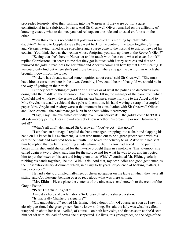proceeded leisurely, after their fashion, into the Warren as if they were out for a quiet constitutional in its salubrious byways. And Sir Cresswell Oliver remarked on the difficulty of knowing exactly what to do once you had red tape on one side and unusual craftiness on the other.

"You think there's no doubt that gold was removed this morning by Chatfield's daughter?" he said to Copplestone as they went back to the centre of the town together, Gilling and Vickers having turned aside elsewhere and Spurge gone to the hospital to ask for news of his cousin. "You think she was the woman whose footprints you saw up there at the Reaver's Glen?"

"Seeing that she's here in Norcaster and in touch with those two, what else can I think?" replied Copplestone. "It seems to me that they got in touch with her by wireless and that she removed the gold in readiness for her father and Andrius coming in here by that North Sea tug. If we could only find out where she's put those boxes, or where she got the car from in which she brought it down from the tower—"

"Vickers has already started some inquiries about cars," said Sir Cresswell. "She must have hired a car somewhere in the town. Certainly, if we could hear of that gold we should be in the way of getting on their track."

But they heard nothing of gold or of fugitives or of what the police and detectives were doing until the middle of the afternoon. And then Mr. Elkin, the manager of the bank from which Chatfield had withdrawn the estate and the private balance, came hurrying to the Angel and to Mrs. Greyle, his usually rubicund face pale with emotion, his hand waving a scrap of crumpled paper. Mrs. Greyle and Audrey were at that moment in consultation with Sir Cresswell Oliver and Copplestone—the bank manager burst in on them without ceremony.

"I say, I say!" he exclaimed excitedly. "Will you believe it!—the gold's come back! It's all safe—every penny. Bless me!—I scarcely know whether I'm dreaming or not. But—we've got it!"

"What's all this?" demanded Sir Cresswell. "You've got—that gold?"

"Less than an hour ago," replied the bank manager, dropping into a chair and slapping his hand on his knees in his excitement, "a man who turned out to be a greengrocer came with his cart to the bank and said he'd been sent with nine boxes for delivery to us. Asked who had sent him he replied that early this morning a lady whom he didn't know had asked him to put the boxes in his shed until she called for them—she brought them in a motorcar. This afternoon she called again at two o'clock, paid him for the storage and for what he was to do, and instructed him to put the boxes on his cart and bring them to us. Which," continued Mr. Elkin, gleefully rubbing his hands together, "he did! With—this! And that, my dear ladies and good gentlemen, is the most extraordinary document which, in all my forty years' experience of banking matters, I have ever seen!"

He laid a dirty, crumpled half-sheet of cheap notepaper on the table at which they were all sitting, and Copplestone, bending over it, read aloud what was there written.

"Mr. Elkin—Please place the contents of the nine cases sent herewith to the credit of the Greyle Estate."

#### "Peter Chatfield, Agent."

Amidst a chorus of exclamations Sir Cresswell asked a sharp question.

"Is that really Chatfield's signature?"

"Oh, undoubtedly!" replied Mr. Elkin. "Not a doubt of it. Of course, as soon as I saw it, I closely questioned the greengrocer. But he knew nothing. He said the lady was what he called wrapped up about her face—veiled, of course—on both her visits, and that as soon as she'd seen him set off with his load of boxes she disappeared. He lives, this greengrocer, on the edge of the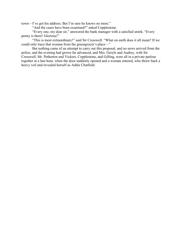town—I've got his address. But I'm sure he knows no more."

"And the cases have been examined?" asked Copplestone.

"Every one, my dear sir," answered the bank manager with a satisfied smirk. "Every penny is there! Glorious!"

"This is most extraordinary!" said Sir Cresswell. "What on earth does it all mean? If we could only trace that woman from the greengrocer's place—"

But nothing came of an attempt to carry out this proposal, and no news arrived from the police, and the evening had grown far advanced, and Mrs. Greyle and Audrey, with Sir Cresswell, Mr. Petherton and Vickers, Copplestone, and Gilling, were all in a private parlour together at a late hour, when the door suddenly opened and a woman entered, who threw back a heavy veil and revealed herself as Addie Chatfield.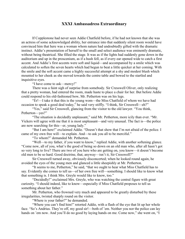### XXXI Ambassadress Extraordinary

If Copplestone had never seen Addie Chatfield before, if he had not known that she was an actress of some acknowledged ability, her entrance into that suddenly silent room would have convinced him that here was a woman whom nature had undoubtedly gifted with the dramatic instinct. Addie's presentation of herself to the small and select audience was eminently dramatic, without being theatrical. She filled the stage. It was as if the lights had suddenly gone down in the auditorium and up in the proscenium, as if a hush fell, as if every ear opened wide to catch a first accent. And Addie's first accents were soft and liquid—and accompanied by a smile which was calculated to soften the seven hearts which had begun to beat a little quicker at her coming. With the smile and the soft accent came a highly successful attempt at a shy and modest blush which mounted to her cheek as she moved towards the centre table and bowed to the startled and inquisitive eyes.

"I have come to ask—mercy!"

There was a faint sigh of surprise from somebody. Sir Cresswell Oliver, only realizing that a pretty woman, had entered the room, made haste to place a chair for her. But before Addie could respond to his old-fashioned bow, Mr. Petherton was on his legs.

"Er!—I take it that this is the young wom—the Miss Chatfield of whom we have had occasion to speak a good deal today," he said very stiffly. "I think, Sir Cresswell—eh?"

"Yes," said Sir Cresswell, glancing from the visitor to the old lawyer. "You think, Petherton—yes?"

"The situation is decidedly unpleasant," said Mr. Petherton, more icily than ever. "Mr. Vickers will agree with me that it is most unpleasant—and very unusual. The fact is—the police are now searching for this—er, young lady."

"But I am here!" exclaimed Addie. "Doesn't that show that I'm not afraid of the police. I came of my own free will—to explain. And—to ask you all to be merciful."

"To whom?" demanded Mr. Petherton.

"Well—to my father, if you want to know," replied Addie, with another softening glance. "Come now, all of you, what's the good of being so down on an old man who, after all hasn't got so very long to live? There are two of you here who are getting on, you know—it doesn't become old men to be so hard. Good doctrine, that, anyway—isn't it, Sir Cresswell?"

Sir Cresswell turned away, obviously disconcerted; when he looked round again, he avoided the eyes of the young men and glanced a little sheepishly at Mr. Petherton.

"It seems to me, Petherton," he said, "that we ought to hear what Miss Chatfield has to say. Evidently she comes to tell us—of her own free will—something. I should like to know what that something is. I think Mrs. Greyle would like to know, too."

"Decidedly!" exclaimed Mrs. Greyle, who was watching the central figure with great curiosity. "I should indeed, like to know—especially if Miss Chatfield proposes to tell us something about her father."

Mr. Petherton, who frowned very much and appeared to be greatly disturbed by these irregularities, twisted sharply round on the visitor.

"Where is your father?" he demanded.

"Where you can't find him!" retorted Addie, with a flash of the eye that lit up her whole face. "So's Andrius. They're off, my good sir!—both of 'em. Neither you nor the police can lay hands on 'em now. And you'll do no good by laying hands on me. Come now," she went on, "I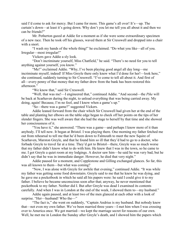said I'd come to ask for mercy. But I came for more. This game's all over! It's—up. The curtain's down—at least it's going down. Why don't you let me tell you all about it and then we can be friends?"

Mr. Petherton gazed at Addie for a moment as if she were some extraordinary specimen of a new race. Then he took off his glasses, waved them at Sir Cresswell and dropped into a chair with a snort.

"I wash my hands of the whole thing!" he exclaimed. "Do what you like—all of you. Irregular—most irregular!"

Vickers gave Addie a sly look.

"Don't incriminate yourself, Miss Chatfield," he said. "There's no need for you to tell anything against yourself, you know."

"Me!" exclaimed Addie. "Why, I've been playing good angel all day long—me incriminate myself, indeed! If Miss Greyle there only knew what I'd done for her!—look here," she continued, suddenly turning to Sir Cresswell. "I've come to tell all about it. And first of all—every penny of that money that my father drew from the bank has been restored this afternoon."

"We know that," said Sir Cresswell.

"Well, that was me!—I engineered that," continued Addie. "And second—the *Pike* will be back at Scarhaven during the night, to unload everything that was being carried away. My doing, again! Because, I'm no fool, and I know when a game's up."

"So—there was a game?" suggested Vickers.

Addie leaned forward from the chair which Sir Cresswell had given her at the end of the table and planting her elbows on the table edge began to check off her points on the tips of her slender fingers. She was well aware that she had the stage to herself by that time and she showed her consciousness of it.

"You have it," she answered. "There was a game—and perhaps I know more of it than anybody. I'll tell now. It began at Bristol. I was playing there. One morning my father fetched me out from rehearsal to tell me that he'd been down to Falmouth to meet the new Squire of Scarhaven, Marston Greyle, and that he found him so ill that they'd had to go to a doctor, who forbade Greyle to travel far at a time. They'd got to Bristol—there, Greyle was so much worse that my father didn't know what to do with him. He knew that I was in the town, so he came to me. I got Greyle a quiet room at my lodgings. A doctor saw him—he said he was very bad, but he didn't say that he was in immediate danger. However, he died that very night."

Addie paused for a moment, and Copplestone and Gilling exchanged glances. So far, this was all known to them—but what was coming?

"Now, I was alone with Greyle for awhile that evening," continued Addie. "It was while my father was getting some food downstairs. Greyle said to me that he knew he was dying, and he gave me a pocketbook in which he said all his papers were: he said I could give it to my father. I believe he became unconscious soon after that; anyway, he never mentioned that pocketbook to my father. Neither did I. But after Greyle was dead I examined its contents carefully. And when I was in London at the end of the week, I showed them to—my husband."

Addie again paused, and at least two of the men glanced at each other with a look of surprise. "Her—husband! Who the—"

"The fact is," she went on suddenly, "Captain Andrius is my husband. But nobody knew that—not even my own father. We've been married three years—I met him when I was crossing over to America once. We got married—we kept the marriage secret for reasons of our own. Well, he met me in London the Sunday after Greyle's death, and I showed him the papers which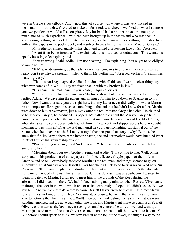were in Greyle's pocketbook. And—now this, of course, was where it was very wicked in me—and him—though we've tried to make up for it today, anyhow—we fixed up what I suppose you two gentlemen would call a conspiracy. My husband had a brother, an actor—not up to much, nor of much experience—who had been brought up in the States and who was then in town, doing nothing. We took him into confidence, coached him up in everything, furnished him with all the papers in the pocketbook, and resolved to pass him off as the real Marston Greyle."

Mr. Petherton stirred angrily in his chair and turned a protesting face on Sir Cresswell.

"Apart from being irregular," he exclaimed, "this is altogether outrageous! This woman is openly boasting of conspiracy and—"

"You're wrong!" said Addie. "I'm not boasting—I'm explaining. You ought to be obliged to me. And—"

"If Mrs. Andrius—to give the lady her real name—cares to unburden her secrets to us, I really don't see why we shouldn't listen to them, Mr. Petherton," observed Vickers. "It simplifies matters greatly."

"That's what I say," agreed Addie. "I'm done with all this and I want to clear things up, whatever comes of it. Well—I say we fixed that up with my brother-in-law."

"His name—his real name, if you please," inquired Vickers.

"Oh—ah!—well, his real name was Martin Andrius, but he'd another name for the stage," replied Addie. "We gave him the papers and arranged for him to go down to Scarhaven to my father. Now I want to assure you all, right here, that my father never did really know that Martin was an imposter. He began to suspect something at the end, but he didn't know for a fact. Martin went down to him at Scarhaven, just a week after the real Marston Greyle had died. He claimed to be Marston Greyle, he produced his papers. My father told about the Marston Greyle he'd buried. Martin pooh-poohed that—he said that that man must be a secretary of his, Mark Grey, who, after stealing some documents had left him in New York and slipped across here, no doubt meaning to pass himself off as the real man until he could get something substantial out of the estate, when he'd have vanished. I tell you my father accepted that story—why? Because he knew that if Miss Greyle there came into the estate, she and her mother would have bundled Peter Chatfield out of his stewardship quick."

"Proceed, if you please," said Sir Cresswell. "There are other details about which I am anxious to hear."

"Meaning about your own brother," remarked Addie. "I'm coming to that. Well, on his story and on his production of those papers—birth certificates, Greyle papers of their life in America and so on—everybody accepted Martin as the real man, and things seemed to go on smoothly till that Sunday when Bassett Oliver had the bad luck to go to Scarhaven. And now, Sir Cresswell, I'll tell you the plain and absolute truth about your brother's death! It's the absolute truth, mind—nobody knows it better than I do. On that Sunday I was at Scarhaven. I wanted to speak privately to Martin. I arranged to meet him in the grounds of the Keep during the afternoon. I did meet him there. We hadn't been talking many minutes when Bassett Oliver came in through the door in the wall, which one of us had carelessly left open. He didn't see us. But we saw him. And we were afraid! Why? Because Bassett Oliver knew both of us. He'd met Martin several times, in London and in New York—and, of course, he knew that Martin was no more Marston Greyle than he himself was. Well!—we both shrank behind some shrubs that we were standing amongst, and we gave each other one look, and Martin went white as death. But Bassett Oliver went on across the lawn, never seeing us, and he entered the turret tower and went up. Martin just said to me 'If Bassett Oliver sees me, there's an end to all this—what's to be done?' But before I could speak or think, we saw Bassett at the top of the tower, making his way round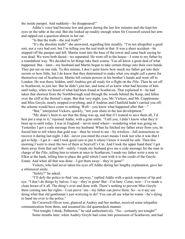the inside parapet. And suddenly—he disappeared!"

Addie's voice had become low and grave during the last few minutes and she kept her eyes on the table at the end. But she looked up readily enough when Sir Cresswell seized her arm and rapped out a question almost in her ear.

"Is that the truth—the real truth?"

"It's the absolute truth!" she answered, regarding him steadily. "I'm not altogether a good sort, nor a very bad sort, but I'm telling you the real truth in that. It was a sheer accident—he stepped off the parapet and fell. Martin went into the base of the tower and came back saying he was dead. We were both dazed—we separated. He went off to the house—I went to my father by a roundabout way. We decided to let things take their course. You all know a great deal of what happened. But—later—my husband and Martin began to take certain things into their own hands. They put me on one side. To this minute, I don't quite know how much my father got into their secrets or how little, but I do know that they determined to make what you might call a purse for themselves out of Scarhaven. Martin left certain powers in his brother's hands and went off to London. He was there, hidden, until Andrius got all ready for a flight on the *Pike*. Then he set off to Scarhaven, to join her. But he didn't join her, and none of us knew what had become of him until today, when we heard of what had been found at Scarhaven. That explained it—he had taken that shortcut from the Northborough road through the woods behind the Keep, and fallen over the cliff at the Hermit's steps. But that very night, you, Mr. Vickers, and Mr. Copplestone and Miss Greyle, nearly stopped everything, and if Andrius and Chatfield hadn't carried you off, the scheme would have come to nothing. Well—you know what happened after that—"

"But," interjected Vickers, quickly, "not your share in the last development."

"My share's been to see that the thing was up, and that if I wanted to save them all, I'd best put a stop to it," rejoined Addie, with a grim smile. "I tell you, I didn't know what they'd been up to until today. I was in England—never mind where—wondering what was going on. Yesterday I got a code message from my husband. When he fetched my father away from you, he forced him to tell where that gold was—then he wired to me—by wireless—full instructions to recover it during last night. I did—never you mind the exact means I took nor who it was that I got to help—I got it—and I took good care to put it where I knew it would be safe. Then this morning I went to meet the two of them at Scarvell's Cut. And I took the upper hand then! I got them away from that sail loft—safely. I made my husband give me a code message for the man in charge of the *Pike*, telling him to return at once to Scarhaven; I made my father write a note to Elkin at the bank, telling him to place the gold which I sent with it to the credit of the Greyle Estate. And when all that was done—I got them away—they're gone!"

Vickers, who had never taken his eyes off Addie during her lengthy explanation, gave her a whimsical smile.

"Safely?" he asked.

"I'll defy the police to find 'em, anyway," replied Addie with a quick response of lip and eye. "I don't do things by halves. I say—they're gone! But—I'm here. Come, now—I've made a clean breast of it all. The thing's over and done with. There's nothing to prevent Miss Greyle there coming into her rights—I can prove 'em—my father can prove them. So—is it any use doing what that old gentleman's just worrying to do? You can all see what he wants—he's dying to hand me over to the police."

Sir Cresswell Oliver rose, glanced at Audrey and her mother, received some telepathic communication from them, and assumed his old quarterdeck manner.

"Not tonight, I think, Petherton," he said authoritatively. "No—certainly not tonight!" Some months later, when Audrey Greyle had come into possession of Scarhaven, and had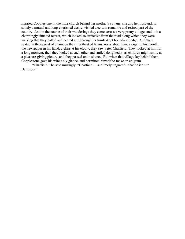married Copplestone in the little church behind her mother's cottage, she and her husband, to satisfy a mutual and long-cherished desire, visited a certain romantic and retired part of the country. And in the course of their wanderings they came across a very pretty village, and in it a charmingly situated retreat, which looked so attractive from the road along which they were walking that they halted and peered at it through its trimly-kept boundary hedge. And there, seated in the easiest of chairs on the smoothest of lawns, roses about him, a cigar in his mouth, the newspaper in his hand, a glass at his elbow, they saw Peter Chatfield. They looked at him for a long moment; then they looked at each other and smiled delightedly, as children might smile at a pleasure-giving picture, and they passed on in silence. But when that village lay behind them, Copplestone gave his wife a sly glance, and permitted himself to make an epigram.

"Chatfield!" he said musingly. "Chatfield!—sublimely ungrateful that he isn't in Dartmoor."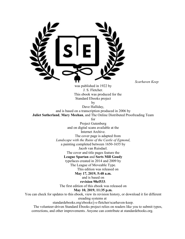

*Scarhaven Keep*

was published in 1922 by J. S. Fletcher. This ebook was produced for the Standard Ebooks project

by

Dave Halliday, and is based on a transcription produced in 2006 by Juliet Sutherland, Mary Meehan, and The Online Distributed Proofreading Team

for

Project Gutenberg and on digital scans available at the Internet Archive. The cover page is adapted from *Landscape with the Ruins of the Castle of Egmond*, a painting completed between 1650-1655 by

Jacob van Ruisdael.

The cover and title pages feature the

League Spartan and Sorts Mill Goudy

typefaces created in 2014 and 2009 by

The League of Moveable Type.

This edition was released on

May 17, 2019, 5:48 a.m.

and is based on

revision 98ef533.

The first edition of this ebook was released on

May 10, 2019, 11:35 p.m.

You can check for updates to this ebook, view its revision history, or download it for different

ereading systems at

standardebooks.org/ebooks/j-s-fletcher/scarhaven-keep.

The volunteer-driven Standard Ebooks project relies on readers like you to submit typos, corrections, and other improvements. Anyone can contribute at standardebooks.org.